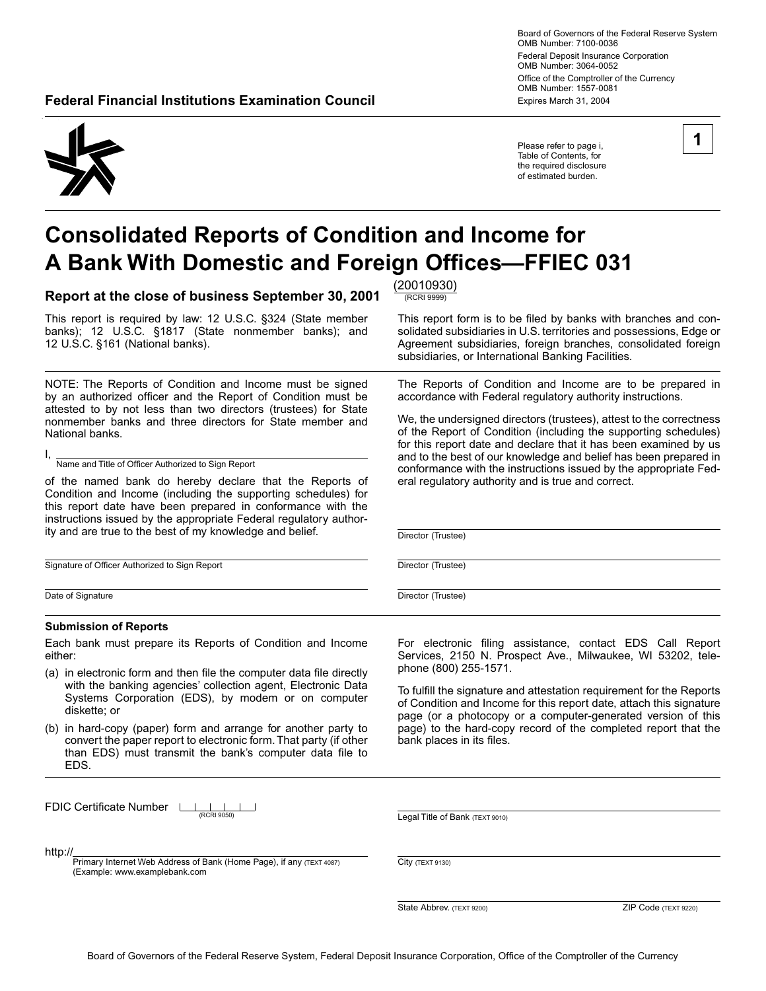Board of Governors of the Federal Reserve System OMB Number: 7100-0036 Federal Deposit Insurance Corporation OMB Number: 3064-0052 Office of the Comptroller of the Currency OMB Number: 1557-0081 **Federal Financial Institutions Examination Council <b>Expires March 31, 2004** Expires March 31, 2004

Please refer to page i, Table of Contents, for the required disclosure of estimated burden.

# **Consolidated Reports of Condition and Income for A Bank With Domestic and Foreign Offices-FFIEC 031**

**Report at the close of business September 30, 2001**  $\frac{(20010930)}{(\text{RCRI 9999})}$ 

This report is required by law: 12 U.S.C. §324 (State member This report form is to be filed by banks with branches and con-<br>banks); 12 U.S.C. §1817 (State nonmember banks); and solidated subsidiaries in U.S. territories a banks); 12 U.S.C. §1817 (State nonmember banks); and solidated subsidiaries in U.S. territories and possessions, Edge or<br>12 U.S.C. §161 (National banks). <br>Agreement subsidiaries, foreign branches, consolidated foreign

NOTE: The Reports of Condition and Income must be signed by an authorized officer and the Report of Condition must be attested to by not less than two directors (trustees) for State nonmember banks and three directors for State member and National banks.

I, Name and Title of Officer Authorized to Sign Report

of the named bank do hereby declare that the Reports of Condition and Income (including the supporting schedules) for this report date have been prepared in conformance with the instructions issued by the appropriate Federal regulatory authority and are true to the best of my knowledge and belief.

Signature of Officer Authorized to Sign Report

Date of Signature

#### **Submission of Reports**

Each bank must prepare its Reports of Condition and Income either:

- (a) in electronic form and then file the computer data file directly with the banking agencies' collection agent, Electronic Data Systems Corporation (EDS), by modem or on computer diskette; or
- (b) in hard-copy (paper) form and arrange for another party to convert the paper report to electronic form. That party (if other than EDS) must transmit the bank's computer data file to EDS.

FDIC Certificate Number LL  $\mathbf{I}$ 

http://

Primary Internet Web Address of Bank (Home Page), if any (TEXT 4087) (Example: www.examplebank.com

Agreement subsidiaries, foreign branches, consolidated foreign subsidiaries, or International Banking Facilities.

The Reports of Condition and Income are to be prepared in accordance with Federal regulatory authority instructions.

We, the undersigned directors (trustees), attest to the correctness of the Report of Condition (including the supporting schedules) for this report date and declare that it has been examined by us and to the best of our knowledge and belief has been prepared in conformance with the instructions issued by the appropriate Federal regulatory authority and is true and correct.

Director (Trustee)

Director (Trustee)

Director (Trustee)

For electronic filing assistance, contact EDS Call Report Services, 2150 N. Prospect Ave., Milwaukee, WI 53202, telephone (800) 255-1571.

To fulfill the signature and attestation requirement for the Reports of Condition and Income for this report date, attach this signature page (or a photocopy or a computer-generated version of this page) to the hard-copy record of the completed report that the bank places in its files.

(RCRI 9050) Legal Title of Bank (TEXT 9010)

City (TEXT 9130)

State Abbrev. (TEXT 9200) 2IP Code (TEXT 9220)

**1**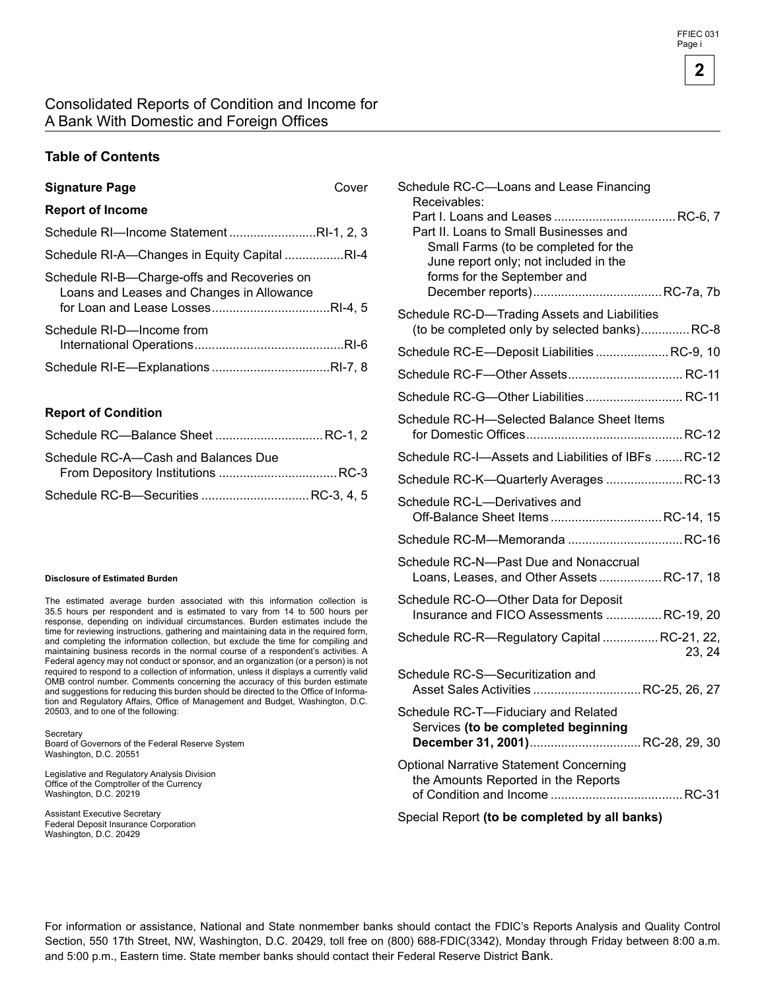### Consolidated Reports of Condition and Income for A Bank With Domestic and Foreign Offices

#### **Table of Contents**

| <b>Signature Page</b> | Cover |
|-----------------------|-------|
|-----------------------|-------|

#### **Report of Income**

| Schedule RI-Income StatementRI-1, 2, 3                                                   |  |
|------------------------------------------------------------------------------------------|--|
| Schedule RI-A—Changes in Equity Capital RI-4                                             |  |
| Schedule RI-B-Charge-offs and Recoveries on<br>Loans and Leases and Changes in Allowance |  |
| Schedule RI-D-Income from                                                                |  |
|                                                                                          |  |

#### **Report of Condition**

| Schedule RC-A—Cash and Balances Due  |  |
|--------------------------------------|--|
|                                      |  |
| Schedule RC-B-Securities  RC-3, 4, 5 |  |

#### **Disclosure of Estimated Burden**

The estimated average burden associated with this information collection is 35.5 hours per respondent and is estimated to vary from 14 to 500 hours per response, depending on individual circumstances. Burden estimates include the time for reviewing instructions, gathering and maintaining data in the required form, and completing the information collection, but exclude the time for compiling and maintaining business records in the normal course of a respondent's activities. A Federal agency may not conduct or sponsor, and an organization (or a person) is not required to respond to a collection of information, unless it displays a currently valid OMB control number. Comments concerning the accuracy of this burden estimate and suggestions for reducing this burden should be directed to the Office of Information and Regulatory Affairs, Office of Management and Budget, Washington, D.C. 20503, and to one of the following:

**Secretary** Board of Governors of the Federal Reserve System Washington, D.C. 20551

Legislative and Regulatory Analysis Division Office of the Comptroller of the Currency Washington, D.C. 20219

Assistant Executive Secretary Federal Deposit Insurance Corporation Washington, D.C. 20429

| Schedule RC-C-Loans and Lease Financing<br>Receivables:<br>Part II. Loans to Small Businesses and<br>Small Farms (to be completed for the<br>June report only; not included in the<br>forms for the September and |        |
|-------------------------------------------------------------------------------------------------------------------------------------------------------------------------------------------------------------------|--------|
| Schedule RC-D-Trading Assets and Liabilities<br>(to be completed only by selected banks) RC-8                                                                                                                     |        |
| Schedule RC-E-Deposit Liabilities RC-9, 10                                                                                                                                                                        |        |
|                                                                                                                                                                                                                   |        |
| Schedule RC-G-Other Liabilities RC-11                                                                                                                                                                             |        |
| Schedule RC-H-Selected Balance Sheet Items                                                                                                                                                                        |        |
| Schedule RC-I—Assets and Liabilities of IBFs RC-12                                                                                                                                                                |        |
| Schedule RC-K-Quarterly Averages  RC-13                                                                                                                                                                           |        |
| Schedule RC-L—Derivatives and<br>Off-Balance Sheet ItemsRC-14, 15                                                                                                                                                 |        |
| Schedule RC-M-Memoranda  RC-16                                                                                                                                                                                    |        |
| Schedule RC-N-Past Due and Nonaccrual<br>Loans, Leases, and Other Assets RC-17, 18                                                                                                                                |        |
| Schedule RC-O-Other Data for Deposit<br>Insurance and FICO Assessments  RC-19, 20                                                                                                                                 |        |
| Schedule RC-R-Regulatory Capital  RC-21, 22,                                                                                                                                                                      | 23, 24 |
| Schedule RC-S-Securitization and<br>Asset Sales Activities  RC-25, 26, 27                                                                                                                                         |        |
| Schedule RC-T-Fiduciary and Related<br>Services (to be completed beginning<br>December 31, 2001) RC-28, 29, 30                                                                                                    |        |
| <b>Optional Narrative Statement Concerning</b><br>the Amounts Reported in the Reports                                                                                                                             |        |
|                                                                                                                                                                                                                   |        |

Special Report **(to be completed by all banks)** 

For information or assistance, National and State nonmember banks should contact the FDIC's Reports Analysis and Quality Control Section, 550 17th Street, NW, Washington, D.C. 20429, toll free on (800) 688-FDIC(3342), Monday through Friday between 8:00 a.m. and 5:00 p.m., Eastern time. State member banks should contact their Federal Reserve District Bank.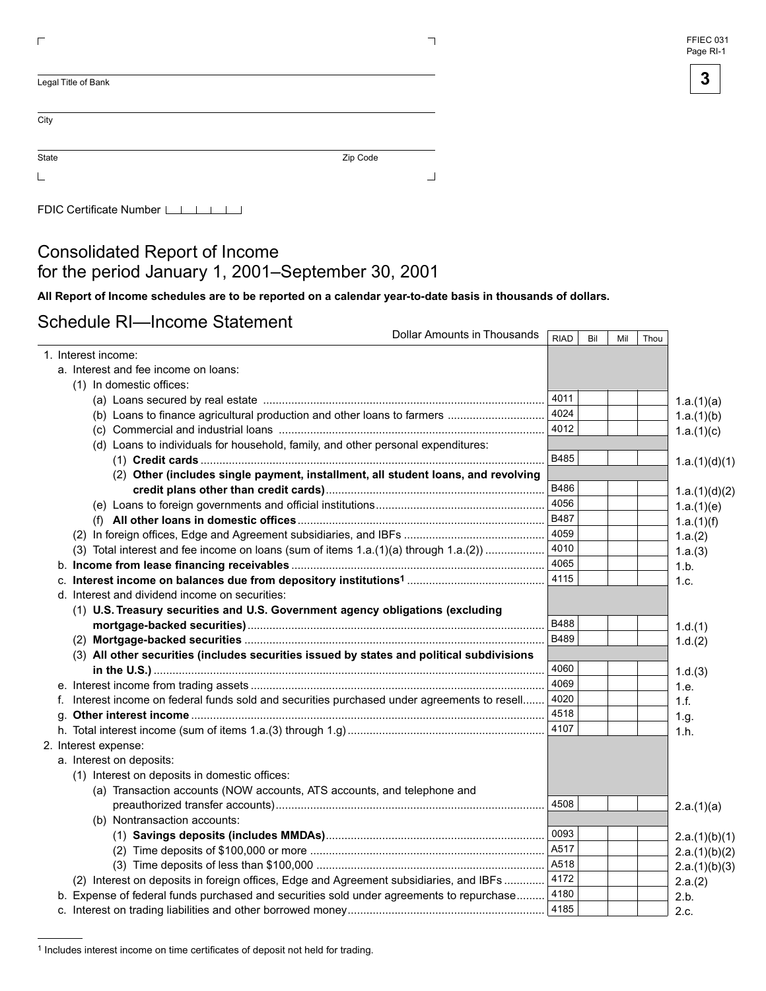

| Legal Title of Bank |          |
|---------------------|----------|
|                     |          |
| City                |          |
| State               | Zip Code |
|                     |          |

FDIC Certificate Number LILILILI

## Consolidated Report of Income for the period January 1, 2001–September 30, 2001

All Report of Income schedules are to be reported on a calendar year-to-date basis in thousands of dollars.

### Schedule RI—Income Statement

| Dollar Amounts in Thousands                                                                  | <b>RIAD</b> | Bil | Mil | Thou |               |
|----------------------------------------------------------------------------------------------|-------------|-----|-----|------|---------------|
| 1. Interest income:                                                                          |             |     |     |      |               |
| a. Interest and fee income on loans:                                                         |             |     |     |      |               |
| (1) In domestic offices:                                                                     |             |     |     |      |               |
|                                                                                              | 4011        |     |     |      | 1.a.(1)(a)    |
|                                                                                              | 4024        |     |     |      | 1.a.(1)(b)    |
|                                                                                              | 4012        |     |     |      | 1.a.(1)(c)    |
| (d) Loans to individuals for household, family, and other personal expenditures:             |             |     |     |      |               |
|                                                                                              | B485        |     |     |      | 1.a.(1)(d)(1) |
| (2) Other (includes single payment, installment, all student loans, and revolving            |             |     |     |      |               |
|                                                                                              | B486        |     |     |      | 1.a.(1)(d)(2) |
|                                                                                              | 4056        |     |     |      | 1.a.(1)(e)    |
|                                                                                              | <b>B487</b> |     |     |      | 1.a.(1)(f)    |
|                                                                                              | 4059        |     |     |      | 1.a.(2)       |
| (3) Total interest and fee income on loans (sum of items 1.a.(1)(a) through 1.a.(2))         | 4010        |     |     |      | 1.a.(3)       |
|                                                                                              | 4065        |     |     |      | 1.b.          |
|                                                                                              | 4115        |     |     |      | 1.c.          |
| d. Interest and dividend income on securities:                                               |             |     |     |      |               |
| (1) U.S. Treasury securities and U.S. Government agency obligations (excluding               |             |     |     |      |               |
|                                                                                              | B488        |     |     |      | 1.d.(1)       |
|                                                                                              | <b>B489</b> |     |     |      | 1.d.(2)       |
| (3) All other securities (includes securities issued by states and political subdivisions    |             |     |     |      |               |
|                                                                                              | 4060        |     |     |      | 1.d.(3)       |
|                                                                                              | 4069        |     |     |      | 1.e.          |
| f. Interest income on federal funds sold and securities purchased under agreements to resell | 4020        |     |     |      | 1.f.          |
|                                                                                              | 4518        |     |     |      | 1.g.          |
|                                                                                              | 4107        |     |     |      | 1.h.          |
| 2. Interest expense:                                                                         |             |     |     |      |               |
| a. Interest on deposits:                                                                     |             |     |     |      |               |
| (1) Interest on deposits in domestic offices:                                                |             |     |     |      |               |
| (a) Transaction accounts (NOW accounts, ATS accounts, and telephone and                      |             |     |     |      |               |
|                                                                                              | 4508        |     |     |      | 2.a.(1)(a)    |
| (b) Nontransaction accounts:                                                                 |             |     |     |      |               |
|                                                                                              | 0093        |     |     |      | 2.a.(1)(b)(1) |
|                                                                                              | A517        |     |     |      | 2.a.(1)(b)(2) |
|                                                                                              | A518        |     |     |      | 2.a.(1)(b)(3) |
| (2) Interest on deposits in foreign offices, Edge and Agreement subsidiaries, and IBFs       | 4172        |     |     |      | 2.a.(2)       |
| b. Expense of federal funds purchased and securities sold under agreements to repurchase     | 4180        |     |     |      | 2.b.          |
|                                                                                              | 4185        |     |     |      | 2.c.          |

<sup>1</sup> Includes interest income on time certificates of deposit not held for trading.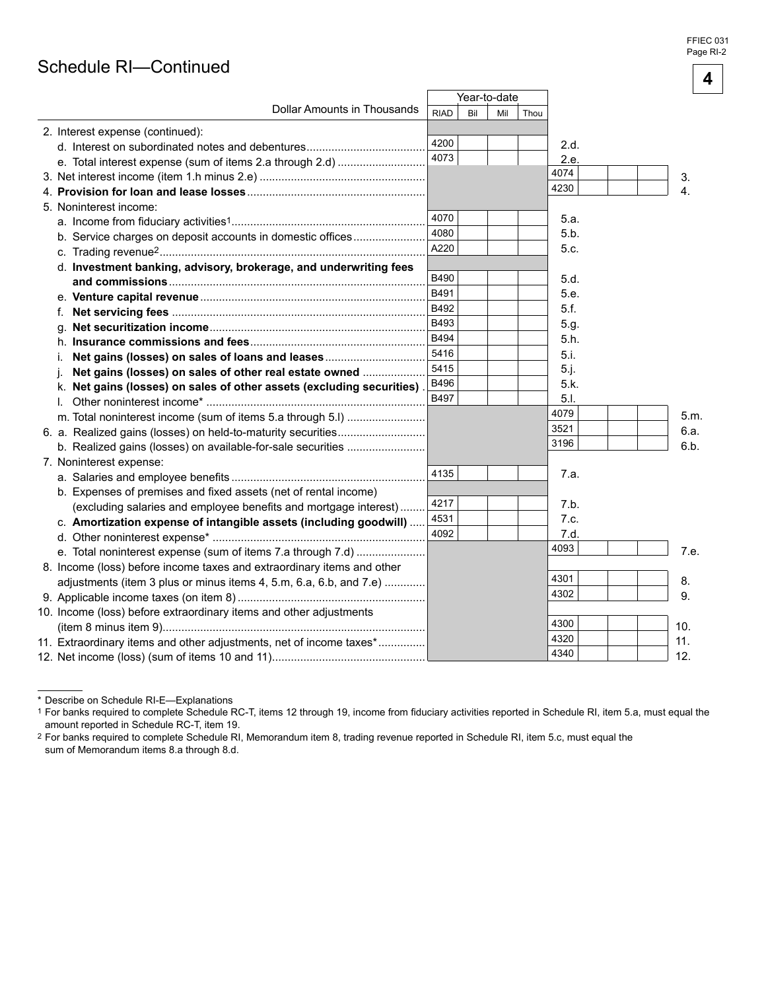## Schedule RI-Continued

|                                                                        |             |     |              |      |      |      | 4 |
|------------------------------------------------------------------------|-------------|-----|--------------|------|------|------|---|
|                                                                        |             |     | Year-to-date |      |      |      |   |
| Dollar Amounts in Thousands                                            | <b>RIAD</b> | Bil | Mil          | Thou |      |      |   |
| 2. Interest expense (continued):                                       |             |     |              |      |      |      |   |
|                                                                        | 4200        |     |              |      | 2.d. |      |   |
|                                                                        | 4073        |     |              |      | 2.e. |      |   |
|                                                                        |             |     |              |      | 4074 | 3.   |   |
|                                                                        |             |     |              |      | 4230 | 4.   |   |
| 5. Noninterest income:                                                 |             |     |              |      |      |      |   |
|                                                                        | 4070        |     |              |      | 5.a. |      |   |
| b. Service charges on deposit accounts in domestic offices             | 4080        |     |              |      | 5.b. |      |   |
|                                                                        | A220        |     |              |      | 5.c. |      |   |
| d. Investment banking, advisory, brokerage, and underwriting fees      |             |     |              |      |      |      |   |
|                                                                        | <b>B490</b> |     |              |      | 5.d. |      |   |
|                                                                        | B491        |     |              |      | 5.e. |      |   |
|                                                                        | B492        |     |              |      | 5.f. |      |   |
|                                                                        | B493        |     |              |      | 5.g. |      |   |
|                                                                        | B494        |     |              |      | 5.h. |      |   |
| İ.                                                                     | 5416        |     |              |      | 5.i. |      |   |
| Net gains (losses) on sales of other real estate owned                 | 5415        |     |              |      | 5.j. |      |   |
| k. Net gains (losses) on sales of other assets (excluding securities)  | B496        |     |              |      | 5.k. |      |   |
| I.                                                                     | B497        |     |              |      | 5.1. |      |   |
|                                                                        |             |     |              |      | 4079 | 5.m. |   |
|                                                                        |             |     |              |      | 3521 | 6.a. |   |
|                                                                        |             |     |              |      | 3196 | 6.b. |   |
| 7. Noninterest expense:                                                |             |     |              |      |      |      |   |
|                                                                        | 4135        |     |              |      | 7.a. |      |   |
| b. Expenses of premises and fixed assets (net of rental income)        |             |     |              |      |      |      |   |
| (excluding salaries and employee benefits and mortgage interest)       | 4217        |     |              |      | 7.b. |      |   |
| c. Amortization expense of intangible assets (including goodwill)      | 4531        |     |              |      | 7.c. |      |   |
|                                                                        | 4092        |     |              |      | 7.d. |      |   |
| e. Total noninterest expense (sum of items 7.a through 7.d)            |             |     |              |      | 4093 | 7.e. |   |
| 8. Income (loss) before income taxes and extraordinary items and other |             |     |              |      |      |      |   |
| adjustments (item 3 plus or minus items 4, 5.m, 6.a, 6.b, and 7.e)     |             |     |              |      | 4301 | 8.   |   |
|                                                                        |             |     |              |      | 4302 | 9.   |   |
| 10. Income (loss) before extraordinary items and other adjustments     |             |     |              |      |      |      |   |
|                                                                        |             |     |              |      | 4300 | 10.  |   |
| 11. Extraordinary items and other adjustments, net of income taxes*    |             |     |              |      | 4320 | 11.  |   |
|                                                                        |             |     |              |      | 4340 | 12.  |   |

<sup>\*</sup> Describe on Schedule RI-E-Explanations

1 For banks required to complete Schedule RC-T, items 12 through 19, income from fiduciary activities reported in Schedule RI, item 5.a, must equal the amount reported in Schedule RC-T, item 19.

<sup>&</sup>lt;sup>2</sup> For banks required to complete Schedule RI, Memorandum item 8, trading revenue reported in Schedule RI, item 5.c, must equal the sum of Memorandum items 8.a through 8.d.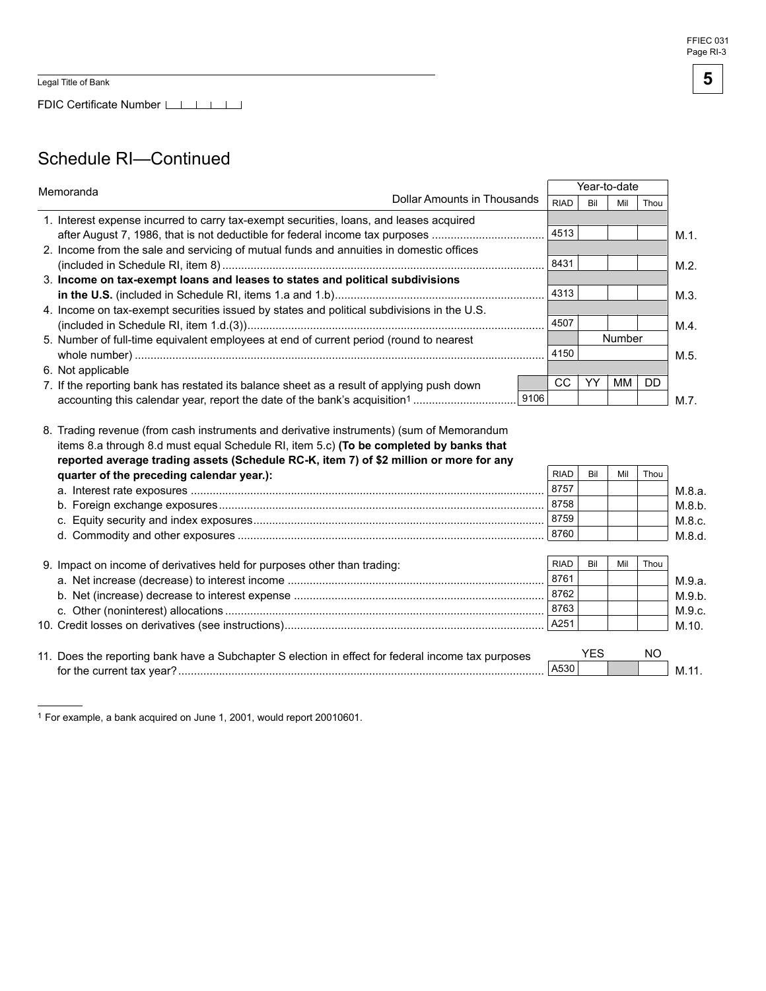FDIC Certificate Number

## Schedule RI-Continued

| Memoranda         |                                                                                                                                                                                                                               | Year-to-date |      |             |            |        |           |         |
|-------------------|-------------------------------------------------------------------------------------------------------------------------------------------------------------------------------------------------------------------------------|--------------|------|-------------|------------|--------|-----------|---------|
|                   | <b>Dollar Amounts in Thousands</b>                                                                                                                                                                                            |              |      | <b>RIAD</b> | Bil        | Mil    | Thou      |         |
|                   | 1. Interest expense incurred to carry tax-exempt securities, loans, and leases acquired                                                                                                                                       |              |      |             |            |        |           |         |
|                   | after August 7, 1986, that is not deductible for federal income tax purposes                                                                                                                                                  |              |      | 4513        |            |        |           | $M.1$ . |
|                   | 2. Income from the sale and servicing of mutual funds and annuities in domestic offices                                                                                                                                       |              |      |             |            |        |           |         |
|                   |                                                                                                                                                                                                                               |              |      | 8431        |            |        |           | M.2.    |
|                   | 3. Income on tax-exempt loans and leases to states and political subdivisions                                                                                                                                                 |              |      |             |            |        |           |         |
|                   |                                                                                                                                                                                                                               |              |      | 4313        |            |        |           | $M.3$ . |
|                   | 4. Income on tax-exempt securities issued by states and political subdivisions in the U.S.                                                                                                                                    |              |      |             |            |        |           |         |
|                   |                                                                                                                                                                                                                               |              |      | 4507        |            |        |           | $M.4$ . |
|                   | 5. Number of full-time equivalent employees at end of current period (round to nearest                                                                                                                                        |              |      |             |            | Number |           |         |
|                   |                                                                                                                                                                                                                               |              |      | 4150        |            |        |           | M.5.    |
| 6. Not applicable |                                                                                                                                                                                                                               |              |      |             |            |        |           |         |
|                   | 7. If the reporting bank has restated its balance sheet as a result of applying push down                                                                                                                                     |              |      | CC          | YY         | МM     | <b>DD</b> |         |
|                   |                                                                                                                                                                                                                               |              | 9106 |             |            |        |           | $M.7$ . |
|                   | items 8.a through 8.d must equal Schedule RI, item 5.c) (To be completed by banks that<br>reported average trading assets (Schedule RC-K, item 7) of \$2 million or more for any<br>quarter of the preceding calendar year.): |              |      | <b>RIAD</b> | Bil        | Mil    | Thou      |         |
|                   |                                                                                                                                                                                                                               |              |      | 8757        |            |        |           | M.8.a.  |
|                   |                                                                                                                                                                                                                               |              |      | 8758        |            |        |           | M.8.b.  |
|                   |                                                                                                                                                                                                                               |              |      | 8759        |            |        |           | M.8.c.  |
|                   |                                                                                                                                                                                                                               |              |      | 8760        |            |        |           | M.8.d.  |
|                   |                                                                                                                                                                                                                               |              |      |             |            |        |           |         |
|                   | 9. Impact on income of derivatives held for purposes other than trading:                                                                                                                                                      |              |      | <b>RIAD</b> | Bil        | Mil    | Thou      |         |
|                   |                                                                                                                                                                                                                               |              |      | 8761        |            |        |           | M.9.a.  |
|                   |                                                                                                                                                                                                                               |              |      | 8762        |            |        |           | M.9.b.  |
|                   |                                                                                                                                                                                                                               |              |      | 8763        |            |        |           | M.9.c.  |
|                   |                                                                                                                                                                                                                               |              |      | A251        |            |        |           | M.10.   |
|                   |                                                                                                                                                                                                                               |              |      |             |            |        |           |         |
|                   | 11. Does the reporting bank have a Subchapter S election in effect for federal income tax purposes                                                                                                                            |              |      |             | <b>YES</b> |        | <b>NO</b> |         |
|                   |                                                                                                                                                                                                                               |              |      | A530        |            |        |           | M.11.   |

<sup>1</sup> For example, a bank acquired on June 1, 2001, would report 20010601.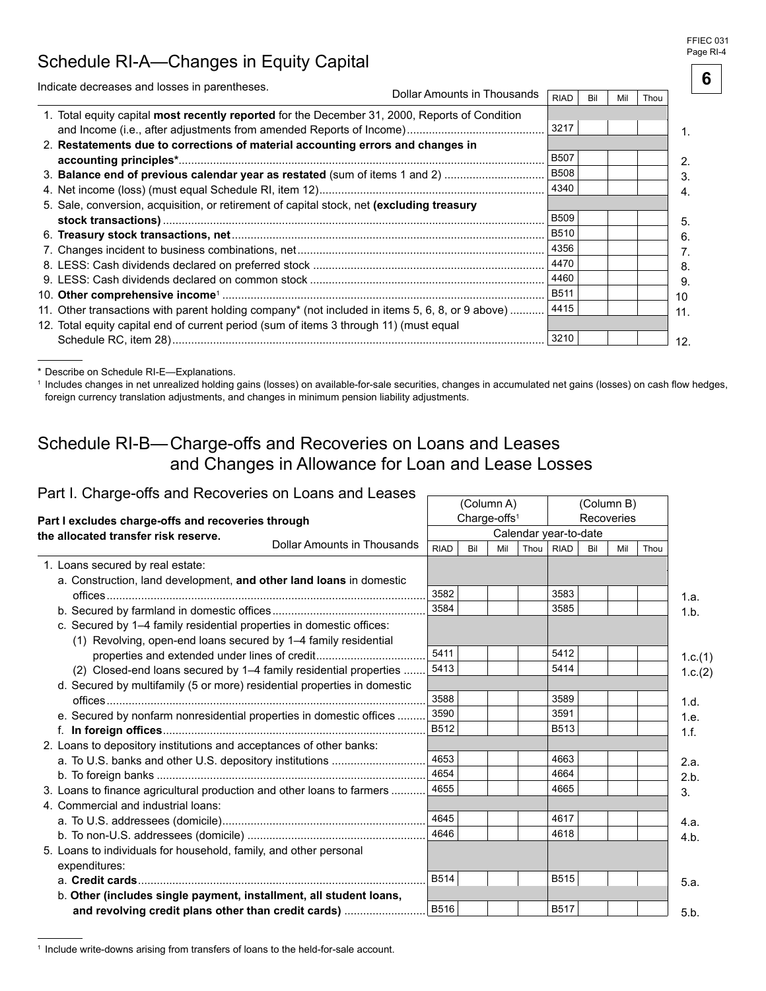#### FFIEC 031 Page RI-4

**6** 

# Schedule RI-A-Changes in Equity Capital

| Indicate decreases and losses in parentheses.                                                   |                             |             |     |     |      |     |
|-------------------------------------------------------------------------------------------------|-----------------------------|-------------|-----|-----|------|-----|
|                                                                                                 | Dollar Amounts in Thousands | <b>RIAD</b> | Bil | Mil | Thou |     |
| 1. Total equity capital most recently reported for the December 31, 2000, Reports of Condition  |                             |             |     |     |      |     |
|                                                                                                 |                             | 3217        |     |     |      |     |
| 2. Restatements due to corrections of material accounting errors and changes in                 |                             |             |     |     |      |     |
|                                                                                                 |                             | <b>B507</b> |     |     |      | 2.  |
| 3. Balance end of previous calendar year as restated (sum of items 1 and 2)                     |                             | <b>B508</b> |     |     |      | 3   |
|                                                                                                 |                             | 4340        |     |     |      |     |
| 5. Sale, conversion, acquisition, or retirement of capital stock, net (excluding treasury       |                             |             |     |     |      |     |
|                                                                                                 |                             | <b>B509</b> |     |     |      | 5.  |
|                                                                                                 |                             | <b>B510</b> |     |     |      | 6.  |
|                                                                                                 |                             | 4356        |     |     |      |     |
|                                                                                                 |                             | 4470        |     |     |      | 8.  |
|                                                                                                 |                             | 4460        |     |     |      | 9.  |
|                                                                                                 |                             | <b>B511</b> |     |     |      | 10  |
| 11. Other transactions with parent holding company* (not included in items 5, 6, 8, or 9 above) |                             | 4415        |     |     |      | 11. |
| 12. Total equity capital end of current period (sum of items 3 through 11) (must equal          |                             |             |     |     |      |     |
|                                                                                                 |                             | 3210        |     |     |      | 12. |
|                                                                                                 |                             |             |     |     |      |     |

\* Describe on Schedule RI-E-Explanations.

<sup>1</sup> Includes changes in net unrealized holding gains (losses) on available-for-sale securities, changes in accumulated net gains (losses) on cash flow hedges, foreign currency translation adjustments, and changes in minimum pension liability adjustments.

(Column A)

## Schedule RI-B-Charge-offs and Recoveries on Loans and Leases and Changes in Allowance for Loan and Lease Losses

### Part I. Charge-offs and Recoveries on Loans and Leases  $\overline{\phantom{a}}$

| Part i. Gilarge-Olis and Recoveries On Loans and Leases                            |                             |              |     | (Column A)               |      |                                      |     | (Column B) |      |         |
|------------------------------------------------------------------------------------|-----------------------------|--------------|-----|--------------------------|------|--------------------------------------|-----|------------|------|---------|
| Part I excludes charge-offs and recoveries through                                 |                             |              |     | Charge-offs <sup>1</sup> |      |                                      |     | Recoveries |      |         |
| the allocated transfer risk reserve.                                               | Dollar Amounts in Thousands | <b>RIAD</b>  | Bil | Mil                      | Thou | Calendar year-to-date<br><b>RIAD</b> | Bil | Mil        | Thou |         |
| 1. Loans secured by real estate:                                                   |                             |              |     |                          |      |                                      |     |            |      |         |
| a. Construction, land development, and other land loans in domestic                |                             |              |     |                          |      |                                      |     |            |      |         |
|                                                                                    |                             | 3582         |     |                          |      | 3583                                 |     |            |      | 1.a.    |
|                                                                                    |                             | 3584         |     |                          |      | 3585                                 |     |            |      | 1.b.    |
| c. Secured by 1–4 family residential properties in domestic offices:               |                             |              |     |                          |      |                                      |     |            |      |         |
| (1) Revolving, open-end loans secured by 1–4 family residential                    |                             |              |     |                          |      |                                      |     |            |      |         |
| properties and extended under lines of credit                                      |                             | 5411         |     |                          |      | 5412                                 |     |            |      | 1.c.(1) |
| (2) Closed-end loans secured by 1-4 family residential properties                  |                             | 5413         |     |                          |      | 5414                                 |     |            |      | 1.c.(2) |
| d. Secured by multifamily (5 or more) residential properties in domestic           |                             |              |     |                          |      |                                      |     |            |      |         |
|                                                                                    |                             | 3588         |     |                          |      | 3589                                 |     |            |      | 1.d.    |
| e. Secured by nonfarm nonresidential properties in domestic offices                |                             | 3590         |     |                          |      | 3591                                 |     |            |      | 1.e.    |
|                                                                                    |                             | B512         |     |                          |      | B513                                 |     |            |      | 1.f.    |
| 2. Loans to depository institutions and acceptances of other banks:                |                             |              |     |                          |      |                                      |     |            |      |         |
| a. To U.S. banks and other U.S. depository institutions                            |                             | 4653         |     |                          |      | 4663                                 |     |            |      | 2.a.    |
|                                                                                    |                             | 4654         |     |                          |      | 4664                                 |     |            |      | 2.b.    |
| 3. Loans to finance agricultural production and other loans to farmers             |                             | 4655         |     |                          |      | 4665                                 |     |            |      | 3.      |
| 4. Commercial and industrial loans:                                                |                             |              |     |                          |      |                                      |     |            |      |         |
|                                                                                    |                             | 4645<br>4646 |     |                          |      | 4617<br>4618                         |     |            |      | 4.a.    |
|                                                                                    |                             |              |     |                          |      |                                      |     |            |      | 4.b.    |
| 5. Loans to individuals for household, family, and other personal<br>expenditures: |                             |              |     |                          |      |                                      |     |            |      |         |
|                                                                                    |                             | <b>B514</b>  |     |                          |      | <b>B515</b>                          |     |            |      | 5.a.    |
| b. Other (includes single payment, installment, all student loans,                 |                             |              |     |                          |      |                                      |     |            |      |         |
| and revolving credit plans other than credit cards)                                |                             | <b>B516</b>  |     |                          |      | <b>B517</b>                          |     |            |      | 5.b.    |

<sup>&</sup>lt;sup>1</sup> Include write-downs arising from transfers of loans to the held-for-sale account.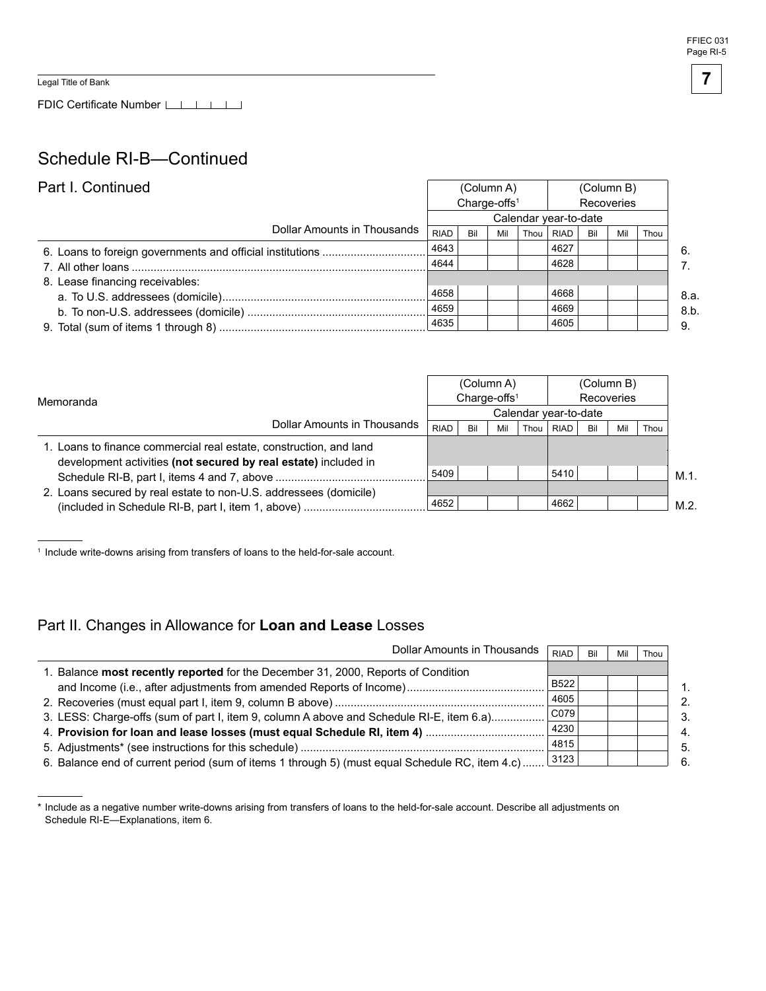FFIEC 031 Page RI-5

**7** 

Legal Title of Bank

FDIC Certificate Number LILILI

## Schedule RI-B-Continued

| Part I. Continued               |                                        | (Column A) |     |      | (Column B)            |     |     |      |
|---------------------------------|----------------------------------------|------------|-----|------|-----------------------|-----|-----|------|
|                                 | Charge-offs <sup>1</sup><br>Recoveries |            |     |      |                       |     |     |      |
|                                 |                                        |            |     |      | Calendar year-to-date |     |     |      |
| Dollar Amounts in Thousands     | <b>RIAD</b>                            | Bil        | Mil | Thou | RIAD                  | Bil | Mil | Thou |
|                                 | 4643                                   |            |     |      | 4627                  |     |     |      |
|                                 | 4644                                   |            |     |      | 4628                  |     |     |      |
| 8. Lease financing receivables: |                                        |            |     |      |                       |     |     |      |
|                                 | 4658                                   |            |     |      | 4668                  |     |     |      |
|                                 | 4659                                   |            |     |      | 4669                  |     |     |      |
|                                 | 4635                                   |            |     |      | 4605                  |     |     |      |

|                                                                                                                                       |                       |                                        | (Column A) |      |             |     | (Column B) |      |      |
|---------------------------------------------------------------------------------------------------------------------------------------|-----------------------|----------------------------------------|------------|------|-------------|-----|------------|------|------|
| Memoranda                                                                                                                             |                       | Charge-offs <sup>1</sup><br>Recoveries |            |      |             |     |            |      |      |
|                                                                                                                                       | Calendar year-to-date |                                        |            |      |             |     |            |      |      |
| Dollar Amounts in Thousands                                                                                                           | <b>RIAD</b>           | Bil                                    | Mil        | Thou | <b>RIAD</b> | Bil | Mil        | Thou |      |
| 1. Loans to finance commercial real estate, construction, and land<br>development activities (not secured by real estate) included in |                       |                                        |            |      |             |     |            |      |      |
|                                                                                                                                       | 5409                  |                                        |            |      | 5410        |     |            |      | M.1. |
| 2. Loans secured by real estate to non-U.S. addressees (domicile)                                                                     |                       |                                        |            |      |             |     |            |      |      |
| (included in Schedule RI-B, part I, item 1, above)                                                                                    | 4652                  |                                        |            |      | 4662        |     |            |      | M.2  |

<sup>1</sup> Include write-downs arising from transfers of loans to the held-for-sale account.

### Part II. Changes in Allowance for **Loan and Lease** Losses

| Dollar Amounts in Thousands                                                                    | <b>RIAD</b> | Bil | Mi | Thou |
|------------------------------------------------------------------------------------------------|-------------|-----|----|------|
| 1. Balance most recently reported for the December 31, 2000, Reports of Condition              |             |     |    |      |
|                                                                                                | B522        |     |    |      |
|                                                                                                | 4605        |     |    |      |
| 3. LESS: Charge-offs (sum of part I, item 9, column A above and Schedule RI-E, item 6.a)       | CO79        |     |    |      |
|                                                                                                | 4230        |     |    |      |
|                                                                                                | 4815        |     |    |      |
| 6. Balance end of current period (sum of items 1 through 5) (must equal Schedule RC, item 4.c) | 3123        |     |    |      |

<sup>\*</sup> Include as a negative number write-downs arising from transfers of loans to the held-for-sale account. Describe all adjustments on Schedule RI-E-Explanations, item 6.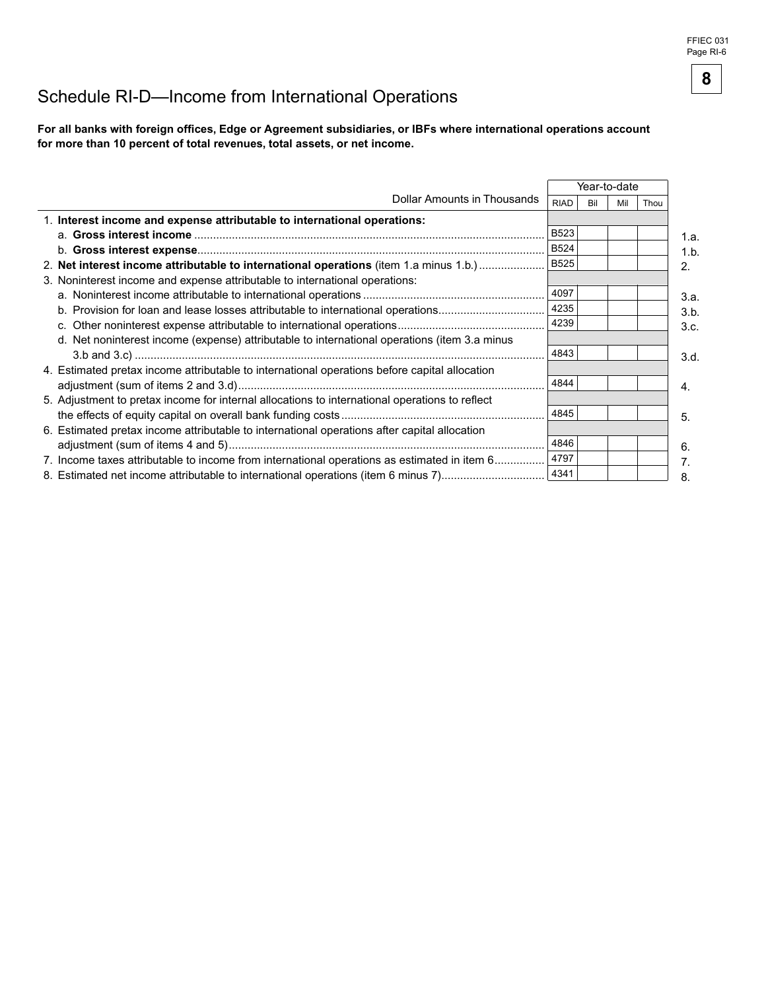## Schedule RI-D—Income from International Operations

For all banks with foreign offices, Edge or Agreement subsidiaries, or IBFs where international operations account for more than 10 percent of total revenues, total assets, or net income.

|                                                                                                |             |     | Year-to-date |      |      |
|------------------------------------------------------------------------------------------------|-------------|-----|--------------|------|------|
| Dollar Amounts in Thousands                                                                    | <b>RIAD</b> | Bil | Mil          | Thou |      |
| 1. Interest income and expense attributable to international operations:                       |             |     |              |      |      |
|                                                                                                | <b>B523</b> |     |              |      | 1.a. |
|                                                                                                | <b>B524</b> |     |              |      | 1.b. |
| 2. Net interest income attributable to international operations (item 1.a minus 1.b.)          | <b>B525</b> |     |              |      | 2.   |
| 3. Noninterest income and expense attributable to international operations:                    |             |     |              |      |      |
|                                                                                                | 4097        |     |              |      | 3.a. |
| b. Provision for loan and lease losses attributable to international operations                | 4235        |     |              |      | 3.b. |
|                                                                                                | 4239        |     |              |      | 3.c. |
| d. Net noninterest income (expense) attributable to international operations (item 3.a minus   |             |     |              |      |      |
|                                                                                                | 4843        |     |              |      | 3.d. |
| 4. Estimated pretax income attributable to international operations before capital allocation  |             |     |              |      |      |
|                                                                                                | 4844        |     |              |      | 4.   |
| 5. Adjustment to pretax income for internal allocations to international operations to reflect |             |     |              |      |      |
|                                                                                                | 4845        |     |              |      | 5.   |
| 6. Estimated pretax income attributable to international operations after capital allocation   |             |     |              |      |      |
|                                                                                                | 4846        |     |              |      | 6.   |
| 7. Income taxes attributable to income from international operations as estimated in item 6    | 4797        |     |              |      | 7.   |
| 8. Estimated net income attributable to international operations (item 6 minus 7)              | 4341        |     |              |      | 8.   |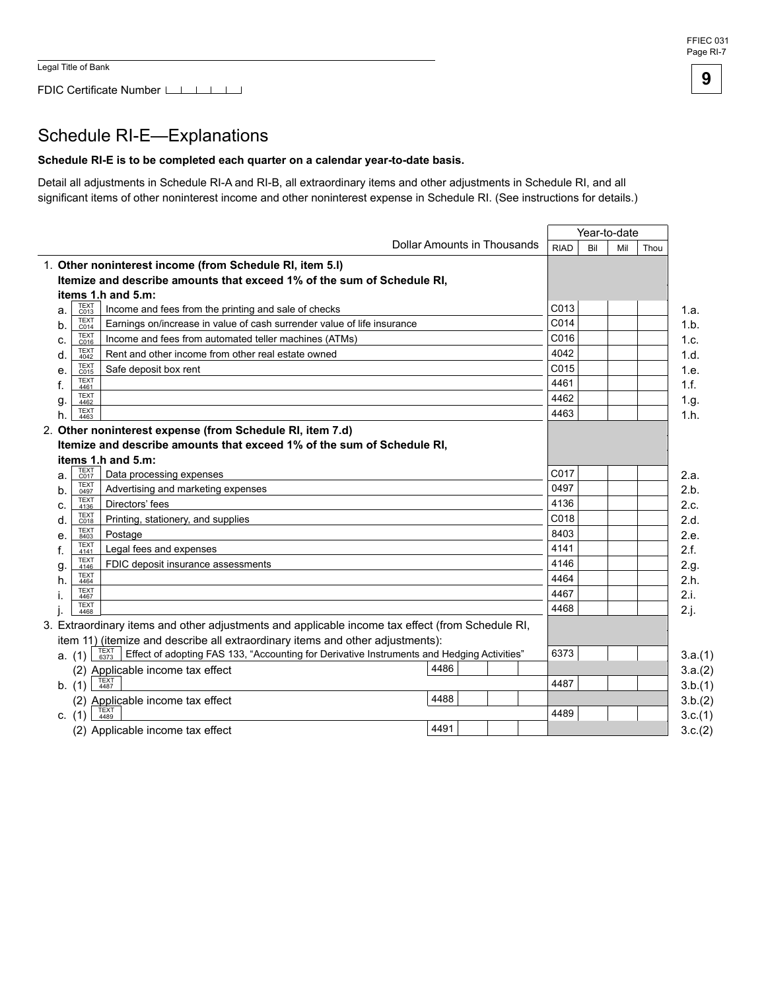#### FFIEC 031 Page RI-7

**9**

## Schedule RI-E-Explanations

#### **Schedule RI-E is to be completed each quarter on a calendar year-to-date basis.**

Detail all adjustments in Schedule RI-A and RI-B, all extraordinary items and other adjustments in Schedule RI, and all significant items of other noninterest income and other noninterest expense in Schedule RI. (See instructions for details.)

|          |                     |                                                                                                            |                             |             |     | Year-to-date |      |         |
|----------|---------------------|------------------------------------------------------------------------------------------------------------|-----------------------------|-------------|-----|--------------|------|---------|
|          |                     |                                                                                                            | Dollar Amounts in Thousands | <b>RIAD</b> | Bil | Mil          | Thou |         |
|          |                     | 1. Other noninterest income (from Schedule RI, item 5.I)                                                   |                             |             |     |              |      |         |
|          |                     | Itemize and describe amounts that exceed 1% of the sum of Schedule RI,                                     |                             |             |     |              |      |         |
|          |                     | items 1.h and 5.m:                                                                                         |                             |             |     |              |      |         |
| a.       | <b>TEXT</b><br>C013 | Income and fees from the printing and sale of checks                                                       |                             | C013        |     |              |      | 1.a.    |
| b.       | <b>TEXT</b><br>C014 | Earnings on/increase in value of cash surrender value of life insurance                                    |                             | C014        |     |              |      | 1.b.    |
| c.       | <b>TEXT</b><br>C016 | Income and fees from automated teller machines (ATMs)                                                      |                             | C016        |     |              |      | 1.c.    |
| d.       | <b>TEXT</b><br>4042 | Rent and other income from other real estate owned                                                         |                             | 4042        |     |              |      | 1.d.    |
| е.       | <b>TEXT</b><br>C015 | Safe deposit box rent                                                                                      |                             | C015        |     |              |      | 1.e.    |
| f.       | <b>TEXT</b><br>4461 |                                                                                                            |                             | 4461        |     |              |      | 1.f.    |
| g.       | <b>TEXT</b><br>4462 |                                                                                                            |                             | 4462        |     |              |      | 1.g.    |
| h.       | <b>TEXT</b><br>4463 |                                                                                                            |                             | 4463        |     |              |      | 1.h.    |
|          |                     | 2. Other noninterest expense (from Schedule RI, item 7.d)                                                  |                             |             |     |              |      |         |
|          |                     | Itemize and describe amounts that exceed 1% of the sum of Schedule RI.                                     |                             |             |     |              |      |         |
|          |                     | items 1.h and 5.m:                                                                                         |                             |             |     |              |      |         |
| a.       | TEXT<br>C017        | Data processing expenses                                                                                   |                             | C017        |     |              |      | 2.a.    |
| b.       | <b>TEXT</b><br>0497 | Advertising and marketing expenses                                                                         |                             | 0497        |     |              |      | 2.b.    |
| c.       | <b>TEXT</b><br>4136 | Directors' fees                                                                                            |                             | 4136        |     |              |      | 2.c.    |
| d.       | <b>TEXT</b><br>C018 | Printing, stationery, and supplies                                                                         |                             | C018        |     |              |      | 2.d.    |
| е.       | <b>TEXT</b><br>8403 | Postage                                                                                                    |                             | 8403        |     |              |      | 2.e.    |
| f.       | TEXT<br>4141        | Legal fees and expenses                                                                                    |                             | 4141        |     |              |      | 2.f.    |
| g        | <b>TEXT</b><br>4146 | FDIC deposit insurance assessments                                                                         |                             | 4146        |     |              |      | 2.g.    |
| h.       | <b>TEXT</b><br>4464 |                                                                                                            |                             | 4464        |     |              |      | 2.h.    |
|          | <b>TEXT</b><br>4467 |                                                                                                            |                             | 4467        |     |              |      | 2.i.    |
|          | <b>TEXT</b><br>4468 |                                                                                                            |                             | 4468        |     |              |      | 2.j.    |
|          |                     | 3. Extraordinary items and other adjustments and applicable income tax effect (from Schedule RI,           |                             |             |     |              |      |         |
|          |                     | item 11) (itemize and describe all extraordinary items and other adjustments):                             |                             |             |     |              |      |         |
|          | a. (1)              | TEXT<br>6373<br>Effect of adopting FAS 133, "Accounting for Derivative Instruments and Hedging Activities" |                             | 6373        |     |              |      | 3.a.(1) |
|          |                     | (2) Applicable income tax effect                                                                           | 4486                        |             |     |              |      | 3.a.(2) |
| b. (1)   |                     | <b>TEXT</b><br>4487                                                                                        |                             | 4487        |     |              |      | 3.b.(1) |
|          |                     | (2) Applicable income tax effect                                                                           | 4488                        |             |     |              |      | 3.b.(2) |
| c. $(1)$ |                     | 4489                                                                                                       |                             | 4489        |     |              |      | 3.c.(1) |
|          |                     | (2) Applicable income tax effect                                                                           | 4491                        |             |     |              |      | 3.c.(2) |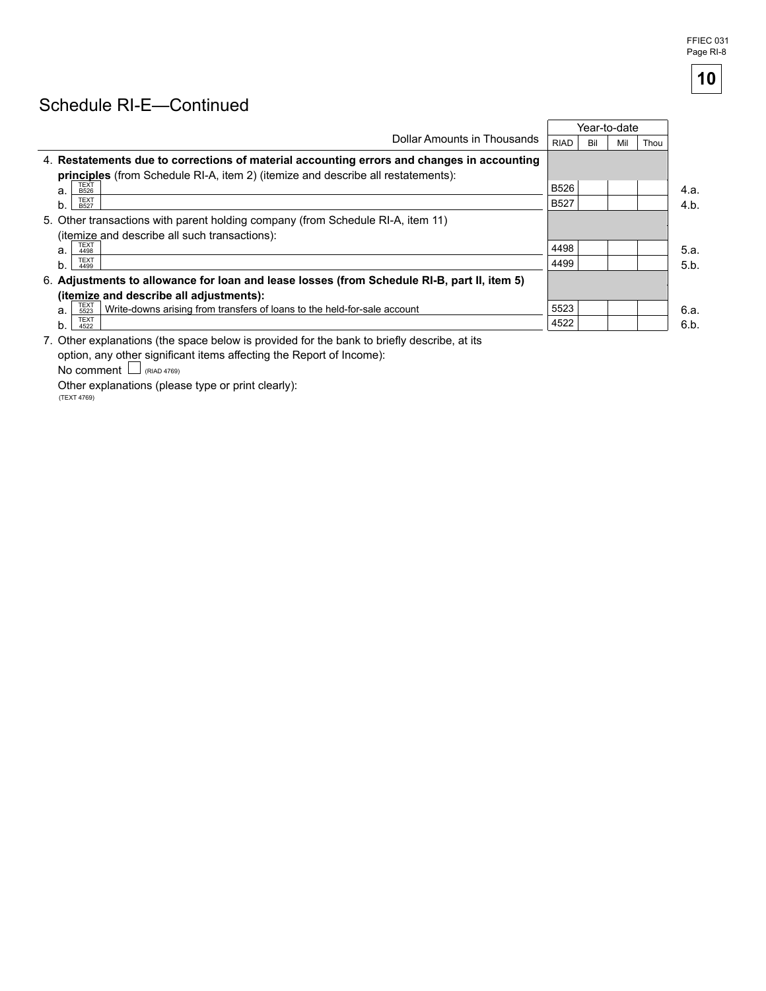## Schedule RI-E-Continued

|                                                                                                          |             |     | Year-to-date |      |      |
|----------------------------------------------------------------------------------------------------------|-------------|-----|--------------|------|------|
| Dollar Amounts in Thousands                                                                              | <b>RIAD</b> | Bil | Mil          | Thou |      |
| 4. Restatements due to corrections of material accounting errors and changes in accounting               |             |     |              |      |      |
| <b>principles</b> (from Schedule RI-A, item 2) (itemize and describe all restatements):                  |             |     |              |      |      |
| <b>TEXT</b><br>a.<br><b>B526</b>                                                                         | B526        |     |              |      | 4.a. |
| <b>TEXT</b><br><b>B527</b>                                                                               | <b>B527</b> |     |              |      | 4.b. |
| 5. Other transactions with parent holding company (from Schedule RI-A, item 11)                          |             |     |              |      |      |
| (itemize and describe all such transactions):                                                            |             |     |              |      |      |
| <b>TEXT</b><br>a.<br>4498                                                                                | 4498        |     |              |      | 5.a. |
| <b>TEXT</b><br>b.<br>4499                                                                                | 4499        |     |              |      | 5.b. |
| 6. Adjustments to allowance for loan and lease losses (from Schedule RI-B, part II, item 5)              |             |     |              |      |      |
| (itemize and describe all adjustments):                                                                  |             |     |              |      |      |
| TEXT<br>5523<br>Write-downs arising from transfers of loans to the held-for-sale account<br>$\mathbf{a}$ | 5523        |     |              |      | 6.a. |
| <b>TEXT</b><br>4522                                                                                      | 4522        |     |              |      | 6.b. |

7. Other explanations (the space below is provided for the bank to briefly describe, at its option, any other significant items affecting the Report of Income):

 $No comment$  (RIAD 4769)

Other explanations (please type or print clearly): (TEXT 4769)

**10**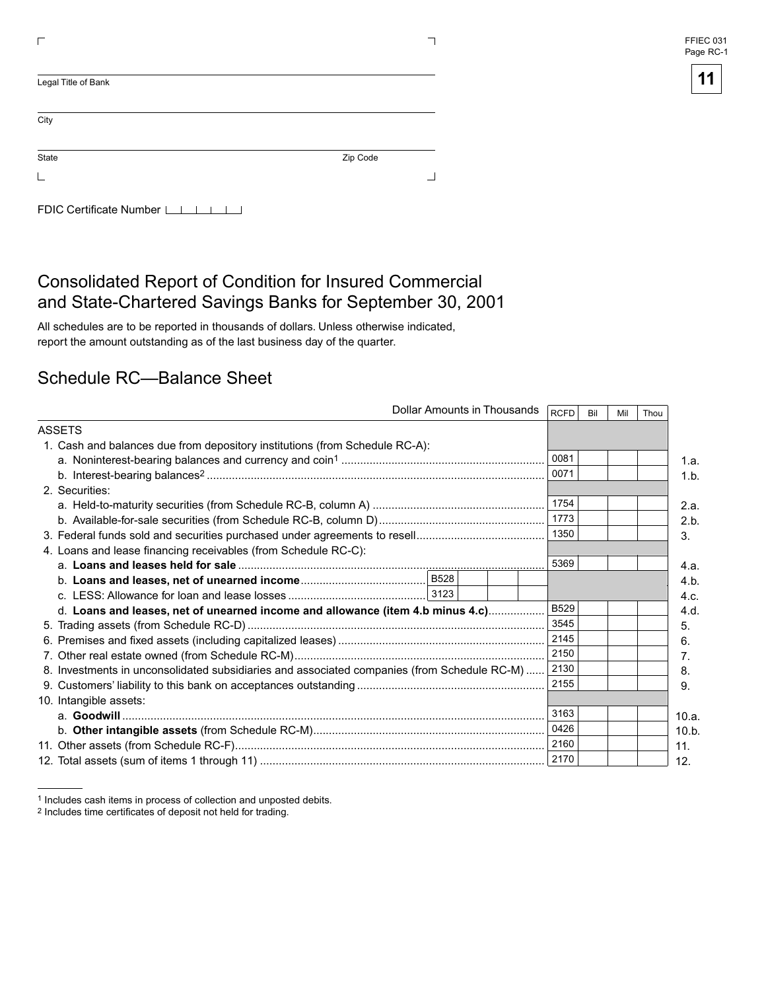| FFIEC 031 |  |
|-----------|--|
| Page RC-1 |  |

| Zip Code |  |
|----------|--|
|          |  |
|          |  |

## Consolidated Report of Condition for Insured Commercial and State-Chartered Savings Banks for September 30, 2001

All schedules are to be reported in thousands of dollars. Unless otherwise indicated, report the amount outstanding as of the last business day of the quarter.

## Schedule RC—Balance Sheet

|                                                                                             | Dollar Amounts in Thousands<br><b>RCFD</b><br>Bil<br>Thou<br>Mil |       |
|---------------------------------------------------------------------------------------------|------------------------------------------------------------------|-------|
| ASSETS                                                                                      |                                                                  |       |
| 1. Cash and balances due from depository institutions (from Schedule RC-A):                 |                                                                  |       |
|                                                                                             | 0081                                                             | 1.a.  |
|                                                                                             | 0071                                                             | 1.b.  |
| 2. Securities:                                                                              |                                                                  |       |
|                                                                                             | 1754                                                             | 2.a.  |
|                                                                                             | 1773                                                             | 2.b.  |
|                                                                                             | 1350                                                             | 3.    |
| 4. Loans and lease financing receivables (from Schedule RC-C):                              |                                                                  |       |
|                                                                                             | 5369                                                             | 4.a.  |
|                                                                                             |                                                                  | 4.b.  |
|                                                                                             |                                                                  | 4.c.  |
| d. Loans and leases, net of unearned income and allowance (item 4.b minus 4.c)              | <b>B529</b>                                                      | 4.d.  |
|                                                                                             | 3545                                                             | 5.    |
|                                                                                             | 2145                                                             | 6.    |
|                                                                                             | 2150                                                             | 7.    |
| 8. Investments in unconsolidated subsidiaries and associated companies (from Schedule RC-M) | 2130                                                             | 8.    |
|                                                                                             | 2155                                                             | 9.    |
| 10. Intangible assets:                                                                      |                                                                  |       |
|                                                                                             | 3163                                                             | 10.a. |
|                                                                                             | 0426                                                             | 10.b. |
|                                                                                             | 2160                                                             | 11.   |
|                                                                                             | 2170                                                             | 12.   |

<sup>1</sup> Includes cash items in process of collection and unposted debits.

<sup>2</sup> Includes time certificates of deposit not held for trading.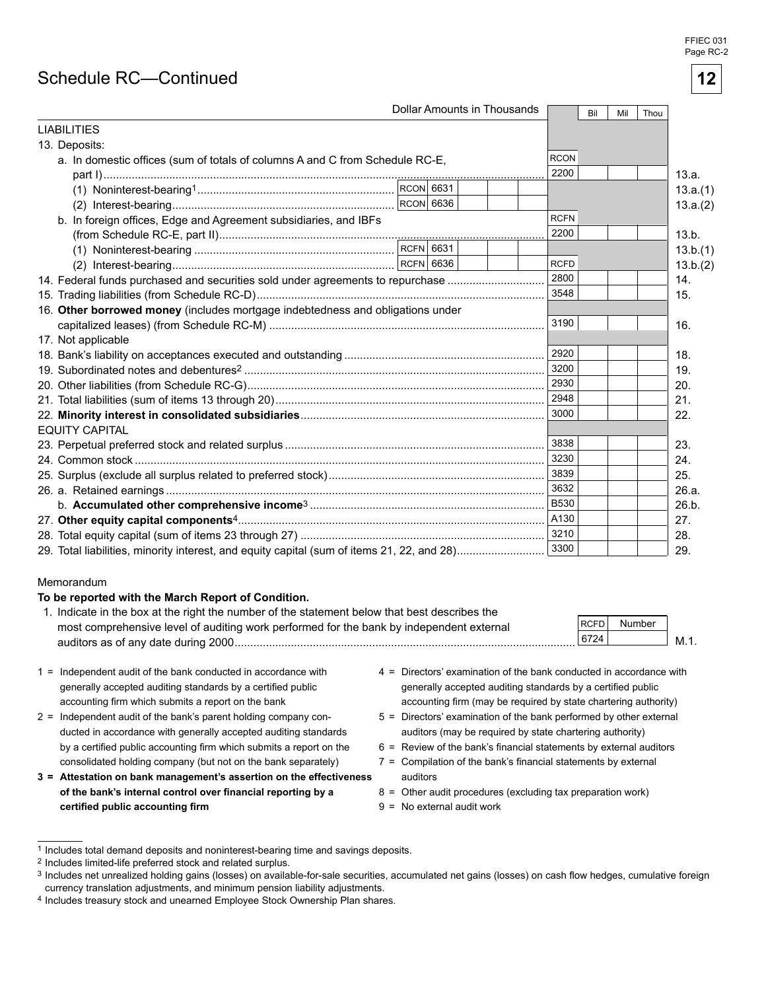#### FFIEC 031 Page RC-2

**12** 

## Schedule RC-Continued

|                                                                                |  | Dollar Amounts in Thousands |             | Bil | Mil | Thou |          |
|--------------------------------------------------------------------------------|--|-----------------------------|-------------|-----|-----|------|----------|
| <b>LIABILITIES</b>                                                             |  |                             |             |     |     |      |          |
| 13. Deposits:                                                                  |  |                             |             |     |     |      |          |
| a. In domestic offices (sum of totals of columns A and C from Schedule RC-E,   |  |                             | <b>RCON</b> |     |     |      |          |
|                                                                                |  |                             | 2200        |     |     |      | 13.a.    |
|                                                                                |  |                             |             |     |     |      | 13.a.(1) |
|                                                                                |  |                             |             |     |     |      | 13.a.(2) |
| b. In foreign offices, Edge and Agreement subsidiaries, and IBFs               |  |                             | <b>RCFN</b> |     |     |      |          |
|                                                                                |  |                             | 2200        |     |     |      | 13.b.    |
|                                                                                |  |                             |             |     |     |      | 13.b.(1) |
|                                                                                |  |                             | <b>RCFD</b> |     |     |      | 13.b.(2) |
| 14. Federal funds purchased and securities sold under agreements to repurchase |  |                             | 2800        |     |     |      | 14.      |
|                                                                                |  |                             | 3548        |     |     |      | 15.      |
| 16. Other borrowed money (includes mortgage indebtedness and obligations under |  |                             |             |     |     |      |          |
|                                                                                |  |                             | 3190        |     |     |      | 16.      |
| 17. Not applicable                                                             |  |                             |             |     |     |      |          |
|                                                                                |  |                             | 2920        |     |     |      | 18.      |
|                                                                                |  |                             | 3200        |     |     |      | 19.      |
|                                                                                |  |                             |             |     |     |      | 20.      |
|                                                                                |  |                             | 2948        |     |     |      | 21.      |
|                                                                                |  |                             | 3000        |     |     |      | 22.      |
| <b>EQUITY CAPITAL</b>                                                          |  |                             |             |     |     |      |          |
|                                                                                |  |                             | 3838        |     |     |      | 23.      |
|                                                                                |  |                             | 3230        |     |     |      | 24.      |
|                                                                                |  |                             | 3839        |     |     |      | 25.      |
|                                                                                |  |                             | 3632        |     |     |      | 26.a.    |
|                                                                                |  |                             | <b>B530</b> |     |     |      | 26.b.    |
|                                                                                |  |                             | A130        |     |     |      | 27.      |
|                                                                                |  |                             |             |     |     |      | 28.      |
|                                                                                |  |                             | 3300        |     |     |      | 29.      |

#### Memorandum

#### **To be reported with the March Report of Condition.**

| 1. Indicate in the box at the right the number of the statement below that best describes the |             |        |     |
|-----------------------------------------------------------------------------------------------|-------------|--------|-----|
| most comprehensive level of auditing work performed for the bank by independent external      | <b>RCFD</b> | Number |     |
| auditors as of any date during 2000                                                           | 6724        |        | M.1 |
|                                                                                               |             |        |     |

- accounting firm which submits a report on the bank accounting firm (may be required by state chartering authority)
- 2 = Independent audit of the bank's parent holding company con-<br>5 = Directors' examination of the bank performed by other external ducted in accordance with generally accepted auditing standards auditors (may be required by state chartering authority) consolidated holding company (but not on the bank separately)  $7 =$  Compilation of the bank's financial statements by external
- **3 = Attestation on bank management's assertion on the effectiveness** auditors **of the bank's internal control over financial reporting by a**  $8 =$  **Other audit procedures (excluding tax preparation work) certified public accounting firm <b>b p b p c p c p c p c p c p c p c p c p c p c p c p c p c p c p c p c p c p c p c p c p c p c**
- 1 = Independent audit of the bank conducted in accordance with 4 = Directors examination of the bank conducted in accordance with generally accepted auditing standards by a certified public generally accepted auditing standards by a certified public
	-
	- by a certified public accounting firm which submits a report on the  $6 =$  Review of the bank's financial statements by external auditors
		-
		-
		-

<sup>1</sup> Includes total demand deposits and noninterest-bearing time and savings deposits.

<sup>2</sup> Includes limited-life preferred stock and related surplus.

<sup>3</sup> Includes net unrealized holding gains (losses) on available-for-sale securities, accumulated net gains (losses) on cash ßow hedges, cumulative foreign currency translation adjustments, and minimum pension liability adjustments.

<sup>4</sup> Includes treasury stock and unearned Employee Stock Ownership Plan shares.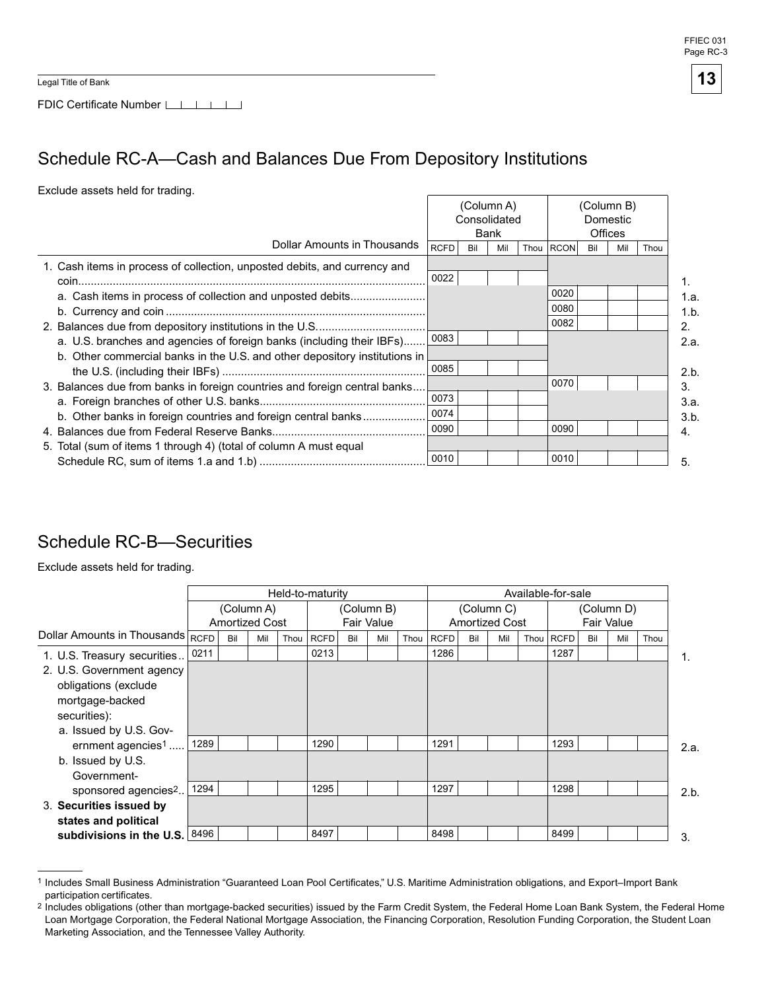Legal Title of Bank

FDIC Certificate Number [16]

# Schedule RC-A—Cash and Balances Due From Depository Institutions

Exclude assets held for trading.

|                                                                            |              |     | (Column A) |          | (Column B)  |     |                |      |
|----------------------------------------------------------------------------|--------------|-----|------------|----------|-------------|-----|----------------|------|
|                                                                            | Consolidated |     |            | Domestic |             |     |                |      |
|                                                                            |              |     | Bank       |          |             |     | <b>Offices</b> |      |
| Dollar Amounts in Thousands                                                | <b>RCFD</b>  | Bil | Mil        | Thou     | <b>RCON</b> | Bil | Mil            | Thou |
| 1. Cash items in process of collection, unposted debits, and currency and  |              |     |            |          |             |     |                |      |
|                                                                            | 0022         |     |            |          |             |     |                |      |
| a. Cash items in process of collection and unposted debits                 |              |     |            |          | 0020        |     |                |      |
|                                                                            |              |     |            |          | 0080        |     |                |      |
|                                                                            |              |     |            |          | 0082        |     |                |      |
| a. U.S. branches and agencies of foreign banks (including their IBFs)      | 0083         |     |            |          |             |     |                |      |
| b. Other commercial banks in the U.S. and other depository institutions in |              |     |            |          |             |     |                |      |
|                                                                            | 0085         |     |            |          |             |     |                |      |
| 3. Balances due from banks in foreign countries and foreign central banks  |              |     |            |          | 0070        |     |                |      |
|                                                                            | 0073         |     |            |          |             |     |                |      |
| b. Other banks in foreign countries and foreign central banks              | 0074         |     |            |          |             |     |                |      |
|                                                                            | 0090         |     |            |          | 0090        |     |                |      |
| 5. Total (sum of items 1 through 4) (total of column A must equal          |              |     |            |          |             |     |                |      |
|                                                                            | 0010         |     |            |          | 0010        |     |                |      |

## Schedule RC-B—Securities

Exclude assets held for trading.

|                                   |      |     |                                     |      | Held-to-maturity |     |                          |      |             |     |                                     |      | Available-for-sale |     |                                 |      |      |
|-----------------------------------|------|-----|-------------------------------------|------|------------------|-----|--------------------------|------|-------------|-----|-------------------------------------|------|--------------------|-----|---------------------------------|------|------|
|                                   |      |     | (Column A)<br><b>Amortized Cost</b> |      |                  |     | (Column B)<br>Fair Value |      |             |     | (Column C)<br><b>Amortized Cost</b> |      |                    |     | (Column D)<br><b>Fair Value</b> |      |      |
| Dollar Amounts in Thousands RCFD  |      | Bil | Mil                                 | Thou | <b>RCFD</b>      | Bil | Mil                      | Thou | <b>RCFD</b> | Bil | Mil                                 | Thou | RCFD               | Bil | Mil                             | Thou |      |
| 1. U.S. Treasury securities       | 0211 |     |                                     |      | 0213             |     |                          |      | 1286        |     |                                     |      | 1287               |     |                                 |      | 1.   |
| 2. U.S. Government agency         |      |     |                                     |      |                  |     |                          |      |             |     |                                     |      |                    |     |                                 |      |      |
| obligations (exclude              |      |     |                                     |      |                  |     |                          |      |             |     |                                     |      |                    |     |                                 |      |      |
| mortgage-backed                   |      |     |                                     |      |                  |     |                          |      |             |     |                                     |      |                    |     |                                 |      |      |
| securities):                      |      |     |                                     |      |                  |     |                          |      |             |     |                                     |      |                    |     |                                 |      |      |
| a. Issued by U.S. Gov-            |      |     |                                     |      |                  |     |                          |      |             |     |                                     |      |                    |     |                                 |      |      |
| ernment agencies <sup>1</sup>     | 1289 |     |                                     |      | 1290             |     |                          |      | 1291        |     |                                     |      | 1293               |     |                                 |      | 2.a. |
| b. Issued by U.S.                 |      |     |                                     |      |                  |     |                          |      |             |     |                                     |      |                    |     |                                 |      |      |
| Government-                       |      |     |                                     |      |                  |     |                          |      |             |     |                                     |      |                    |     |                                 |      |      |
| sponsored agencies <sup>2</sup>   | 1294 |     |                                     |      | 1295             |     |                          |      | 1297        |     |                                     |      | 1298               |     |                                 |      | 2.b. |
| 3. Securities issued by           |      |     |                                     |      |                  |     |                          |      |             |     |                                     |      |                    |     |                                 |      |      |
| states and political              |      |     |                                     |      |                  |     |                          |      |             |     |                                     |      |                    |     |                                 |      |      |
| subdivisions in the U.S. $ 8496 $ |      |     |                                     |      | 8497             |     |                          |      | 8498        |     |                                     |      | 8499               |     |                                 |      | 3.   |

 1 Includes Small Business Administration "Guaranteed Loan Pool Certificates," U.S. Maritime Administration obligations, and Export–Import Bank participation certificates.

 $^2$  Includes obligations (other than mortgage-backed securities) issued by the Farm Credit System, the Federal Home Loan Bank System, the Federal Home Loan Mortgage Corporation, the Federal National Mortgage Association, the Financing Corporation, Resolution Funding Corporation, the Student Loan Marketing Association, and the Tennessee Valley Authority.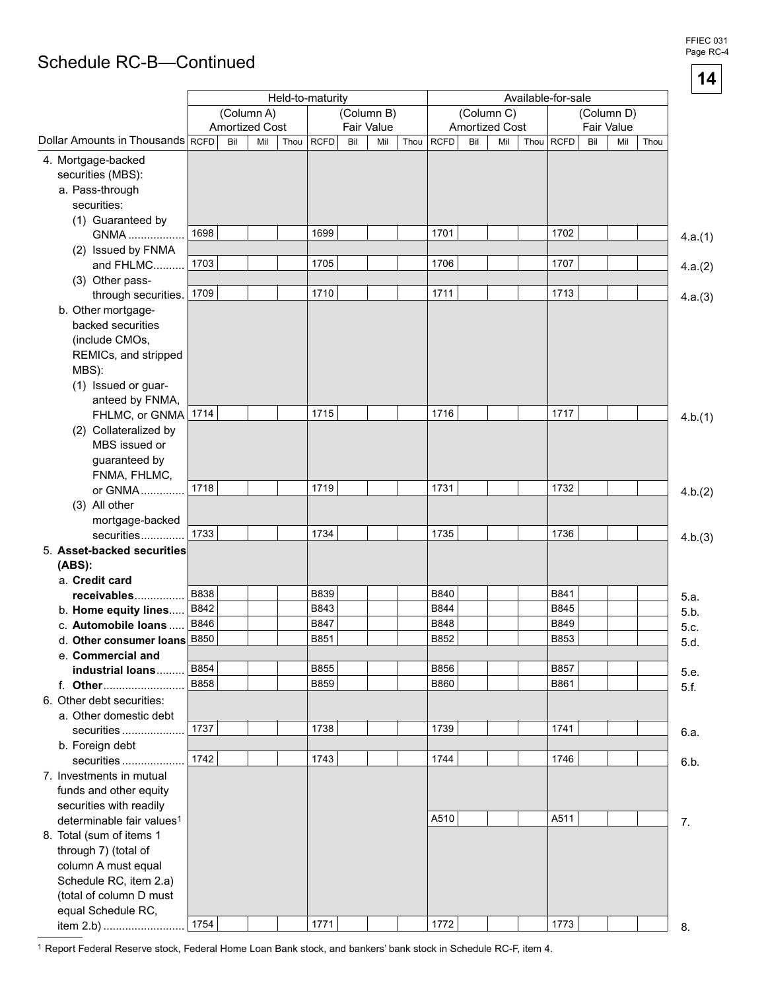## Schedule RC-B-Continued

|                                       |             |     | (Column A)            |      | Held-to-maturity           |     | (Column B) |      |                     |     | (Column C)            | Available-for-sale |             |     | (Column D) |         |
|---------------------------------------|-------------|-----|-----------------------|------|----------------------------|-----|------------|------|---------------------|-----|-----------------------|--------------------|-------------|-----|------------|---------|
|                                       |             |     | <b>Amortized Cost</b> |      |                            |     | Fair Value |      |                     |     | <b>Amortized Cost</b> |                    |             |     | Fair Value |         |
| Dollar Amounts in Thousands RCFD      |             | Bil | Mil                   | Thou | <b>RCFD</b>                | Bil | Mil        | Thou | <b>RCFD</b>         | Bil | Mil                   |                    | Thou RCFD   | Bil | Mil        | Thou    |
| 4. Mortgage-backed                    |             |     |                       |      |                            |     |            |      |                     |     |                       |                    |             |     |            |         |
| securities (MBS):                     |             |     |                       |      |                            |     |            |      |                     |     |                       |                    |             |     |            |         |
| a. Pass-through                       |             |     |                       |      |                            |     |            |      |                     |     |                       |                    |             |     |            |         |
| securities:                           |             |     |                       |      |                            |     |            |      |                     |     |                       |                    |             |     |            |         |
| (1) Guaranteed by                     | 1698        |     |                       |      | 1699                       |     |            |      |                     |     |                       |                    | 1702        |     |            |         |
| GNMA                                  |             |     |                       |      |                            |     |            |      | 1701                |     |                       |                    |             |     |            | 4.a.(1) |
| (2) Issued by FNMA<br>and FHLMC       | 1703        |     |                       |      | 1705                       |     |            |      | 1706                |     |                       |                    | 1707        |     |            |         |
| (3) Other pass-                       |             |     |                       |      |                            |     |            |      |                     |     |                       |                    |             |     |            | 4.a.(2) |
| through securities.                   | 1709        |     |                       |      | 1710                       |     |            |      | 1711                |     |                       |                    | 1713        |     |            | 4.a.(3) |
| b. Other mortgage-                    |             |     |                       |      |                            |     |            |      |                     |     |                       |                    |             |     |            |         |
| backed securities                     |             |     |                       |      |                            |     |            |      |                     |     |                       |                    |             |     |            |         |
| (include CMOs,                        |             |     |                       |      |                            |     |            |      |                     |     |                       |                    |             |     |            |         |
| REMICs, and stripped                  |             |     |                       |      |                            |     |            |      |                     |     |                       |                    |             |     |            |         |
| MBS):                                 |             |     |                       |      |                            |     |            |      |                     |     |                       |                    |             |     |            |         |
| (1) Issued or guar-                   |             |     |                       |      |                            |     |            |      |                     |     |                       |                    |             |     |            |         |
| anteed by FNMA,                       |             |     |                       |      |                            |     |            |      |                     |     |                       |                    |             |     |            |         |
| FHLMC, or GNMA                        | 1714        |     |                       |      | 1715                       |     |            |      | 1716                |     |                       |                    | 1717        |     |            | 4.b.(1) |
| (2) Collateralized by                 |             |     |                       |      |                            |     |            |      |                     |     |                       |                    |             |     |            |         |
| MBS issued or                         |             |     |                       |      |                            |     |            |      |                     |     |                       |                    |             |     |            |         |
| guaranteed by                         |             |     |                       |      |                            |     |            |      |                     |     |                       |                    |             |     |            |         |
| FNMA, FHLMC,<br>or GNMA               | 1718        |     |                       |      | 1719                       |     |            |      | 1731                |     |                       |                    | 1732        |     |            |         |
| (3) All other                         |             |     |                       |      |                            |     |            |      |                     |     |                       |                    |             |     |            | 4.b.(2) |
| mortgage-backed                       |             |     |                       |      |                            |     |            |      |                     |     |                       |                    |             |     |            |         |
| securities                            | 1733        |     |                       |      | 1734                       |     |            |      | 1735                |     |                       |                    | 1736        |     |            | 4.b.(3) |
| 5. Asset-backed securities            |             |     |                       |      |                            |     |            |      |                     |     |                       |                    |             |     |            |         |
| (ABS):                                |             |     |                       |      |                            |     |            |      |                     |     |                       |                    |             |     |            |         |
| a. Credit card                        |             |     |                       |      |                            |     |            |      |                     |     |                       |                    |             |     |            |         |
| receivables                           | B838        |     |                       |      | <b>B839</b>                |     |            |      | B840                |     |                       |                    | B841        |     |            | 5.a.    |
| b. Home equity lines                  | B842        |     |                       |      | B843                       |     |            |      | B844                |     |                       |                    | B845        |     |            | 5.b.    |
| c. Automobile loans.                  | B846        |     |                       |      | <b>B847</b>                |     |            |      | <b>B848</b>         |     |                       |                    | <b>B849</b> |     |            | 5.c.    |
| d. Other consumer loans               | <b>B850</b> |     |                       |      | B851                       |     |            |      | B852                |     |                       |                    | B853        |     |            | 5.d.    |
| e. Commercial and                     | B854        |     |                       |      |                            |     |            |      |                     |     |                       |                    | <b>B857</b> |     |            |         |
| industrial loans                      | <b>B858</b> |     |                       |      | <b>B855</b><br><b>B859</b> |     |            |      | B856<br><b>B860</b> |     |                       |                    | B861        |     |            | 5.e.    |
| f. Other<br>6. Other debt securities: |             |     |                       |      |                            |     |            |      |                     |     |                       |                    |             |     |            | 5.f.    |
| a. Other domestic debt                |             |     |                       |      |                            |     |            |      |                     |     |                       |                    |             |     |            |         |
| securities                            | 1737        |     |                       |      | 1738                       |     |            |      | 1739                |     |                       |                    | 1741        |     |            | 6.a.    |
| b. Foreign debt                       |             |     |                       |      |                            |     |            |      |                     |     |                       |                    |             |     |            |         |
| securities                            | 1742        |     |                       |      | 1743                       |     |            |      | 1744                |     |                       |                    | 1746        |     |            | 6.b.    |
| 7. Investments in mutual              |             |     |                       |      |                            |     |            |      |                     |     |                       |                    |             |     |            |         |
| funds and other equity                |             |     |                       |      |                            |     |            |      |                     |     |                       |                    |             |     |            |         |
| securities with readily               |             |     |                       |      |                            |     |            |      |                     |     |                       |                    |             |     |            |         |
| determinable fair values <sup>1</sup> |             |     |                       |      |                            |     |            |      | A510                |     |                       |                    | A511        |     |            | 7.      |
| 8. Total (sum of items 1              |             |     |                       |      |                            |     |            |      |                     |     |                       |                    |             |     |            |         |
| through 7) (total of                  |             |     |                       |      |                            |     |            |      |                     |     |                       |                    |             |     |            |         |
| column A must equal                   |             |     |                       |      |                            |     |            |      |                     |     |                       |                    |             |     |            |         |
| Schedule RC, item 2.a)                |             |     |                       |      |                            |     |            |      |                     |     |                       |                    |             |     |            |         |
| (total of column D must               |             |     |                       |      |                            |     |            |      |                     |     |                       |                    |             |     |            |         |
| equal Schedule RC,                    | 1754        |     |                       |      | 1771                       |     |            |      | 1772                |     |                       |                    | 1773        |     |            |         |
| item 2.b)                             |             |     |                       |      |                            |     |            |      |                     |     |                       |                    |             |     |            | 8.      |

<sup>1</sup> Report Federal Reserve stock, Federal Home Loan Bank stock, and bankers' bank stock in Schedule RC-F, item 4.

FFIEC 031 Page RC-4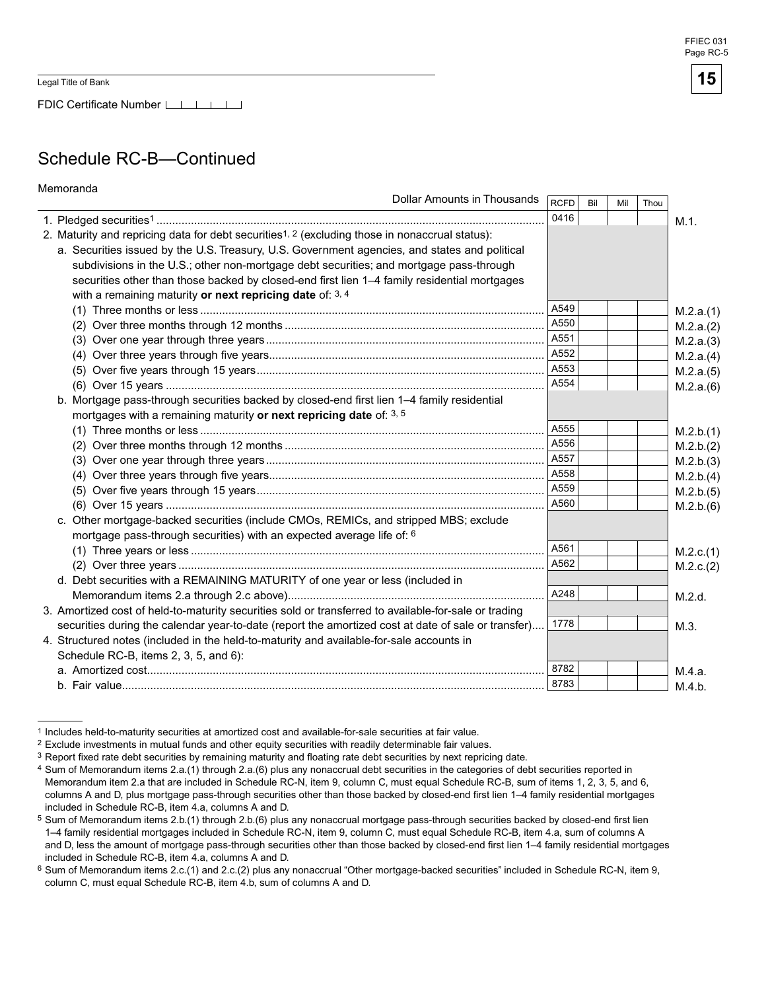Memoranda

FDIC Certificate Number LATT

## Schedule RC-B—Continued

| menioranua                                                                                                 | Dollar Amounts in Thousands | <b>RCFD</b> | Bil | Mil | Thou |           |
|------------------------------------------------------------------------------------------------------------|-----------------------------|-------------|-----|-----|------|-----------|
|                                                                                                            |                             | 0416        |     |     |      | M.1.      |
| 2. Maturity and repricing data for debt securities <sup>1, 2</sup> (excluding those in nonaccrual status): |                             |             |     |     |      |           |
| a. Securities issued by the U.S. Treasury, U.S. Government agencies, and states and political              |                             |             |     |     |      |           |
| subdivisions in the U.S.; other non-mortgage debt securities; and mortgage pass-through                    |                             |             |     |     |      |           |
| securities other than those backed by closed-end first lien 1-4 family residential mortgages               |                             |             |     |     |      |           |
| with a remaining maturity or next repricing date of: $3, 4$                                                |                             |             |     |     |      |           |
|                                                                                                            |                             | A549        |     |     |      | M.2.a.(1) |
|                                                                                                            |                             | A550        |     |     |      | M.2.a.(2) |
|                                                                                                            |                             | A551        |     |     |      | M.2.a.(3) |
|                                                                                                            |                             | A552        |     |     |      | M.2.a.(4) |
|                                                                                                            |                             | A553        |     |     |      | M.2.a.(5) |
|                                                                                                            |                             | A554        |     |     |      | M.2.a.(6) |
| b. Mortgage pass-through securities backed by closed-end first lien 1-4 family residential                 |                             |             |     |     |      |           |
| mortgages with a remaining maturity or next repricing date of: 3, 5                                        |                             |             |     |     |      |           |
|                                                                                                            |                             | A555        |     |     |      | M.2.b.(1) |
|                                                                                                            |                             | A556        |     |     |      | M.2.b.(2) |
|                                                                                                            |                             | A557        |     |     |      | M.2.b.(3) |
|                                                                                                            |                             | A558        |     |     |      | M.2.b.(4) |
|                                                                                                            |                             | A559        |     |     |      | M.2.b.(5) |
|                                                                                                            |                             | A560        |     |     |      | M.2.b.(6) |
| c. Other mortgage-backed securities (include CMOs, REMICs, and stripped MBS; exclude                       |                             |             |     |     |      |           |
| mortgage pass-through securities) with an expected average life of: 6                                      |                             |             |     |     |      |           |
|                                                                                                            |                             | A561        |     |     |      | M.2.c.(1) |
|                                                                                                            |                             | A562        |     |     |      | M.2.c.(2) |
| d. Debt securities with a REMAINING MATURITY of one year or less (included in                              |                             |             |     |     |      |           |
|                                                                                                            |                             | A248        |     |     |      | M.2.d.    |
| 3. Amortized cost of held-to-maturity securities sold or transferred to available-for-sale or trading      |                             |             |     |     |      |           |
| securities during the calendar year-to-date (report the amortized cost at date of sale or transfer)        |                             | 1778        |     |     |      | M.3.      |
| 4. Structured notes (included in the held-to-maturity and available-for-sale accounts in                   |                             |             |     |     |      |           |
| Schedule RC-B, items 2, 3, 5, and 6):                                                                      |                             |             |     |     |      |           |
|                                                                                                            |                             | 8782        |     |     |      | M.4.a.    |
|                                                                                                            |                             | 8783        |     |     |      | M.4.b.    |

<sup>1</sup> Includes held-to-maturity securities at amortized cost and available-for-sale securities at fair value.

<sup>2</sup> Exclude investments in mutual funds and other equity securities with readily determinable fair values.

 $3$  Report fixed rate debt securities by remaining maturity and floating rate debt securities by next repricing date.

<sup>4</sup> Sum of Memorandum items 2.a.(1) through 2.a.(6) plus any nonaccrual debt securities in the categories of debt securities reported in Memorandum item 2.a that are included in Schedule RC-N, item 9, column C, must equal Schedule RC-B, sum of items 1, 2, 3, 5, and 6, columns A and D, plus mortgage pass-through securities other than those backed by closed-end first lien 1–4 family residential mortgages included in Schedule RC-B, item 4.a, columns A and D.

Sum of Memorandum items 2.b.(1) through 2.b.(6) plus any nonaccrual mortgage pass-through securities backed by closed-end first lien 1–4 family residential mortgages included in Schedule RC-N, item 9, column C, must equal Schedule RC-B, item 4.a, sum of columns A and D, less the amount of mortgage pass-through securities other than those backed by closed-end first lien 1–4 family residential mortgages included in Schedule RC-B, item 4.a, columns A and D.

<sup>6</sup> Sum of Memorandum items 2.c.(1) and 2.c.(2) plus any nonaccrual "Other mortgage-backed securities" included in Schedule RC-N, item 9, column C, must equal Schedule RC-B, item 4.b, sum of columns A and D.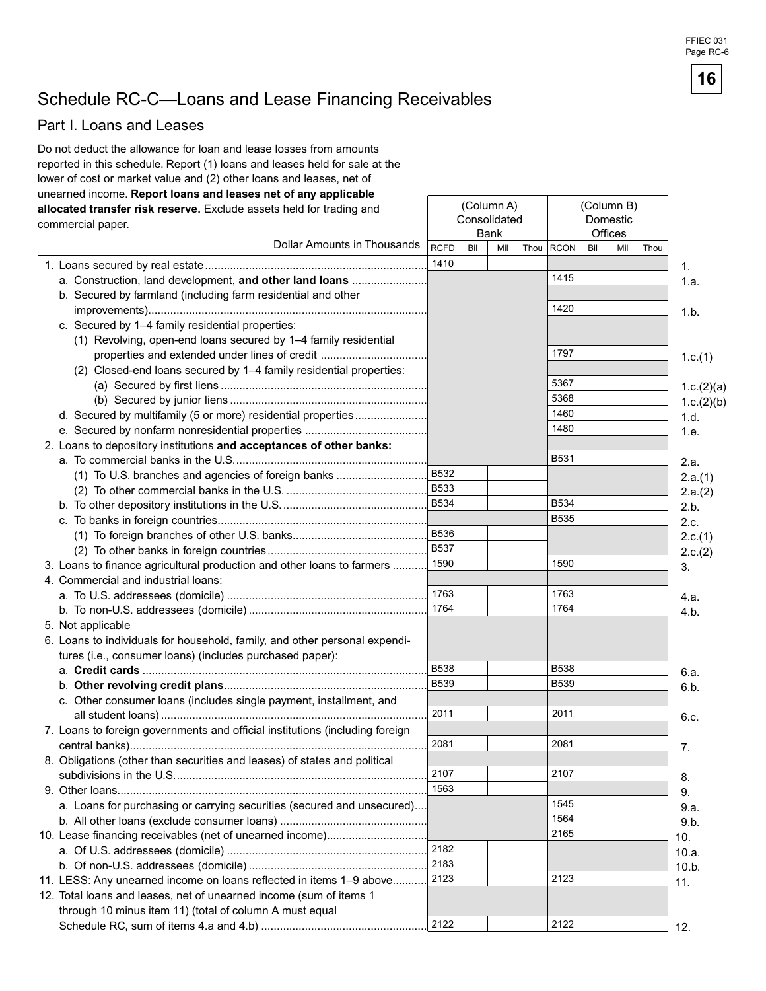FFIEC 031 Page RC-6

## Schedule RC-C-Loans and Lease Financing Receivables

### Part I. Loans and Leases

Do not deduct the allowance for loan and lease losses from amounts reported in this schedule. Report (1) loans and leases held for sale at the lower of cost or market value and (2) other loans and leases, net of unearned income. Report loans and leases net of any applicable (Column A) (Column B) allocated transfer risk reserve. Exclude assets held for trading and Consolidated Domestic commercial paper. **Bank** Offices Dollar Amounts in Thousands **RCFD** Bil Mil Thou RCON Bil Mil Thou 1410  $1.$ 1415 a. Construction, land development, and other land loans ........................  $1a$ b. Secured by farmland (including farm residential and other 1420  $1.b.$ c. Secured by 1-4 family residential properties: (1) Revolving, open-end loans secured by 1-4 family residential 1797 properties and extended under lines of credit ..................................  $1.c.(1)$ (2) Closed-end loans secured by 1-4 family residential properties: 5367  $1.c.(2)(a)$ 5368  $1.c.(2)(b)$ 1460 d. Secured by multifamily (5 or more) residential properties.....................  $1.d.$ 1480 1.e. 2. Loans to depository institutions and acceptances of other banks: B531  $2.a.$ **B532** (1) To U.S. branches and agencies of foreign banks ............................  $2.a.(1)$ **B533**  $2.a.(2)$ **B534 B534**  $2.b.$ **B535** 2.c. **B536**  $2.c.(1)$ **B537**  $2.c.(2)$ 1590 1590 3. Loans to finance agricultural production and other loans to farmers ........ 3. 4. Commercial and industrial loans: 1763 1763 4.a. 1764 1764 4.b. 5. Not applicable 6. Loans to individuals for household, family, and other personal expenditures (i.e., consumer loans) (includes purchased paper): **B538 B538** 6.a. **B539 B539** 6.b. c. Other consumer loans (includes single payment, installment, and 2011 2011 6.c. 7. Loans to foreign governments and official institutions (including foreign 2081 2081 7. 8. Obligations (other than securities and leases) of states and political 2107 2107 8. 1563 9. 1545 a. Loans for purchasing or carrying securities (secured and unsecured)... 9.a. 1564  $9.b.$ 2165 10. Lease financing receivables (net of unearned income)...............................  $10.$ 2182  $10.a.$ 2183  $10.b.$ 2123 2123 11. LESS: Any unearned income on loans reflected in items 1-9 above.........  $11.$ 12. Total loans and leases, net of unearned income (sum of items 1 through 10 minus item 11) (total of column A must equal 2122 2122  $12.$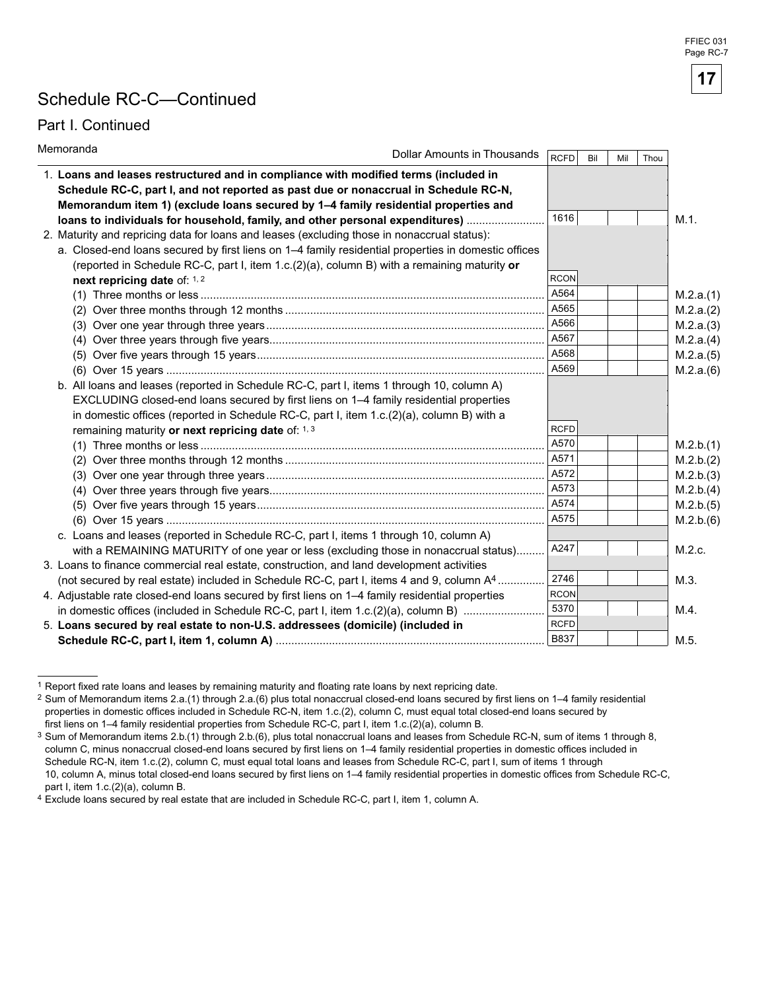## Schedule RC-C—Continued

### Part I. Continued

| Memoranda<br><b>Dollar Amounts in Thousands</b>                                                                                                                                                                                                                  | <b>RCFD</b> | Bil | Mil | Thou |           |
|------------------------------------------------------------------------------------------------------------------------------------------------------------------------------------------------------------------------------------------------------------------|-------------|-----|-----|------|-----------|
| 1. Loans and leases restructured and in compliance with modified terms (included in<br>Schedule RC-C, part I, and not reported as past due or nonaccrual in Schedule RC-N,<br>Memorandum item 1) (exclude loans secured by 1-4 family residential properties and |             |     |     |      |           |
| loans to individuals for household, family, and other personal expenditures)                                                                                                                                                                                     | 1616        |     |     |      | M.1.      |
| 2. Maturity and repricing data for loans and leases (excluding those in nonaccrual status):                                                                                                                                                                      |             |     |     |      |           |
| a. Closed-end loans secured by first liens on 1-4 family residential properties in domestic offices                                                                                                                                                              |             |     |     |      |           |
| (reported in Schedule RC-C, part I, item $1.c.(2)(a)$ , column B) with a remaining maturity or                                                                                                                                                                   |             |     |     |      |           |
| next repricing date of: 1, 2                                                                                                                                                                                                                                     | <b>RCON</b> |     |     |      |           |
|                                                                                                                                                                                                                                                                  | A564        |     |     |      | M.2.a.(1) |
|                                                                                                                                                                                                                                                                  | A565        |     |     |      | M.2.a.(2) |
|                                                                                                                                                                                                                                                                  | A566        |     |     |      | M.2.a.(3) |
|                                                                                                                                                                                                                                                                  | A567        |     |     |      | M.2.a.(4) |
|                                                                                                                                                                                                                                                                  | A568        |     |     |      | M.2.a.(5) |
|                                                                                                                                                                                                                                                                  | A569        |     |     |      | M.2.a.(6) |
| b. All loans and leases (reported in Schedule RC-C, part I, items 1 through 10, column A)                                                                                                                                                                        |             |     |     |      |           |
| EXCLUDING closed-end loans secured by first liens on 1–4 family residential properties                                                                                                                                                                           |             |     |     |      |           |
| in domestic offices (reported in Schedule RC-C, part I, item 1.c.(2)(a), column B) with a                                                                                                                                                                        |             |     |     |      |           |
| remaining maturity or next repricing date of: 1, 3                                                                                                                                                                                                               | <b>RCFD</b> |     |     |      |           |
|                                                                                                                                                                                                                                                                  | A570        |     |     |      | M.2.b.(1) |
|                                                                                                                                                                                                                                                                  | A571        |     |     |      | M.2.b.(2) |
|                                                                                                                                                                                                                                                                  | A572        |     |     |      | M.2.b.(3) |
|                                                                                                                                                                                                                                                                  | A573        |     |     |      | M.2.b.(4) |
|                                                                                                                                                                                                                                                                  | A574        |     |     |      | M.2.b.(5) |
|                                                                                                                                                                                                                                                                  | A575        |     |     |      | M.2.b.(6) |
| c. Loans and leases (reported in Schedule RC-C, part I, items 1 through 10, column A)                                                                                                                                                                            |             |     |     |      |           |
| with a REMAINING MATURITY of one year or less (excluding those in nonaccrual status)                                                                                                                                                                             | A247        |     |     |      | M.2.c.    |
| 3. Loans to finance commercial real estate, construction, and land development activities                                                                                                                                                                        |             |     |     |      |           |
| (not secured by real estate) included in Schedule RC-C, part I, items 4 and 9, column A <sup>4</sup>                                                                                                                                                             | 2746        |     |     |      | M.3.      |
| 4. Adjustable rate closed-end loans secured by first liens on 1-4 family residential properties                                                                                                                                                                  | <b>RCON</b> |     |     |      |           |
| in domestic offices (included in Schedule RC-C, part I, item 1.c.(2)(a), column B)                                                                                                                                                                               | 5370        |     |     |      | M.4.      |
| 5. Loans secured by real estate to non-U.S. addressees (domicile) (included in                                                                                                                                                                                   | <b>RCFD</b> |     |     |      |           |
|                                                                                                                                                                                                                                                                  | <b>B837</b> |     |     |      | M.5.      |

 1 Report fixed rate loans and leases by remaining maturity and floating rate loans by next repricing date.

<sup>2</sup> Sum of Memorandum items 2.a.(1) through 2.a.(6) plus total nonaccrual closed-end loans secured by first liens on 1–4 family residential properties in domestic offices included in Schedule RC-N, item 1.c.(2), column C, must equal total closed-end loans secured by first liens on 1–4 family residential properties from Schedule RC-C, part I, item 1.c.(2)(a), column B.

 $^3$  Sum of Memorandum items 2.b.(1) through 2.b.(6), plus total nonaccrual loans and leases from Schedule RC-N, sum of items 1 through 8, column C, minus nonaccrual closed-end loans secured by first liens on 1–4 family residential properties in domestic offices included in Schedule RC-N, item 1.c.(2), column C, must equal total loans and leases from Schedule RC-C, part I, sum of items 1 through 10, column A, minus total closed-end loans secured by first liens on 1–4 family residential properties in domestic offices from Schedule RC-C, part I, item 1.c.(2)(a), column B.

<sup>4</sup> Exclude loans secured by real estate that are included in Schedule RC-C, part I, item 1, column A.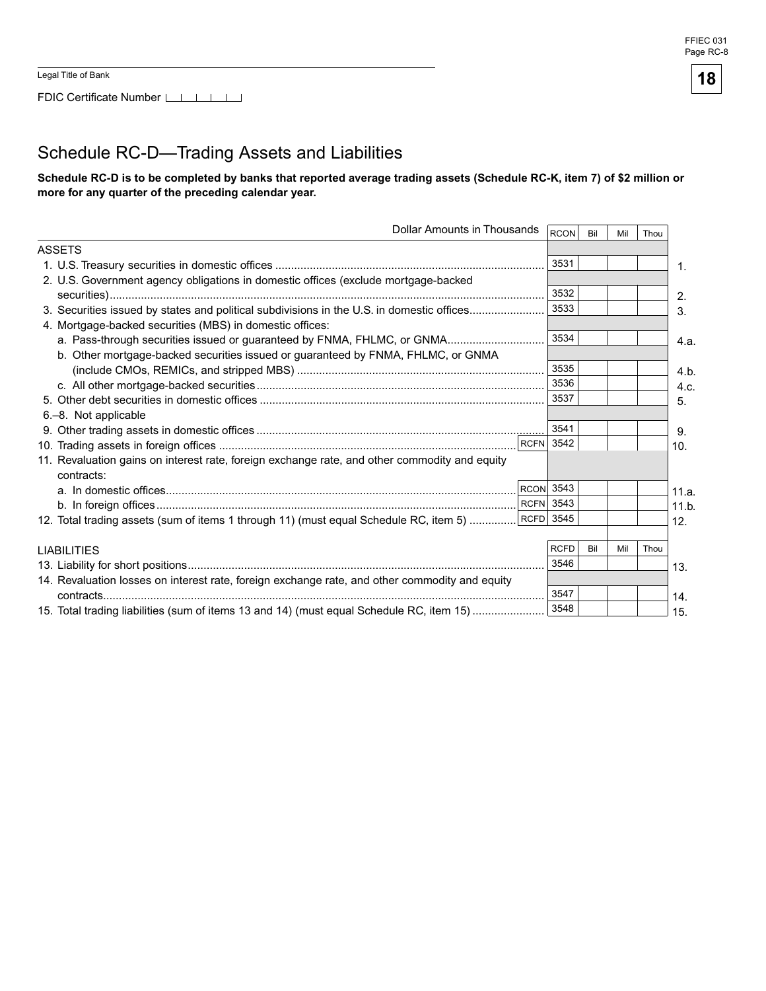## Schedule RC-D—Trading Assets and Liabilities

Schedule RC-D is to be completed by banks that reported average trading assets (Schedule RC-K, item 7) of \$2 million or more for any quarter of the preceding calendar year.

| <b>Dollar Amounts in Thousands</b>                                                                          |                  | RCON        | Bil | Mil | Thou |       |
|-------------------------------------------------------------------------------------------------------------|------------------|-------------|-----|-----|------|-------|
| <b>ASSETS</b>                                                                                               |                  |             |     |     |      |       |
|                                                                                                             |                  | 3531        |     |     |      | 1.    |
| 2. U.S. Government agency obligations in domestic offices (exclude mortgage-backed                          |                  |             |     |     |      |       |
|                                                                                                             |                  | 3532        |     |     |      | 2.    |
| 3. Securities issued by states and political subdivisions in the U.S. in domestic offices                   |                  | 3533        |     |     |      | 3.    |
| 4. Mortgage-backed securities (MBS) in domestic offices:                                                    |                  |             |     |     |      |       |
| a. Pass-through securities issued or guaranteed by FNMA, FHLMC, or GNMA                                     |                  | 3534        |     |     |      | 4.a.  |
| b. Other mortgage-backed securities issued or guaranteed by FNMA, FHLMC, or GNMA                            |                  |             |     |     |      |       |
|                                                                                                             |                  | 3535        |     |     |      | 4.b   |
|                                                                                                             |                  | 3536        |     |     |      | 4.c.  |
|                                                                                                             |                  | 3537        |     |     |      | 5.    |
| 6.-8. Not applicable                                                                                        |                  |             |     |     |      |       |
|                                                                                                             |                  | 3541        |     |     |      | 9.    |
|                                                                                                             | <b>RCFN</b> 3542 |             |     |     |      | 10.   |
| 11. Revaluation gains on interest rate, foreign exchange rate, and other commodity and equity<br>contracts: |                  |             |     |     |      |       |
|                                                                                                             | <b>RCON</b> 3543 |             |     |     |      | 11.a. |
|                                                                                                             | <b>RCFN</b> 3543 |             |     |     |      | 11.b  |
| 12. Total trading assets (sum of items 1 through 11) (must equal Schedule RC, item 5)                       | RCFD 3545        |             |     |     |      | 12.   |
|                                                                                                             |                  |             |     |     |      |       |
| <b>LIABILITIES</b>                                                                                          |                  | <b>RCFD</b> | Bil | Mil | Thou |       |
|                                                                                                             |                  | 3546        |     |     |      | 13.   |
| 14. Revaluation losses on interest rate, foreign exchange rate, and other commodity and equity              |                  |             |     |     |      |       |
|                                                                                                             |                  | 3547        |     |     |      | 14.   |
| 15. Total trading liabilities (sum of items 13 and 14) (must equal Schedule RC, item 15)                    |                  | 3548        |     |     |      | 15.   |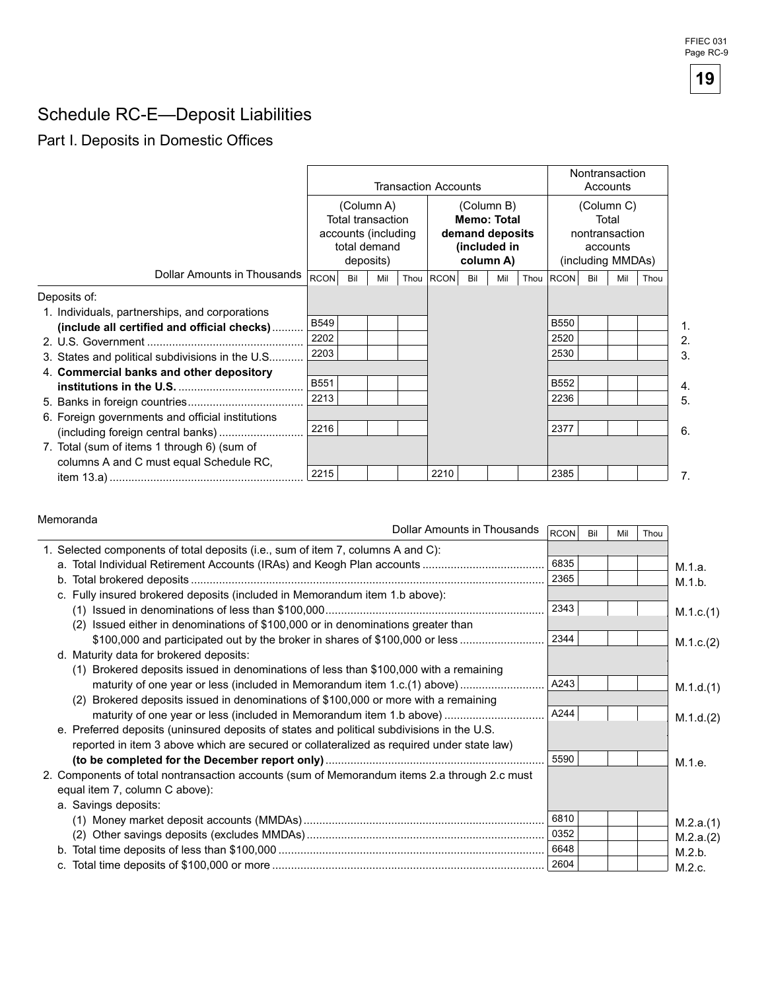# Schedule RC-E-Deposit Liabilities

## Part I. Deposits in Domestic Offices

|                                                                                        |             |     |                                                                                            | <b>Transaction Accounts</b>                                                      |     |     |      | Nontransaction<br>Accounts                                             |     |     |      |
|----------------------------------------------------------------------------------------|-------------|-----|--------------------------------------------------------------------------------------------|----------------------------------------------------------------------------------|-----|-----|------|------------------------------------------------------------------------|-----|-----|------|
|                                                                                        |             |     | (Column A)<br><b>Total transaction</b><br>accounts (including<br>total demand<br>deposits) | (Column B)<br><b>Memo: Total</b><br>demand deposits<br>(included in<br>column A) |     |     |      | (Column C)<br>Total<br>nontransaction<br>accounts<br>(including MMDAs) |     |     |      |
| Dollar Amounts in Thousands                                                            | <b>RCON</b> | Bil | Mil                                                                                        | Thou RCON                                                                        | Bil | Mil | Thou | RCON                                                                   | Bil | Mil | Thou |
| Deposits of:<br>1. Individuals, partnerships, and corporations                         |             |     |                                                                                            |                                                                                  |     |     |      |                                                                        |     |     |      |
| (include all certified and official checks)                                            | <b>B549</b> |     |                                                                                            |                                                                                  |     |     |      | <b>B550</b>                                                            |     |     |      |
|                                                                                        | 2202        |     |                                                                                            |                                                                                  |     |     |      | 2520                                                                   |     |     |      |
| 3. States and political subdivisions in the U.S                                        | 2203        |     |                                                                                            |                                                                                  |     |     |      | 2530                                                                   |     |     |      |
| 4. Commercial banks and other depository                                               |             |     |                                                                                            |                                                                                  |     |     |      |                                                                        |     |     |      |
|                                                                                        | B551        |     |                                                                                            |                                                                                  |     |     |      | <b>B552</b>                                                            |     |     |      |
|                                                                                        | 2213        |     |                                                                                            |                                                                                  |     |     |      | 2236                                                                   |     |     |      |
| 6. Foreign governments and official institutions                                       | 2216        |     |                                                                                            |                                                                                  |     |     |      | 2377                                                                   |     |     |      |
| 7. Total (sum of items 1 through 6) (sum of<br>columns A and C must equal Schedule RC, |             |     |                                                                                            |                                                                                  |     |     |      |                                                                        |     |     |      |
|                                                                                        | 2215        |     |                                                                                            | 2210                                                                             |     |     |      | 2385                                                                   |     |     |      |

#### Memoranda

|                                                                                              | Dollar Amounts in Thousands | RCON | Bil | Mil | Thou |           |
|----------------------------------------------------------------------------------------------|-----------------------------|------|-----|-----|------|-----------|
| 1. Selected components of total deposits (i.e., sum of item 7, columns A and C):             |                             |      |     |     |      |           |
|                                                                                              |                             | 6835 |     |     |      | M.1.a.    |
|                                                                                              |                             | 2365 |     |     |      | M.1.b.    |
| c. Fully insured brokered deposits (included in Memorandum item 1.b above):                  |                             |      |     |     |      |           |
|                                                                                              |                             | 2343 |     |     |      | M.1.c.(1) |
| Issued either in denominations of \$100,000 or in denominations greater than<br>(2)          |                             |      |     |     |      |           |
| \$100,000 and participated out by the broker in shares of \$100,000 or less                  |                             | 2344 |     |     |      | M.1.c.(2) |
| d. Maturity data for brokered deposits:                                                      |                             |      |     |     |      |           |
| (1) Brokered deposits issued in denominations of less than \$100,000 with a remaining        |                             |      |     |     |      |           |
| maturity of one year or less (included in Memorandum item 1.c.(1) above)                     |                             | A243 |     |     |      | M.1.d.(1) |
| (2) Brokered deposits issued in denominations of \$100,000 or more with a remaining          |                             |      |     |     |      |           |
| maturity of one year or less (included in Memorandum item 1.b above)                         |                             | A244 |     |     |      | M.1.d.(2) |
| e. Preferred deposits (uninsured deposits of states and political subdivisions in the U.S.   |                             |      |     |     |      |           |
| reported in item 3 above which are secured or collateralized as required under state law)    |                             |      |     |     |      |           |
|                                                                                              |                             | 5590 |     |     |      | M.1.e.    |
| 2. Components of total nontransaction accounts (sum of Memorandum items 2.a through 2.c must |                             |      |     |     |      |           |
| equal item 7, column C above):                                                               |                             |      |     |     |      |           |
| a. Savings deposits:                                                                         |                             |      |     |     |      |           |
|                                                                                              |                             | 6810 |     |     |      | M.2.a.(1) |
|                                                                                              |                             | 0352 |     |     |      | M.2.a.(2) |
|                                                                                              |                             | 6648 |     |     |      | M.2.b.    |
|                                                                                              |                             | 2604 |     |     |      | M.2.c.    |

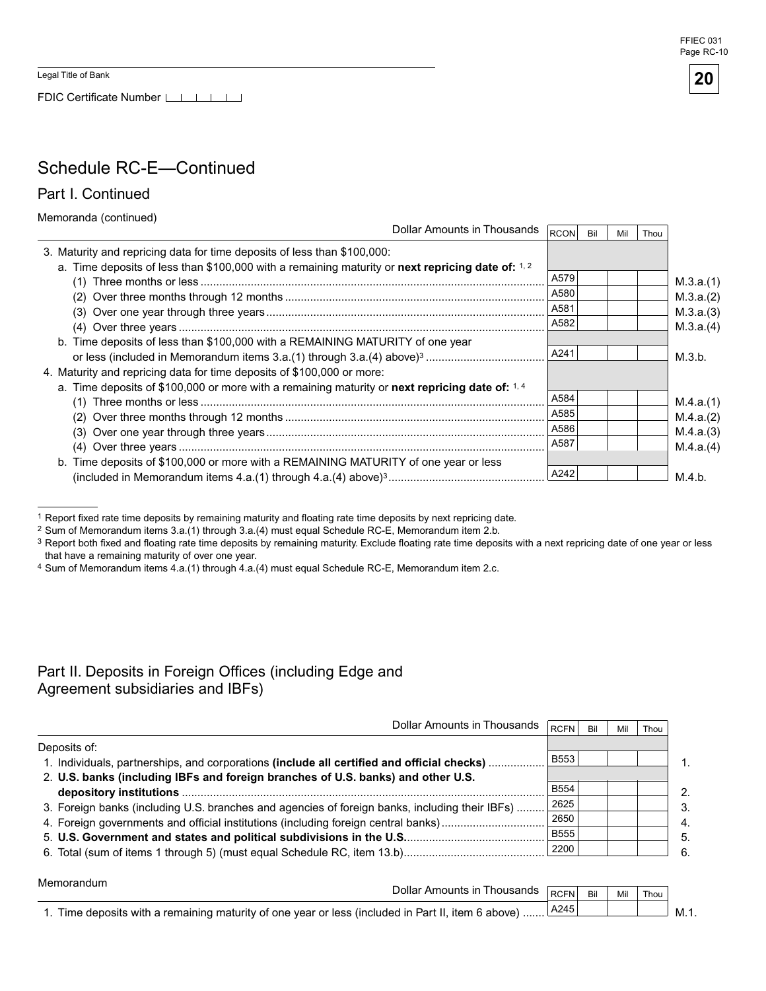FDIC Certificate Number LILILILI

#### FFIEC 031 Page RC-10



## Schedule RC-E-Continued

Part I. Continued

Memoranda (continued)

|                                                                                                    | Dollar Amounts in Thousands |             |     |     |      |           |
|----------------------------------------------------------------------------------------------------|-----------------------------|-------------|-----|-----|------|-----------|
|                                                                                                    |                             | <b>RCON</b> | Bil | Mil | Thou |           |
| 3. Maturity and repricing data for time deposits of less than \$100,000:                           |                             |             |     |     |      |           |
| a. Time deposits of less than \$100,000 with a remaining maturity or next repricing date of: $1.2$ |                             |             |     |     |      |           |
|                                                                                                    |                             | A579        |     |     |      | M.3.a.(1) |
|                                                                                                    |                             | A580        |     |     |      | M.3.a.(2) |
|                                                                                                    |                             | A581        |     |     |      | M.3.a.(3) |
|                                                                                                    |                             | A582        |     |     |      | M.3.a.(4) |
| b. Time deposits of less than \$100,000 with a REMAINING MATURITY of one year                      |                             |             |     |     |      |           |
|                                                                                                    |                             | A241        |     |     |      | M.3.b.    |
| 4. Maturity and repricing data for time deposits of \$100,000 or more:                             |                             |             |     |     |      |           |
| a. Time deposits of \$100,000 or more with a remaining maturity or next repricing date of: $1.4$   |                             |             |     |     |      |           |
|                                                                                                    |                             | A584        |     |     |      | M.4.a.(1) |
|                                                                                                    |                             | A585        |     |     |      | M.4.a.(2) |
|                                                                                                    |                             | A586        |     |     |      | M.4.a.(3) |
|                                                                                                    |                             | A587        |     |     |      | M.4.a.(4) |
| b. Time deposits of \$100,000 or more with a REMAINING MATURITY of one year or less                |                             |             |     |     |      |           |
|                                                                                                    |                             | A242        |     |     |      | M.4.b.    |
|                                                                                                    |                             |             |     |     |      |           |

 $1$  Report fixed rate time deposits by remaining maturity and floating rate time deposits by next repricing date.

 $2$  Sum of Memorandum items  $3.a.(1)$  through  $3.a.(4)$  must equal Schedule RC-E, Memorandum item 2.b.

- $^3$  Report both fixed and floating rate time deposits by remaining maturity. Exclude floating rate time deposits with a next repricing date of one year or less that have a remaining maturity of over one year.
- <sup>4</sup> Sum of Memorandum items 4.a.(1) through 4.a.(4) must equal Schedule RC-E, Memorandum item 2.c.

### Part II. Deposits in Foreign Offices (including Edge and Agreement subsidiaries and IBFs)

| Dollar Amounts in Thousands                                                                    | <b>RCFN</b> | Bil | Mil | Thou |               |
|------------------------------------------------------------------------------------------------|-------------|-----|-----|------|---------------|
| Deposits of:                                                                                   |             |     |     |      |               |
| 1. Individuals, partnerships, and corporations (include all certified and official checks)     | <b>B553</b> |     |     |      |               |
| 2. U.S. banks (including IBFs and foreign branches of U.S. banks) and other U.S.               |             |     |     |      |               |
|                                                                                                | <b>B554</b> |     |     |      | $\mathcal{P}$ |
| 3. Foreign banks (including U.S. branches and agencies of foreign banks, including their IBFs) | 2625        |     |     |      | $\mathbf{3}$  |
|                                                                                                | 2650        |     |     |      | $\mathbf{4}$  |
|                                                                                                | <b>B555</b> |     |     |      | -5.           |
|                                                                                                | 2200        |     |     |      | 6.            |

| Memorandum                                                                                         |                                      |         |     |       |      |
|----------------------------------------------------------------------------------------------------|--------------------------------------|---------|-----|-------|------|
|                                                                                                    | Dollar Amounts in Thousands RCFN Bil |         | Mil | Thou, |      |
| 1. Time deposits with a remaining maturity of one year or less (included in Part II, item 6 above) |                                      | ⊺A245 l |     |       | M.1. |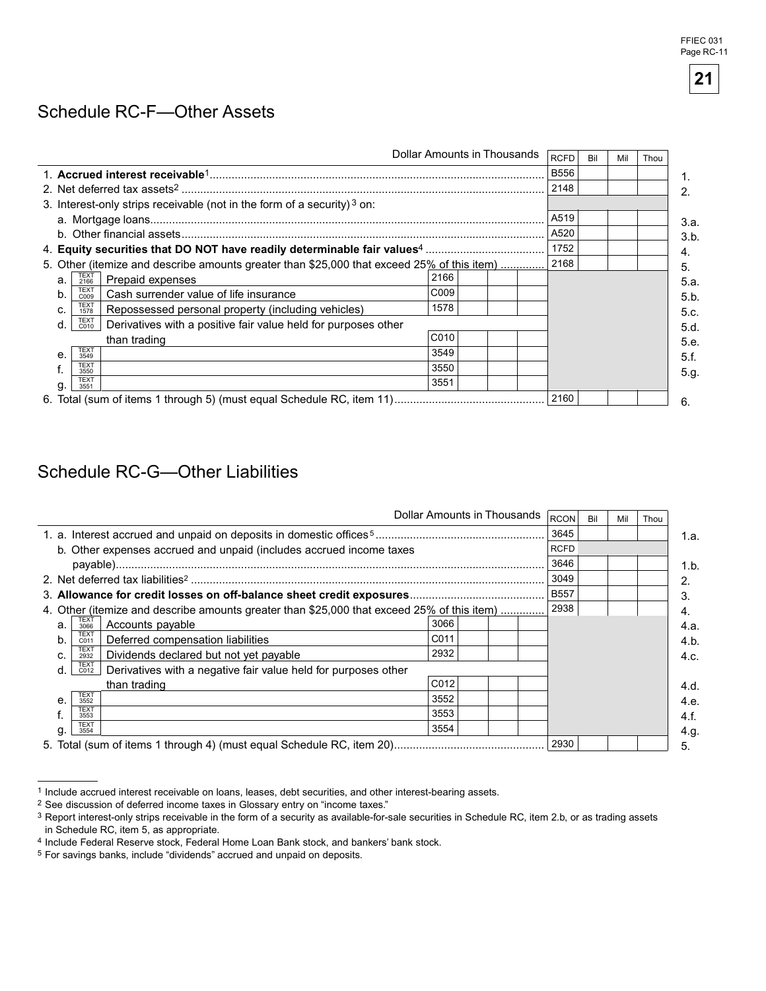### Schedule RC-F-Other Assets

|    |                                                                                            |                  |      | Dollar Amounts in Thousands | <b>RCFD</b> | Bil | Mil | Thou |
|----|--------------------------------------------------------------------------------------------|------------------|------|-----------------------------|-------------|-----|-----|------|
|    |                                                                                            |                  |      |                             | <b>B556</b> |     |     |      |
|    |                                                                                            |                  |      |                             | 2148        |     |     |      |
|    | 3. Interest-only strips receivable (not in the form of a security) <sup>3</sup> on:        |                  |      |                             |             |     |     |      |
|    |                                                                                            |                  | A519 |                             |             |     |     |      |
|    |                                                                                            |                  |      |                             | A520        |     |     |      |
|    |                                                                                            |                  |      |                             | 1752        |     |     |      |
|    | 5. Other (itemize and describe amounts greater than \$25,000 that exceed 25% of this item) |                  |      |                             | 2168        |     |     |      |
| a. | TEXT<br>2166<br>Prepaid expenses                                                           | 2166             |      |                             |             |     |     |      |
| b. | <b>TEXT</b><br>Cash surrender value of life insurance<br>C <sub>009</sub>                  | C <sub>009</sub> |      |                             |             |     |     |      |
| C. | <b>TEXT</b><br>Repossessed personal property (including vehicles)<br>1578                  | 1578             |      |                             |             |     |     |      |
| d. | <b>TEXT</b><br>Derivatives with a positive fair value held for purposes other<br>C010      |                  |      |                             |             |     |     |      |
|    | than trading                                                                               | C <sub>010</sub> |      |                             |             |     |     |      |
| е. | TEXT<br>3549                                                                               | 3549             |      |                             |             |     |     |      |
|    | <b>TEXT</b><br>3550                                                                        | 3550             |      |                             |             |     |     |      |
| g  | <b>TEXT</b><br>3551                                                                        | 3551             |      |                             |             |     |     |      |
|    |                                                                                            |                  |      |                             | 2160        |     |     |      |

## Schedule RC-G-Other Liabilities

|              |                     |                                                                                            |                  |      | Dollar Amounts in Thousands | <b>RCON</b> | Bil | Mil  | Thou |      |
|--------------|---------------------|--------------------------------------------------------------------------------------------|------------------|------|-----------------------------|-------------|-----|------|------|------|
|              |                     |                                                                                            |                  |      |                             | 3645        |     |      |      | 1.a. |
|              |                     | b. Other expenses accrued and unpaid (includes accrued income taxes                        |                  |      |                             | <b>RCFD</b> |     |      |      |      |
|              |                     |                                                                                            |                  | 3646 |                             |             |     | 1.b. |      |      |
|              |                     |                                                                                            |                  |      |                             | 3049        |     |      |      | 2.   |
|              |                     |                                                                                            |                  |      |                             | <b>B557</b> |     |      |      | 3.   |
|              |                     | 4. Other (itemize and describe amounts greater than \$25,000 that exceed 25% of this item) |                  |      |                             | 2938        |     |      |      | 4.   |
| a.           | TEXT<br>3066        | Accounts payable                                                                           | 3066             |      |                             |             |     |      |      | 4.a. |
| b.           | <b>TEXT</b><br>C011 | Deferred compensation liabilities                                                          | C <sub>011</sub> |      |                             |             |     |      |      | 4.b. |
| C.           | <b>TEXT</b><br>2932 | Dividends declared but not yet payable                                                     | 2932             |      |                             |             |     |      |      | 4.c. |
| d.           | <b>TEXT</b><br>C012 | Derivatives with a negative fair value held for purposes other                             |                  |      |                             |             |     |      |      |      |
|              |                     | than trading                                                                               | C012             |      |                             |             |     |      |      | 4.d. |
| $\mathbf{e}$ | <b>TEXT</b><br>3552 |                                                                                            | 3552             |      |                             |             |     |      |      | 4.e. |
|              | <b>TEXT</b><br>3553 |                                                                                            | 3553             |      |                             |             |     |      |      | 4.f. |
| g.           | <b>TEXT</b><br>3554 |                                                                                            | 3554             |      |                             |             |     |      |      | 4.g. |
|              |                     |                                                                                            |                  |      |                             | 2930        |     |      |      | 5.   |

<sup>1</sup> Include accrued interest receivable on loans, leases, debt securities, and other interest-bearing assets.

<sup>2</sup> See discussion of deferred income taxes in Glossary entry on "income taxes."

<sup>&</sup>lt;sup>3</sup> Report interest-only strips receivable in the form of a security as available-for-sale securities in Schedule RC, item 2.b, or as trading assets in Schedule RC, item 5, as appropriate.

<sup>4</sup> Include Federal Reserve stock, Federal Home Loan Bank stock, and bankers' bank stock.

<sup>5</sup> For savings banks, include "dividends" accrued and unpaid on deposits.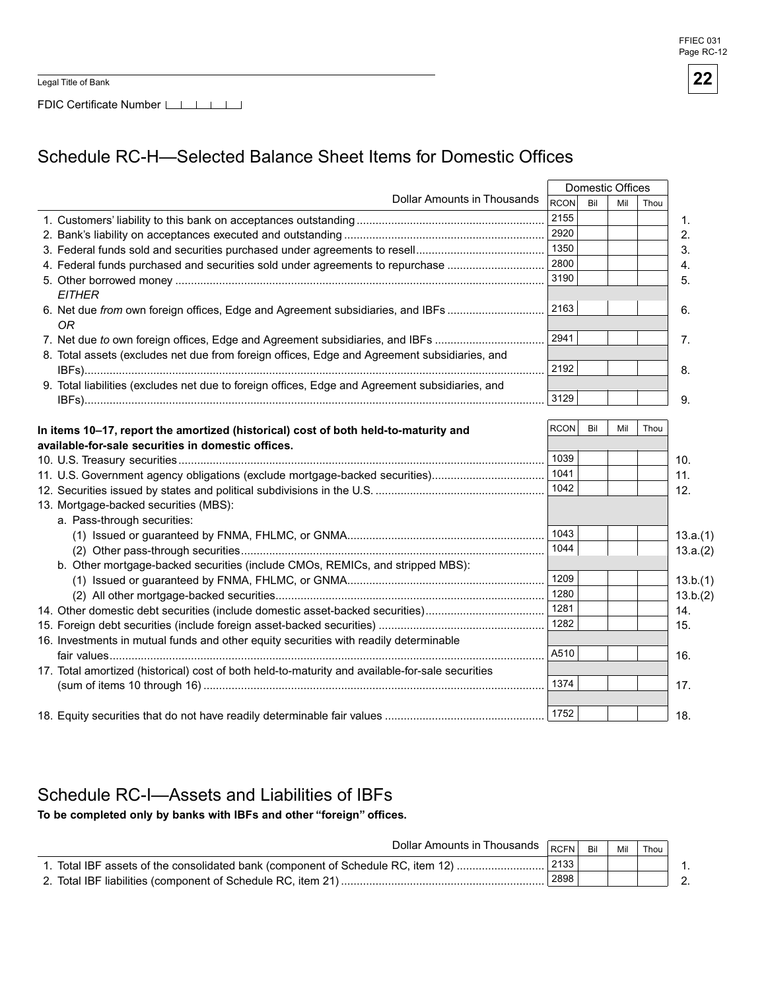Legal Title of Bank

FDIC Certificate Number LIIIIIIII

# Schedule RC-H-Selected Balance Sheet Items for Domestic Offices

|                                                                                                  | Domestic Offices |     |     |      |                  |
|--------------------------------------------------------------------------------------------------|------------------|-----|-----|------|------------------|
| Dollar Amounts in Thousands                                                                      | <b>RCON</b>      | Bil | Mil | Thou |                  |
|                                                                                                  | 2155             |     |     |      | $\mathbf{1}$ .   |
|                                                                                                  | 2920             |     |     |      | 2.               |
|                                                                                                  | 1350             |     |     |      | 3.               |
| 4. Federal funds purchased and securities sold under agreements to repurchase                    | 2800             |     |     |      | 4.               |
|                                                                                                  | 3190             |     |     |      | 5.               |
| <b>EITHER</b>                                                                                    |                  |     |     |      |                  |
| 6. Net due from own foreign offices, Edge and Agreement subsidiaries, and IBFs<br><b>OR</b>      | 2163             |     |     |      | 6.               |
| 7. Net due to own foreign offices, Edge and Agreement subsidiaries, and IBFs                     | 2941             |     |     |      | $\overline{7}$ . |
| 8. Total assets (excludes net due from foreign offices, Edge and Agreement subsidiaries, and     |                  |     |     |      |                  |
|                                                                                                  | 2192             |     |     |      | 8.               |
| 9. Total liabilities (excludes net due to foreign offices, Edge and Agreement subsidiaries, and  |                  |     |     |      |                  |
|                                                                                                  | 3129             |     |     |      | 9.               |
|                                                                                                  |                  |     |     |      |                  |
| In items 10-17, report the amortized (historical) cost of both held-to-maturity and              | <b>RCON</b>      | Bil | Mil | Thou |                  |
| available-for-sale securities in domestic offices.                                               |                  |     |     |      |                  |
|                                                                                                  | 1039             |     |     |      | 10.              |
| 11. U.S. Government agency obligations (exclude mortgage-backed securities)                      | 1041             |     |     |      | 11.              |
|                                                                                                  | 1042             |     |     |      | 12.              |
| 13. Mortgage-backed securities (MBS):                                                            |                  |     |     |      |                  |
| a. Pass-through securities:                                                                      |                  |     |     |      |                  |
|                                                                                                  | 1043             |     |     |      | 13.a.(1)         |
|                                                                                                  | 1044             |     |     |      | 13.a.(2)         |
| b. Other mortgage-backed securities (include CMOs, REMICs, and stripped MBS):                    |                  |     |     |      |                  |
|                                                                                                  | 1209             |     |     |      | 13.b.(1)         |
|                                                                                                  | 1280             |     |     |      | 13.b.(2)         |
| 14. Other domestic debt securities (include domestic asset-backed securities)                    | 1281             |     |     |      | 14.              |
|                                                                                                  | 1282             |     |     |      | 15.              |
| 16. Investments in mutual funds and other equity securities with readily determinable            |                  |     |     |      |                  |
|                                                                                                  | A510             |     |     |      | 16.              |
| 17. Total amortized (historical) cost of both held-to-maturity and available-for-sale securities |                  |     |     |      |                  |
|                                                                                                  | 1374             |     |     |      | 17.              |
|                                                                                                  |                  |     |     |      |                  |
|                                                                                                  | 1752             |     |     |      | 18.              |

## Schedule RC-I-Assets and Liabilities of IBFs

To be completed only by banks with IBFs and other "foreign" offices.

| Dollar Amounts in Thousands RCFN                                                 |      | Bil | Mil | Thou |        |
|----------------------------------------------------------------------------------|------|-----|-----|------|--------|
| 1. Total IBF assets of the consolidated bank (component of Schedule RC, item 12) | 2133 |     |     |      |        |
| 2. Total IBF liabilities (component of Schedule RC, item 21)                     | 2898 |     |     |      | $\sim$ |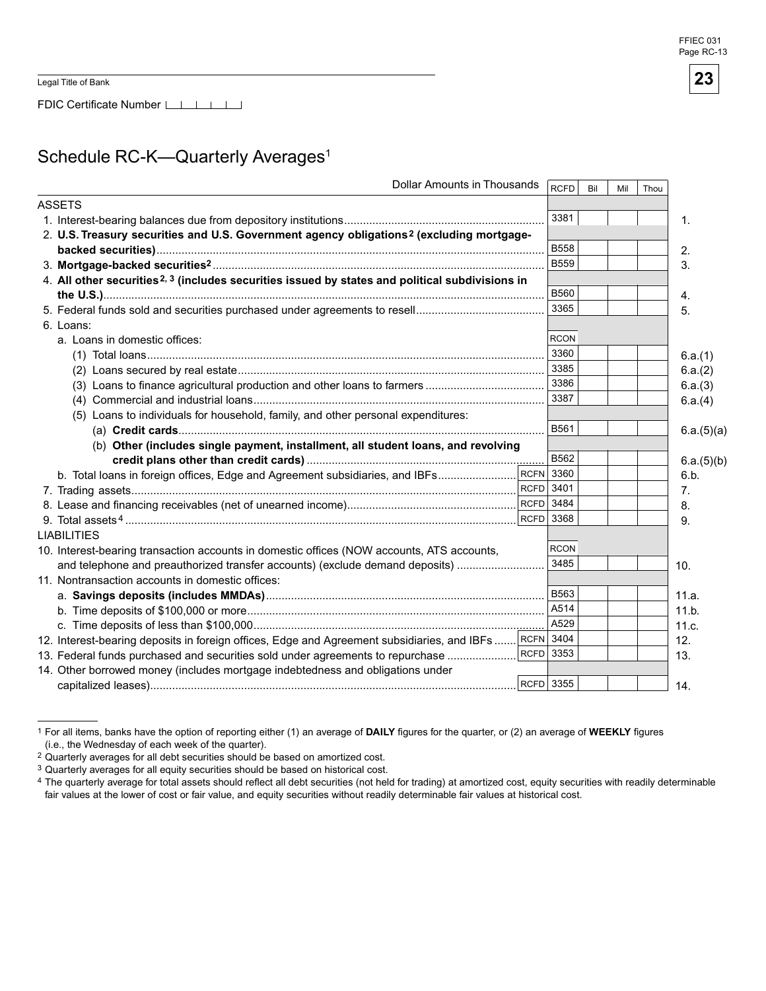## Schedule RC-K-Quarterly Averages<sup>1</sup>

| <b>Dollar Amounts in Thousands</b>                                                                          | RCFD        | Bil | Mil | Thou |            |
|-------------------------------------------------------------------------------------------------------------|-------------|-----|-----|------|------------|
| <b>ASSETS</b>                                                                                               |             |     |     |      |            |
|                                                                                                             | 3381        |     |     |      | 1.         |
| 2. U.S. Treasury securities and U.S. Government agency obligations <sup>2</sup> (excluding mortgage-        |             |     |     |      |            |
|                                                                                                             | <b>B558</b> |     |     |      | 2.         |
|                                                                                                             | <b>B559</b> |     |     |      | 3.         |
| 4. All other securities <sup>2, 3</sup> (includes securities issued by states and political subdivisions in |             |     |     |      |            |
|                                                                                                             | <b>B560</b> |     |     |      | 4.         |
|                                                                                                             | 3365        |     |     |      | 5.         |
| 6. Loans:                                                                                                   |             |     |     |      |            |
| a. Loans in domestic offices:                                                                               | <b>RCON</b> |     |     |      |            |
|                                                                                                             | 3360        |     |     |      | 6.a.(1)    |
|                                                                                                             | 3385        |     |     |      | 6.a.(2)    |
|                                                                                                             | 3386        |     |     |      | 6.a.(3)    |
|                                                                                                             | 3387        |     |     |      | 6.a.(4)    |
| (5) Loans to individuals for household, family, and other personal expenditures:                            |             |     |     |      |            |
|                                                                                                             | B561        |     |     |      | 6.a.(5)(a) |
| (b) Other (includes single payment, installment, all student loans, and revolving                           |             |     |     |      |            |
|                                                                                                             | B562        |     |     |      | 6.a.(5)(b) |
| b. Total loans in foreign offices, Edge and Agreement subsidiaries, and IBFs                                | RCFN 3360   |     |     |      | 6.b.       |
|                                                                                                             | RCFD 3401   |     |     |      | 7.         |
|                                                                                                             | $RCFD$ 3484 |     |     |      | 8.         |
|                                                                                                             | $RCFD$ 3368 |     |     |      | 9.         |
| <b>LIABILITIES</b>                                                                                          |             |     |     |      |            |
| 10. Interest-bearing transaction accounts in domestic offices (NOW accounts, ATS accounts,                  | <b>RCON</b> |     |     |      |            |
| and telephone and preauthorized transfer accounts) (exclude demand deposits)                                | 3485        |     |     |      | 10.        |
| 11. Nontransaction accounts in domestic offices:                                                            |             |     |     |      |            |
|                                                                                                             | <b>B563</b> |     |     |      | 11.a.      |
|                                                                                                             | A514        |     |     |      | 11.b.      |
|                                                                                                             | A529        |     |     |      | 11.c.      |
| 12. Interest-bearing deposits in foreign offices, Edge and Agreement subsidiaries, and IBFs  RCFN 3404      |             |     |     |      | 12.        |
| 13. Federal funds purchased and securities sold under agreements to repurchase                              | $RCFD$ 3353 |     |     |      | 13.        |
| 14. Other borrowed money (includes mortgage indebtedness and obligations under                              |             |     |     |      |            |
|                                                                                                             | $RCFD$ 3355 |     |     |      | 14.        |

<sup>&</sup>lt;sup>1</sup> For all items, banks have the option of reporting either (1) an average of DAILY figures for the quarter, or (2) an average of WEEKLY figures (i.e., the Wednesday of each week of the quarter).

<sup>&</sup>lt;sup>2</sup> Quarterly averages for all debt securities should be based on amortized cost.

<sup>&</sup>lt;sup>3</sup> Quarterly averages for all equity securities should be based on historical cost.

<sup>4</sup> The quarterly average for total assets should reflect all debt securities (not held for trading) at amortized cost, equity securities with readily determinable fair values at the lower of cost or fair value, and equity securities without readily determinable fair values at historical cost.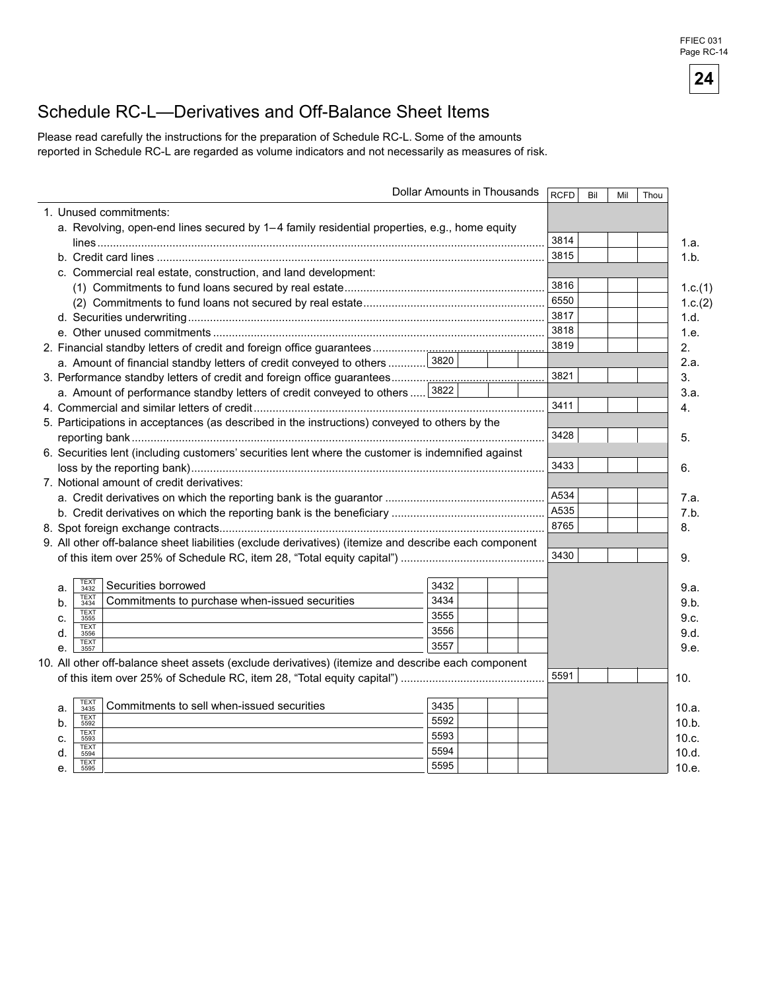## Schedule RC-L—Derivatives and Off-Balance Sheet Items

Please read carefully the instructions for the preparation of Schedule RC-L. Some of the amounts reported in Schedule RC-L are regarded as volume indicators and not necessarily as measures of risk.

|    |                                                                                                       | Dollar Amounts in Thousands |      | <b>RCFD</b> | Bil | Mil | Thou |         |
|----|-------------------------------------------------------------------------------------------------------|-----------------------------|------|-------------|-----|-----|------|---------|
|    | 1. Unused commitments:                                                                                |                             |      |             |     |     |      |         |
|    | a. Revolving, open-end lines secured by 1-4 family residential properties, e.g., home equity          |                             |      |             |     |     |      |         |
|    |                                                                                                       |                             | 3814 |             |     |     |      | 1.a.    |
|    |                                                                                                       |                             | 3815 |             |     |     |      | 1.b.    |
|    | c. Commercial real estate, construction, and land development:                                        |                             |      |             |     |     |      |         |
|    |                                                                                                       |                             | 3816 |             |     |     |      | 1.c.(1) |
|    |                                                                                                       |                             | 6550 |             |     |     |      | 1.c.(2) |
|    |                                                                                                       |                             | 3817 |             |     |     |      | 1.d.    |
|    |                                                                                                       |                             | 3818 |             |     |     |      | 1.e.    |
|    |                                                                                                       |                             | 3819 |             |     |     |      | 2.      |
|    | a. Amount of financial standby letters of credit conveyed to others  3820                             |                             |      |             |     |     |      | 2.a.    |
|    |                                                                                                       |                             | 3821 |             |     |     |      | 3.      |
|    | a. Amount of performance standby letters of credit conveyed to others  3822                           |                             |      |             |     |     |      | 3.a.    |
|    |                                                                                                       |                             | 3411 |             |     |     |      | 4.      |
|    | 5. Participations in acceptances (as described in the instructions) conveyed to others by the         |                             |      |             |     |     |      |         |
|    |                                                                                                       |                             | 3428 |             |     |     |      | 5.      |
|    | 6. Securities lent (including customers' securities lent where the customer is indemnified against    |                             |      |             |     |     |      |         |
|    |                                                                                                       |                             | 3433 |             |     |     |      | 6.      |
|    | 7. Notional amount of credit derivatives:                                                             |                             |      |             |     |     |      |         |
|    |                                                                                                       |                             | A534 |             |     |     |      | 7.a.    |
|    |                                                                                                       |                             | A535 |             |     |     |      | 7.b.    |
|    |                                                                                                       |                             | 8765 |             |     |     |      | 8.      |
|    | 9. All other off-balance sheet liabilities (exclude derivatives) (itemize and describe each component |                             |      |             |     |     |      |         |
|    |                                                                                                       |                             | 3430 |             |     |     |      | 9.      |
|    |                                                                                                       |                             |      |             |     |     |      |         |
| a. | TEXT<br>3432<br>Securities borrowed<br><b>TEXT</b>                                                    | 3432                        |      |             |     |     |      | 9.a.    |
| b. | Commitments to purchase when-issued securities<br>3434                                                | 3434                        |      |             |     |     |      | 9.b.    |
| c. | TEXT<br>3555<br><b>TEXT</b>                                                                           | 3555                        |      |             |     |     |      | 9.c.    |
| d. | 3556                                                                                                  | 3556                        |      |             |     |     |      | 9.d.    |
| е. | TEXT<br>3557                                                                                          | 3557                        |      |             |     |     |      | 9.e.    |
|    | 10. All other off-balance sheet assets (exclude derivatives) (itemize and describe each component     |                             |      |             |     |     |      |         |
|    |                                                                                                       |                             | 5591 |             |     |     |      | 10.     |
|    | <b>TEXT</b>                                                                                           |                             |      |             |     |     |      |         |
| a. | Commitments to sell when-issued securities<br>3435                                                    | 3435                        |      |             |     |     |      | 10.a.   |
| b. | TEXT<br>5592                                                                                          | 5592                        |      |             |     |     |      | 10.b.   |
| c. | TEXT<br>5593<br><b>TEXT</b>                                                                           | 5593                        |      |             |     |     |      | 10.c.   |
| d  | 5594<br><b>TEXT</b>                                                                                   | 5594                        |      |             |     |     |      | 10.d.   |
| e. | 5595                                                                                                  | 5595                        |      |             |     |     |      | 10.e.   |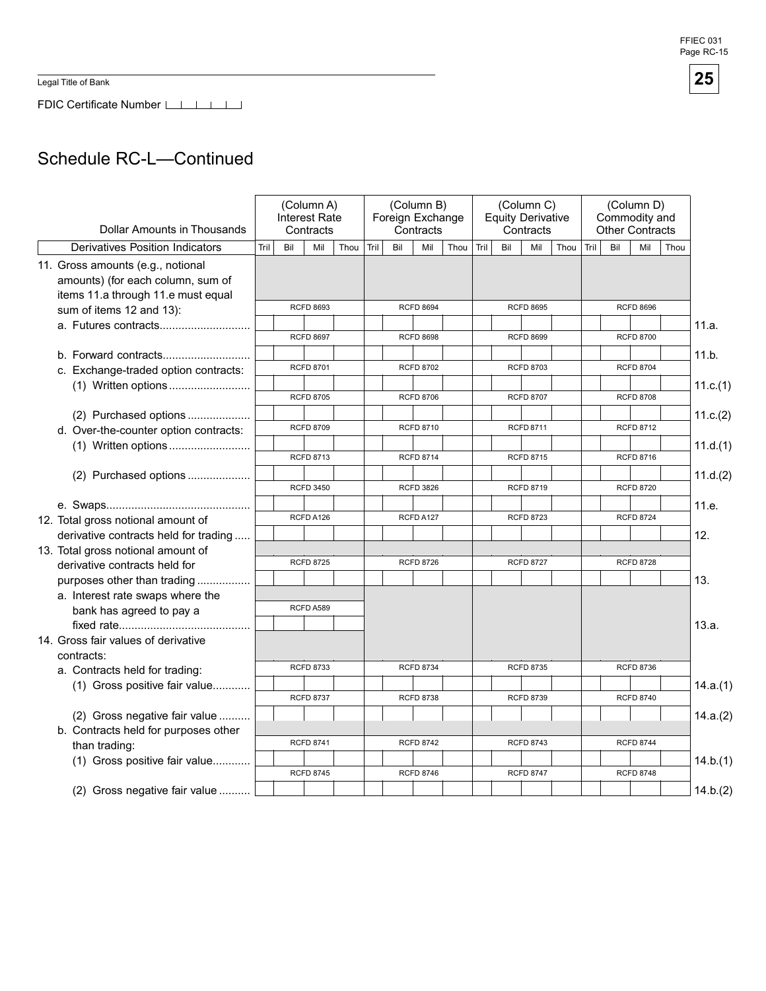Legal Title of Bank

FDIC Certificate Number [16]

# Schedule RC-L—Continued

| Dollar Amounts in Thousands                                                                                  | (Column A)<br><b>Interest Rate</b><br>Contracts |     |                  |      | (Column B)<br>Foreign Exchange<br>Contracts |     |                  |      | (Column C)<br><b>Equity Derivative</b><br>Contracts |     |                  |      |      | (Column D)<br>Commodity and<br><b>Other Contracts</b> |                  |      |          |
|--------------------------------------------------------------------------------------------------------------|-------------------------------------------------|-----|------------------|------|---------------------------------------------|-----|------------------|------|-----------------------------------------------------|-----|------------------|------|------|-------------------------------------------------------|------------------|------|----------|
| <b>Derivatives Position Indicators</b>                                                                       | Tril                                            | Bil | Mil              | Thou | Tril                                        | Bil | Mil              | Thou | Tril                                                | Bil | Mil              | Thou | Tril | Bil                                                   | Mil              | Thou |          |
| 11. Gross amounts (e.g., notional<br>amounts) (for each column, sum of<br>items 11.a through 11.e must equal |                                                 |     |                  |      |                                             |     |                  |      |                                                     |     |                  |      |      |                                                       |                  |      |          |
| sum of items 12 and 13):                                                                                     |                                                 |     | <b>RCFD 8693</b> |      |                                             |     | <b>RCFD 8694</b> |      |                                                     |     | <b>RCFD 8695</b> |      |      |                                                       | <b>RCFD 8696</b> |      |          |
|                                                                                                              |                                                 |     | <b>RCFD 8697</b> |      |                                             |     | <b>RCFD 8698</b> |      |                                                     |     | <b>RCFD 8699</b> |      |      |                                                       | <b>RCFD 8700</b> |      | 11.a.    |
|                                                                                                              |                                                 |     |                  |      |                                             |     |                  |      |                                                     |     |                  |      |      |                                                       |                  |      | 11.b.    |
| c. Exchange-traded option contracts:                                                                         |                                                 |     | <b>RCFD 8701</b> |      |                                             |     | <b>RCFD 8702</b> |      |                                                     |     | <b>RCFD 8703</b> |      |      |                                                       | <b>RCFD 8704</b> |      |          |
|                                                                                                              |                                                 |     | <b>RCFD 8705</b> |      |                                             |     | <b>RCFD 8706</b> |      |                                                     |     | <b>RCFD 8707</b> |      |      |                                                       | <b>RCFD 8708</b> |      | 11.c.(1) |
| (2) Purchased options                                                                                        |                                                 |     |                  |      |                                             |     |                  |      |                                                     |     |                  |      |      |                                                       |                  |      | 11.c.(2) |
| d. Over-the-counter option contracts:                                                                        |                                                 |     | <b>RCFD 8709</b> |      |                                             |     | <b>RCFD 8710</b> |      |                                                     |     | <b>RCFD 8711</b> |      |      |                                                       | <b>RCFD 8712</b> |      |          |
|                                                                                                              |                                                 |     |                  |      |                                             |     |                  |      |                                                     |     |                  |      |      |                                                       |                  |      | 11.d.(1) |
|                                                                                                              |                                                 |     | <b>RCFD 8713</b> |      |                                             |     | <b>RCFD 8714</b> |      |                                                     |     | <b>RCFD 8715</b> |      |      |                                                       | <b>RCFD 8716</b> |      |          |
| (2) Purchased options                                                                                        |                                                 |     | <b>RCFD 3450</b> |      |                                             |     | <b>RCFD 3826</b> |      |                                                     |     | <b>RCFD 8719</b> |      |      |                                                       | <b>RCFD 8720</b> |      | 11.d.(2) |
|                                                                                                              |                                                 |     |                  |      |                                             |     |                  |      |                                                     |     |                  |      |      |                                                       |                  |      | 11.e.    |
| 12. Total gross notional amount of                                                                           |                                                 |     | RCFD A126        |      |                                             |     | RCFD A127        |      |                                                     |     | <b>RCFD 8723</b> |      |      |                                                       | <b>RCFD 8724</b> |      |          |
| derivative contracts held for trading                                                                        |                                                 |     |                  |      |                                             |     |                  |      |                                                     |     |                  |      |      |                                                       |                  |      | 12.      |
| 13. Total gross notional amount of                                                                           |                                                 |     |                  |      |                                             |     |                  |      |                                                     |     |                  |      |      |                                                       |                  |      |          |
| derivative contracts held for                                                                                |                                                 |     | <b>RCFD 8725</b> |      |                                             |     | <b>RCFD 8726</b> |      |                                                     |     | <b>RCFD 8727</b> |      |      |                                                       | <b>RCFD 8728</b> |      |          |
| purposes other than trading                                                                                  |                                                 |     |                  |      |                                             |     |                  |      |                                                     |     |                  |      |      |                                                       |                  |      | 13.      |
| a. Interest rate swaps where the                                                                             |                                                 |     | RCFD A589        |      |                                             |     |                  |      |                                                     |     |                  |      |      |                                                       |                  |      |          |
| bank has agreed to pay a                                                                                     |                                                 |     |                  |      |                                             |     |                  |      |                                                     |     |                  |      |      |                                                       |                  |      |          |
| 14. Gross fair values of derivative                                                                          |                                                 |     |                  |      |                                             |     |                  |      |                                                     |     |                  |      |      |                                                       |                  |      | 13.a.    |
| contracts:                                                                                                   |                                                 |     |                  |      |                                             |     |                  |      |                                                     |     |                  |      |      |                                                       |                  |      |          |
| a. Contracts held for trading:                                                                               |                                                 |     | <b>RCFD 8733</b> |      |                                             |     | <b>RCFD 8734</b> |      |                                                     |     | <b>RCFD 8735</b> |      |      |                                                       | <b>RCFD 8736</b> |      |          |
| (1) Gross positive fair value                                                                                |                                                 |     |                  |      |                                             |     |                  |      |                                                     |     |                  |      |      |                                                       |                  |      | 14.a.(1) |
|                                                                                                              |                                                 |     | <b>RCFD 8737</b> |      |                                             |     | <b>RCFD 8738</b> |      |                                                     |     | <b>RCFD 8739</b> |      |      |                                                       | <b>RCFD 8740</b> |      |          |
| (2) Gross negative fair value                                                                                |                                                 |     |                  |      |                                             |     |                  |      |                                                     |     |                  |      |      |                                                       |                  |      | 14.a.(2) |
| b. Contracts held for purposes other                                                                         |                                                 |     |                  |      |                                             |     |                  |      |                                                     |     |                  |      |      |                                                       |                  |      |          |
| than trading:                                                                                                |                                                 |     | <b>RCFD 8741</b> |      |                                             |     | <b>RCFD 8742</b> |      |                                                     |     | <b>RCFD 8743</b> |      |      |                                                       | <b>RCFD 8744</b> |      |          |
| (1) Gross positive fair value                                                                                |                                                 |     | <b>RCFD 8745</b> |      |                                             |     | <b>RCFD 8746</b> |      |                                                     |     | <b>RCFD 8747</b> |      |      |                                                       | <b>RCFD 8748</b> |      | 14.b.(1) |
| (2) Gross negative fair value                                                                                |                                                 |     |                  |      |                                             |     |                  |      |                                                     |     |                  |      |      |                                                       |                  |      | 14.b.(2) |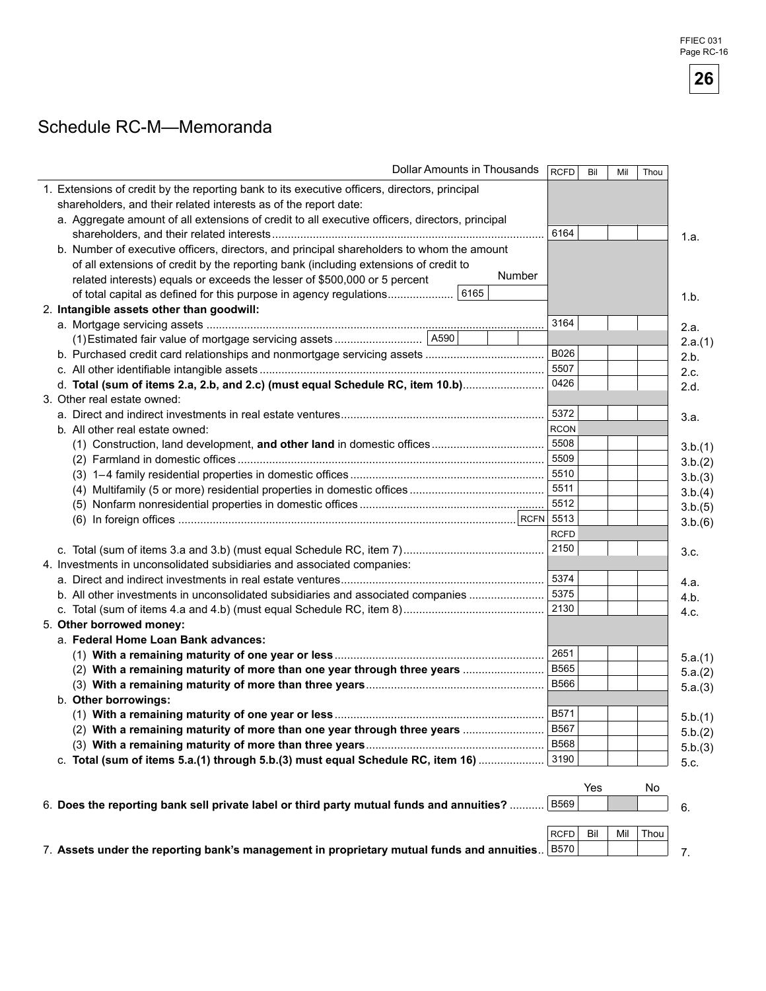## Schedule RC-M-Memoranda

| Dollar Amounts in Thousands                                                                     | <b>RCFD</b> | Bil | Mil | Thou |         |
|-------------------------------------------------------------------------------------------------|-------------|-----|-----|------|---------|
| 1. Extensions of credit by the reporting bank to its executive officers, directors, principal   |             |     |     |      |         |
| shareholders, and their related interests as of the report date:                                |             |     |     |      |         |
| a. Aggregate amount of all extensions of credit to all executive officers, directors, principal |             |     |     |      |         |
|                                                                                                 | 6164        |     |     |      | 1.a.    |
| b. Number of executive officers, directors, and principal shareholders to whom the amount       |             |     |     |      |         |
| of all extensions of credit by the reporting bank (including extensions of credit to            |             |     |     |      |         |
| Number<br>related interests) equals or exceeds the lesser of \$500,000 or 5 percent             |             |     |     |      |         |
| 6165<br>of total capital as defined for this purpose in agency regulations                      |             |     |     |      | 1.b.    |
| 2. Intangible assets other than goodwill:                                                       |             |     |     |      |         |
|                                                                                                 | 3164        |     |     |      | 2.a.    |
|                                                                                                 |             |     |     |      | 2.a.(1) |
|                                                                                                 | B026        |     |     |      | 2.b.    |
|                                                                                                 | 5507        |     |     |      | 2.c.    |
| d. Total (sum of items 2.a, 2.b, and 2.c) (must equal Schedule RC, item 10.b)                   | 0426        |     |     |      | 2.d.    |
| 3. Other real estate owned:                                                                     |             |     |     |      |         |
|                                                                                                 | 5372        |     |     |      | 3.a.    |
| b. All other real estate owned:                                                                 | <b>RCON</b> |     |     |      |         |
|                                                                                                 | 5508        |     |     |      | 3.b.(1) |
|                                                                                                 | 5509        |     |     |      | 3.b.(2) |
|                                                                                                 | 5510        |     |     |      | 3.b.(3) |
|                                                                                                 | 5511        |     |     |      | 3.b.(4) |
|                                                                                                 | 5512        |     |     |      | 3.b.(5) |
|                                                                                                 |             |     |     |      | 3.b.(6) |
|                                                                                                 | <b>RCFD</b> |     |     |      |         |
|                                                                                                 | 2150        |     |     |      | 3.c.    |
| 4. Investments in unconsolidated subsidiaries and associated companies:                         |             |     |     |      |         |
|                                                                                                 | 5374        |     |     |      | 4.a.    |
| b. All other investments in unconsolidated subsidiaries and associated companies                | 5375        |     |     |      | 4.b.    |
|                                                                                                 | 2130        |     |     |      | 4.c.    |
| 5. Other borrowed money:                                                                        |             |     |     |      |         |
| a. Federal Home Loan Bank advances:                                                             | 2651        |     |     |      |         |
|                                                                                                 | <b>B565</b> |     |     |      | 5.a.(1) |
| (2) With a remaining maturity of more than one year through three years                         | <b>B566</b> |     |     |      | 5.a.(2) |
| b. Other borrowings:                                                                            |             |     |     |      | 5.a.(3) |
|                                                                                                 | B571        |     |     |      |         |
| (2) With a remaining maturity of more than one year through three years                         | B567        |     |     |      | 5.b.(1) |
|                                                                                                 | <b>B568</b> |     |     |      | 5.b.(2) |
| c. Total (sum of items 5.a.(1) through 5.b.(3) must equal Schedule RC, item 16)                 | 3190        |     |     |      | 5.b.(3) |
|                                                                                                 |             |     |     |      | 5.c.    |
|                                                                                                 |             | Yes |     | No   |         |
| 6. Does the reporting bank sell private label or third party mutual funds and annuities?        | <b>B569</b> |     |     |      | 6.      |
|                                                                                                 |             |     |     |      |         |
|                                                                                                 | <b>RCFD</b> | Bil | Mil | Thou |         |
| 7. Assets under the reporting bank's management in proprietary mutual funds and annuities       | <b>B570</b> |     |     |      | 7.      |
|                                                                                                 |             |     |     |      |         |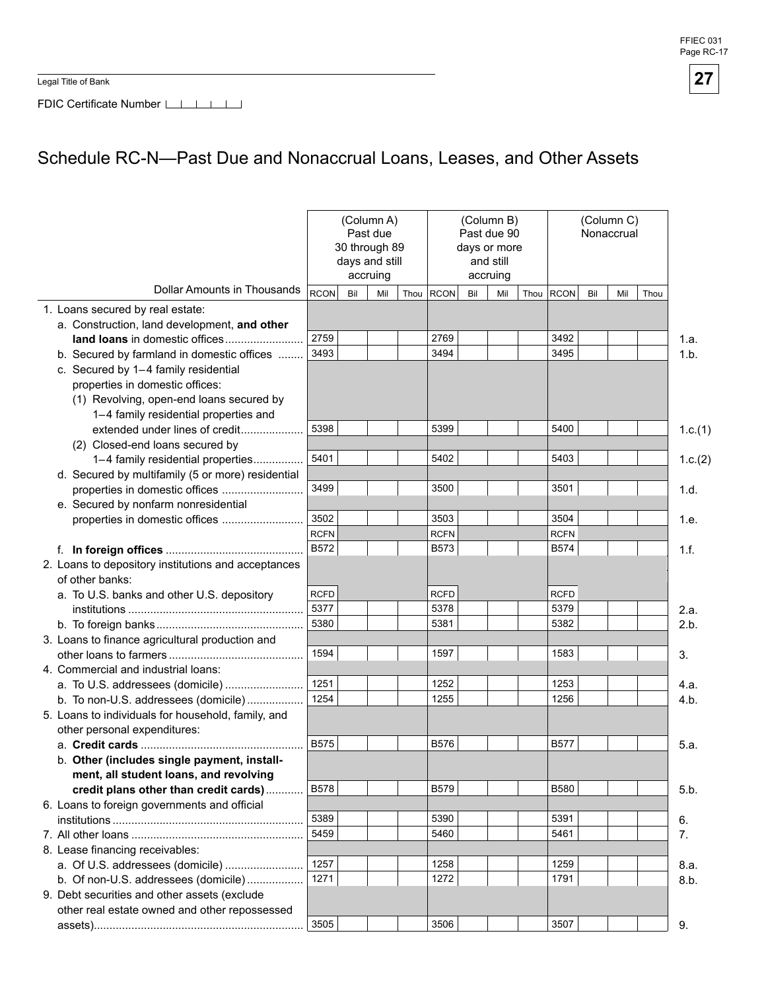Legal Title of Bank



FDIC Certificate Number LIIIIIIII

# Schedule RC-N-Past Due and Nonaccrual Loans, Leases, and Other Assets

|                                                     |             | 30 through 89<br>days and still | (Column A)<br>Past due<br>accruing |             |     | (Column B)<br>Past due 90<br>days or more<br>and still<br>accruing |      |              | (Column C)<br>Nonaccrual |     |      |         |
|-----------------------------------------------------|-------------|---------------------------------|------------------------------------|-------------|-----|--------------------------------------------------------------------|------|--------------|--------------------------|-----|------|---------|
| Dollar Amounts in Thousands                         | <b>RCON</b> | Bil                             | Mil                                | Thou RCON   | Bil | Mil                                                                | Thou | <b>RCON</b>  | Bil                      | Mil | Thou |         |
| 1. Loans secured by real estate:                    |             |                                 |                                    |             |     |                                                                    |      |              |                          |     |      |         |
| a. Construction, land development, and other        |             |                                 |                                    |             |     |                                                                    |      |              |                          |     |      |         |
| land loans in domestic offices                      | 2759        |                                 |                                    | 2769        |     |                                                                    |      | 3492         |                          |     |      | 1.a.    |
| b. Secured by farmland in domestic offices          | 3493        |                                 |                                    | 3494        |     |                                                                    |      | 3495         |                          |     |      | 1.b.    |
| c. Secured by 1-4 family residential                |             |                                 |                                    |             |     |                                                                    |      |              |                          |     |      |         |
| properties in domestic offices:                     |             |                                 |                                    |             |     |                                                                    |      |              |                          |     |      |         |
| (1) Revolving, open-end loans secured by            |             |                                 |                                    |             |     |                                                                    |      |              |                          |     |      |         |
| 1-4 family residential properties and               |             |                                 |                                    |             |     |                                                                    |      |              |                          |     |      |         |
| extended under lines of credit                      | 5398        |                                 |                                    | 5399        |     |                                                                    |      | 5400         |                          |     |      | 1.c.(1) |
| (2) Closed-end loans secured by                     |             |                                 |                                    |             |     |                                                                    |      |              |                          |     |      |         |
| 1-4 family residential properties                   | 5401        |                                 |                                    | 5402        |     |                                                                    |      | 5403         |                          |     |      | 1.c.(2) |
| d. Secured by multifamily (5 or more) residential   |             |                                 |                                    |             |     |                                                                    |      |              |                          |     |      |         |
| properties in domestic offices                      | 3499        |                                 |                                    | 3500        |     |                                                                    |      | 3501         |                          |     |      | 1.d.    |
| e. Secured by nonfarm nonresidential                |             |                                 |                                    |             |     |                                                                    |      |              |                          |     |      |         |
| properties in domestic offices                      | 3502        |                                 |                                    | 3503        |     |                                                                    |      | 3504         |                          |     |      | 1.e.    |
|                                                     | <b>RCFN</b> |                                 |                                    | <b>RCFN</b> |     |                                                                    |      | <b>RCFN</b>  |                          |     |      |         |
|                                                     | B572        |                                 |                                    | <b>B573</b> |     |                                                                    |      | B574         |                          |     |      | 1.f.    |
| 2. Loans to depository institutions and acceptances |             |                                 |                                    |             |     |                                                                    |      |              |                          |     |      |         |
| of other banks:                                     |             |                                 |                                    |             |     |                                                                    |      |              |                          |     |      |         |
| a. To U.S. banks and other U.S. depository          | <b>RCFD</b> |                                 |                                    | <b>RCFD</b> |     |                                                                    |      | <b>RCFD</b>  |                          |     |      |         |
|                                                     | 5377        |                                 |                                    | 5378        |     |                                                                    |      | 5379         |                          |     |      | 2.a.    |
|                                                     | 5380        |                                 |                                    | 5381        |     |                                                                    |      | 5382         |                          |     |      | 2.b.    |
| 3. Loans to finance agricultural production and     |             |                                 |                                    |             |     |                                                                    |      |              |                          |     |      |         |
|                                                     | 1594        |                                 |                                    | 1597        |     |                                                                    |      | 1583         |                          |     |      | 3.      |
| 4. Commercial and industrial loans:                 |             |                                 |                                    |             |     |                                                                    |      |              |                          |     |      |         |
| a. To U.S. addressees (domicile)                    | 1251        |                                 |                                    | 1252        |     |                                                                    |      | 1253         |                          |     |      | 4.a.    |
| b. To non-U.S. addressees (domicile)                | 1254        |                                 |                                    | 1255        |     |                                                                    |      | 1256         |                          |     |      | 4.b.    |
| 5. Loans to individuals for household, family, and  |             |                                 |                                    |             |     |                                                                    |      |              |                          |     |      |         |
| other personal expenditures:                        |             |                                 |                                    |             |     |                                                                    |      |              |                          |     |      |         |
|                                                     | B575        |                                 |                                    | <b>B576</b> |     |                                                                    |      | <b>B577</b>  |                          |     |      | 5.a.    |
| b. Other (includes single payment, install-         |             |                                 |                                    |             |     |                                                                    |      |              |                          |     |      |         |
| ment, all student loans, and revolving              |             |                                 |                                    |             |     |                                                                    |      |              |                          |     |      |         |
| credit plans other than credit cards)               | <b>B578</b> |                                 |                                    | B579        |     |                                                                    |      | <b>B580</b>  |                          |     |      | 5.b.    |
| 6. Loans to foreign governments and official        | 5389        |                                 |                                    | 5390        |     |                                                                    |      |              |                          |     |      |         |
|                                                     | 5459        |                                 |                                    |             |     |                                                                    |      | 5391         |                          |     |      | 6.      |
|                                                     |             |                                 |                                    | 5460        |     |                                                                    |      | 5461         |                          |     |      | 7.      |
| 8. Lease financing receivables:                     | 1257        |                                 |                                    | 1258        |     |                                                                    |      |              |                          |     |      |         |
| a. Of U.S. addressees (domicile)                    | 1271        |                                 |                                    | 1272        |     |                                                                    |      | 1259<br>1791 |                          |     |      | 8.a.    |
| b. Of non-U.S. addressees (domicile)                |             |                                 |                                    |             |     |                                                                    |      |              |                          |     |      | 8.b.    |
| 9. Debt securities and other assets (exclude        |             |                                 |                                    |             |     |                                                                    |      |              |                          |     |      |         |
| other real estate owned and other repossessed       | 3505        |                                 |                                    | 3506        |     |                                                                    |      | 3507         |                          |     |      |         |
|                                                     |             |                                 |                                    |             |     |                                                                    |      |              |                          |     |      | 9.      |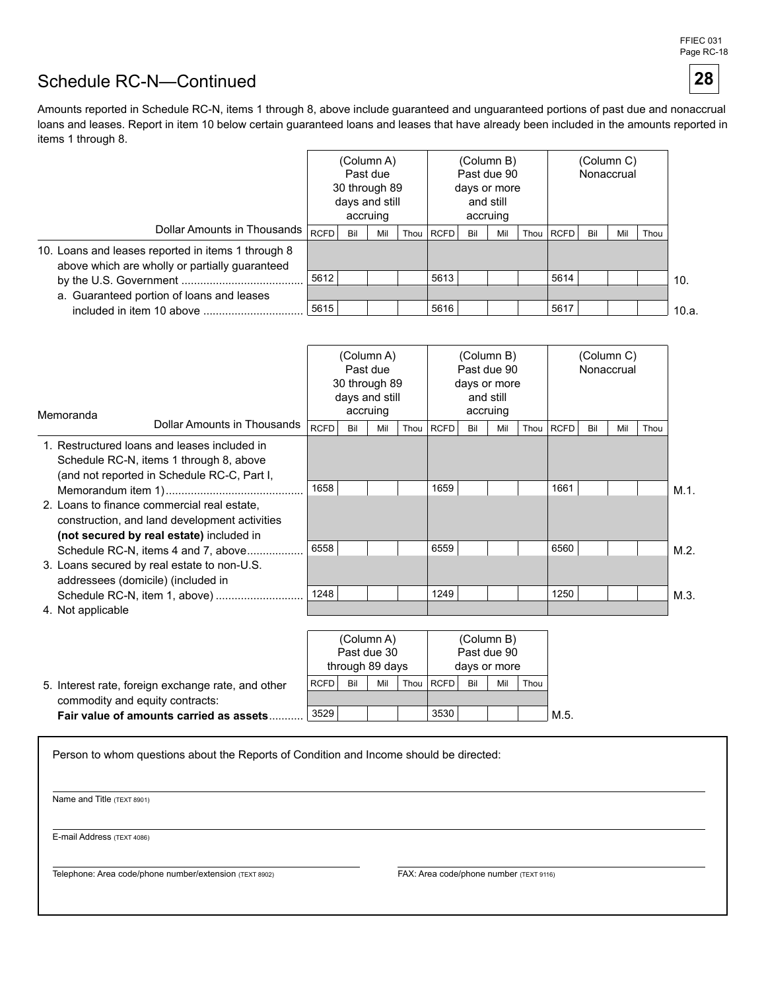# Schedule RC-N-Continued

Amounts reported in Schedule RC-N, items 1 through 8, above include guaranteed and unguaranteed portions of past due and nonaccrual loans and leases. Report in item 10 below certain guaranteed loans and leases that have already been included in the amounts reported in items 1 through 8.

|                                                                                                      |             | (Column A)<br>Past due<br>30 through 89<br>days and still<br>accruing |     |  | (Column B)<br>Past due 90<br>days or more<br>and still<br>accruing |     |     |      |      | (Column C)<br>Nonaccrual |     |      |       |
|------------------------------------------------------------------------------------------------------|-------------|-----------------------------------------------------------------------|-----|--|--------------------------------------------------------------------|-----|-----|------|------|--------------------------|-----|------|-------|
| Dollar Amounts in Thousands                                                                          | <b>RCFD</b> | Bil                                                                   | Mil |  | Thou RCFD                                                          | Bil | Mil | Thou | RCFD | Bil                      | Mil | Thou |       |
| 10. Loans and leases reported in items 1 through 8<br>above which are wholly or partially guaranteed |             |                                                                       |     |  |                                                                    |     |     |      |      |                          |     |      |       |
|                                                                                                      | 5612        |                                                                       |     |  | 5613                                                               |     |     |      | 5614 |                          |     |      | 10.   |
| a. Guaranteed portion of loans and leases                                                            |             |                                                                       |     |  |                                                                    |     |     |      |      |                          |     |      |       |
| included in item 10 above                                                                            | 5615        |                                                                       |     |  | 5616                                                               |     |     |      | 5617 |                          |     |      | 10.a. |

| Memoranda         |                                                                                                                                          |             | 30 through 89<br>days and still | (Column A)<br>Past due<br>accruing |      |             |     | (Column B)<br>Past due 90<br>days or more<br>and still<br>accruing |      | Nonaccrual  |     |     |      |         |
|-------------------|------------------------------------------------------------------------------------------------------------------------------------------|-------------|---------------------------------|------------------------------------|------|-------------|-----|--------------------------------------------------------------------|------|-------------|-----|-----|------|---------|
|                   | Dollar Amounts in Thousands                                                                                                              | <b>RCFD</b> | Bil                             | Mil                                | Thou | <b>RCFD</b> | Bil | Mil                                                                | Thou | <b>RCFD</b> | Bil | Mil | Thou |         |
|                   | 1. Restructured loans and leases included in<br>Schedule RC-N, items 1 through 8, above<br>(and not reported in Schedule RC-C, Part I,   |             |                                 |                                    |      |             |     |                                                                    |      |             |     |     |      |         |
|                   |                                                                                                                                          | 1658        |                                 |                                    |      | 1659        |     |                                                                    |      | 1661        |     |     |      | $M.1$ . |
|                   | 2. Loans to finance commercial real estate.<br>construction, and land development activities<br>(not secured by real estate) included in |             |                                 |                                    |      |             |     |                                                                    |      |             |     |     |      |         |
|                   | Schedule RC-N, items 4 and 7, above                                                                                                      | 6558        |                                 |                                    |      | 6559        |     |                                                                    |      | 6560        |     |     |      | M.2.    |
|                   | 3. Loans secured by real estate to non-U.S.<br>addressees (domicile) (included in                                                        |             |                                 |                                    |      |             |     |                                                                    |      |             |     |     |      |         |
|                   | Schedule RC-N, item 1, above)                                                                                                            | 1248        |                                 |                                    |      | 1249        |     |                                                                    |      | 1250        |     |     |      | M.3     |
| 4. Not applicable |                                                                                                                                          |             |                                 |                                    |      |             |     |                                                                    |      |             |     |     |      |         |

|                                                    | (Column A)  |                 |             |      | (Column B)  |     |              |      |      |  |  |
|----------------------------------------------------|-------------|-----------------|-------------|------|-------------|-----|--------------|------|------|--|--|
|                                                    |             |                 | Past due 30 |      |             |     | Past due 90  |      |      |  |  |
|                                                    |             | through 89 days |             |      |             |     | days or more |      |      |  |  |
| 5. Interest rate, foreign exchange rate, and other | <b>RCFD</b> | Bil             | Mil         | Thou | <b>RCFD</b> | Bil | Mil          | Thou |      |  |  |
| commodity and equity contracts:                    |             |                 |             |      |             |     |              |      |      |  |  |
| Fair value of amounts carried as assets.           | 3529        |                 |             |      | 3530        |     |              |      | M.5. |  |  |

Person to whom questions about the Reports of Condition and Income should be directed:

Name and Title (TEXT 8901)

E-mail Address (TEXT 4086)

Telephone: Area code/phone number/extension (TEXT 8902) FAX: Area code/phone number (TEXT 9116)

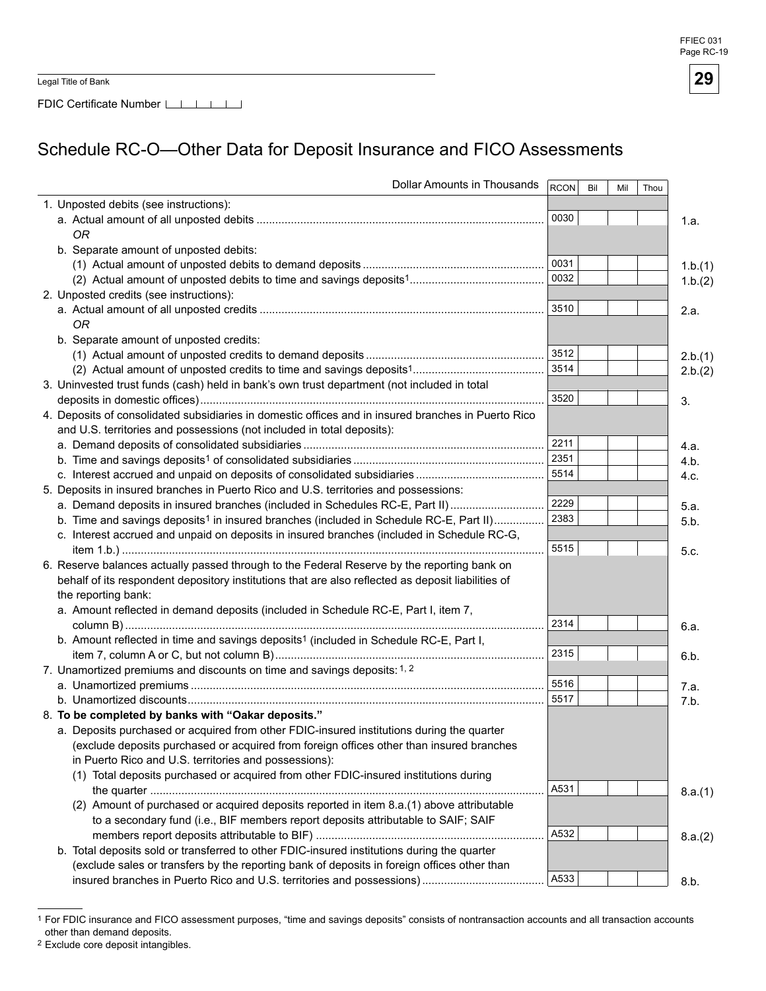FDIC Certificate Number

# Schedule RC-O-Other Data for Deposit Insurance and FICO Assessments

| Dollar Amounts in Thousands                                                                         | <b>RCON</b> | Bil | Mil | Thou |         |
|-----------------------------------------------------------------------------------------------------|-------------|-----|-----|------|---------|
| 1. Unposted debits (see instructions):                                                              |             |     |     |      |         |
|                                                                                                     | 0030        |     |     |      | 1.a.    |
| 0R                                                                                                  |             |     |     |      |         |
| b. Separate amount of unposted debits:                                                              |             |     |     |      |         |
|                                                                                                     | 0031        |     |     |      | 1.b.(1) |
|                                                                                                     | 0032        |     |     |      | 1.b.(2) |
| 2. Unposted credits (see instructions):                                                             |             |     |     |      |         |
|                                                                                                     | 3510        |     |     |      | 2.a.    |
| 0R                                                                                                  |             |     |     |      |         |
| b. Separate amount of unposted credits:                                                             |             |     |     |      |         |
|                                                                                                     | 3512        |     |     |      | 2.b.(1) |
|                                                                                                     | 3514        |     |     |      | 2.b.(2) |
| 3. Uninvested trust funds (cash) held in bank's own trust department (not included in total         |             |     |     |      |         |
|                                                                                                     | 3520        |     |     |      | 3.      |
| 4. Deposits of consolidated subsidiaries in domestic offices and in insured branches in Puerto Rico |             |     |     |      |         |
| and U.S. territories and possessions (not included in total deposits):                              |             |     |     |      |         |
|                                                                                                     | 2211        |     |     |      | 4.a.    |
|                                                                                                     | 2351        |     |     |      | 4.b.    |
|                                                                                                     | 5514        |     |     |      | 4.c.    |
| 5. Deposits in insured branches in Puerto Rico and U.S. territories and possessions:                |             |     |     |      |         |
| a. Demand deposits in insured branches (included in Schedules RC-E, Part II)                        | 2229        |     |     |      | 5.a.    |
| b. Time and savings deposits <sup>1</sup> in insured branches (included in Schedule RC-E, Part II)  | 2383        |     |     |      | 5.b.    |
| c. Interest accrued and unpaid on deposits in insured branches (included in Schedule RC-G,          |             |     |     |      |         |
|                                                                                                     | 5515        |     |     |      | 5.c.    |
| 6. Reserve balances actually passed through to the Federal Reserve by the reporting bank on         |             |     |     |      |         |
| behalf of its respondent depository institutions that are also reflected as deposit liabilities of  |             |     |     |      |         |
| the reporting bank:                                                                                 |             |     |     |      |         |
| a. Amount reflected in demand deposits (included in Schedule RC-E, Part I, item 7,                  |             |     |     |      |         |
|                                                                                                     | 2314        |     |     |      | 6.a.    |
| b. Amount reflected in time and savings deposits <sup>1</sup> (included in Schedule RC-E, Part I,   |             |     |     |      |         |
|                                                                                                     | 2315        |     |     |      | 6.b.    |
| 7. Unamortized premiums and discounts on time and savings deposits: 1, 2                            |             |     |     |      |         |
|                                                                                                     | 5516        |     |     |      | 7.a.    |
|                                                                                                     | 5517        |     |     |      | 7.b.    |
| 8. To be completed by banks with "Oakar deposits."                                                  |             |     |     |      |         |
| a. Deposits purchased or acquired from other FDIC-insured institutions during the quarter           |             |     |     |      |         |
| (exclude deposits purchased or acquired from foreign offices other than insured branches            |             |     |     |      |         |
| in Puerto Rico and U.S. territories and possessions):                                               |             |     |     |      |         |
| (1) Total deposits purchased or acquired from other FDIC-insured institutions during                |             |     |     |      |         |
|                                                                                                     | A531        |     |     |      | 8.a.(1) |
| (2) Amount of purchased or acquired deposits reported in item 8.a.(1) above attributable            |             |     |     |      |         |
| to a secondary fund (i.e., BIF members report deposits attributable to SAIF; SAIF                   |             |     |     |      |         |
|                                                                                                     | A532        |     |     |      | 8.a.(2) |
| b. Total deposits sold or transferred to other FDIC-insured institutions during the quarter         |             |     |     |      |         |
| (exclude sales or transfers by the reporting bank of deposits in foreign offices other than         |             |     |     |      |         |
|                                                                                                     | A533        |     |     |      | 8.b.    |

<sup>1</sup> For FDIC insurance and FICO assessment purposes, "time and savings deposits" consists of nontransaction accounts and all transaction accounts other than demand deposits.

2 Exclude core deposit intangibles.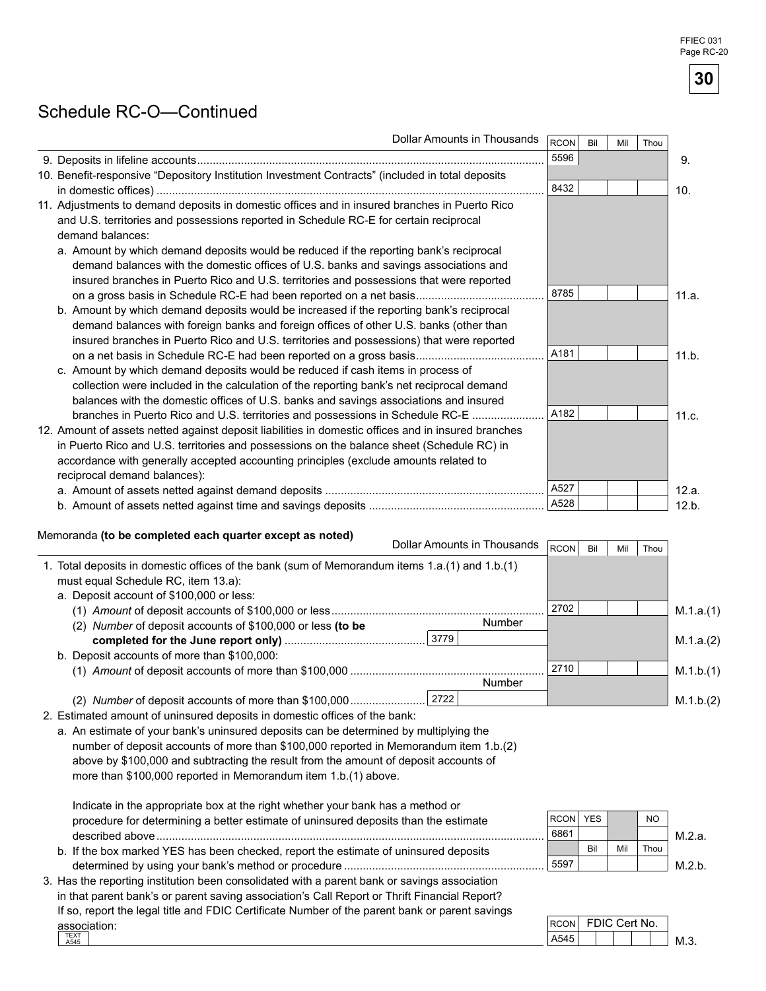FFIEC 031 Page RC-20

30

## Schedule RC-O-Continued

| <b>Dollar Amounts in Thousands</b>                                                                                                                                                                                                                                                                                                                                                                        | <b>RCON</b> | Bil | Mil | Thou |           |
|-----------------------------------------------------------------------------------------------------------------------------------------------------------------------------------------------------------------------------------------------------------------------------------------------------------------------------------------------------------------------------------------------------------|-------------|-----|-----|------|-----------|
|                                                                                                                                                                                                                                                                                                                                                                                                           | 5596        |     |     |      | 9.        |
| 10. Benefit-responsive "Depository Institution Investment Contracts" (included in total deposits                                                                                                                                                                                                                                                                                                          |             |     |     |      |           |
|                                                                                                                                                                                                                                                                                                                                                                                                           | 8432        |     |     |      | 10.       |
| 11. Adjustments to demand deposits in domestic offices and in insured branches in Puerto Rico<br>and U.S. territories and possessions reported in Schedule RC-E for certain reciprocal<br>demand balances:                                                                                                                                                                                                |             |     |     |      |           |
| a. Amount by which demand deposits would be reduced if the reporting bank's reciprocal<br>demand balances with the domestic offices of U.S. banks and savings associations and<br>insured branches in Puerto Rico and U.S. territories and possessions that were reported                                                                                                                                 |             |     |     |      |           |
| on a gross basis in Schedule RC-E had been reported on a net basis<br>b. Amount by which demand deposits would be increased if the reporting bank's reciprocal<br>demand balances with foreign banks and foreign offices of other U.S. banks (other than<br>insured branches in Puerto Rico and U.S. territories and possessions) that were reported                                                      | 8785        |     |     |      | 11.a.     |
| on a net basis in Schedule RC-E had been reported on a gross basis<br>c. Amount by which demand deposits would be reduced if cash items in process of<br>collection were included in the calculation of the reporting bank's net reciprocal demand<br>balances with the domestic offices of U.S. banks and savings associations and insured                                                               | A181        |     |     |      | 11.b.     |
| branches in Puerto Rico and U.S. territories and possessions in Schedule RC-E<br>12. Amount of assets netted against deposit liabilities in domestic offices and in insured branches<br>in Puerto Rico and U.S. territories and possessions on the balance sheet (Schedule RC) in<br>accordance with generally accepted accounting principles (exclude amounts related to<br>reciprocal demand balances): | A182        |     |     |      | 11.c.     |
|                                                                                                                                                                                                                                                                                                                                                                                                           | A527        |     |     |      | 12.a.     |
|                                                                                                                                                                                                                                                                                                                                                                                                           | A528        |     |     |      | 12.b.     |
| Memoranda (to be completed each quarter except as noted)<br>Dollar Amounts in Thousands                                                                                                                                                                                                                                                                                                                   | RCON        | Bil | Mil | Thou |           |
| 1. Total deposits in domestic offices of the bank (sum of Memorandum items 1.a.(1) and 1.b.(1)<br>must equal Schedule RC, item 13.a):<br>a. Deposit account of \$100,000 or less:                                                                                                                                                                                                                         |             |     |     |      |           |
|                                                                                                                                                                                                                                                                                                                                                                                                           | 2702        |     |     |      | M.1.a.(1) |
| Number<br>(2) Number of deposit accounts of \$100,000 or less (to be                                                                                                                                                                                                                                                                                                                                      |             |     |     |      |           |
| 3779                                                                                                                                                                                                                                                                                                                                                                                                      |             |     |     |      | M.1.a.(2) |
| b. Deposit accounts of more than \$100,000:                                                                                                                                                                                                                                                                                                                                                               |             |     |     |      |           |
| Number                                                                                                                                                                                                                                                                                                                                                                                                    | 2710        |     |     |      | M.1.b.(1) |
|                                                                                                                                                                                                                                                                                                                                                                                                           |             |     |     |      |           |
|                                                                                                                                                                                                                                                                                                                                                                                                           |             |     |     |      | M.1.b.(2) |

2. Estimated amount of uninsured deposits in domestic offices of the bank:

a. An estimate of your bank's uninsured deposits can be determined by multiplying the number of deposit accounts of more than \$100,000 reported in Memorandum item 1.b.(2) above by \$100,000 and subtracting the result from the amount of deposit accounts of more than \$100,000 reported in Memorandum item 1.b.(1) above.

| Indicate in the appropriate box at the right whether your bank has a method or               |             |            |     |           |        |
|----------------------------------------------------------------------------------------------|-------------|------------|-----|-----------|--------|
| procedure for determining a better estimate of uninsured deposits than the estimate          | <b>RCON</b> | <b>YES</b> |     | <b>NO</b> |        |
|                                                                                              | 6861        |            |     |           | M.2.a. |
| b. If the box marked YES has been checked, report the estimate of uninsured deposits         |             | Bil        | Mil | Thou      |        |
|                                                                                              | 5597ء       |            |     |           | M.2 h. |
| 3. Has the reporting institution been consolidated with a parent bank or savings association |             |            |     |           |        |

in that parent bank's or parent saving association's Call Report or Thrift Financial Report? If so, report the legal title and FDIC Certificate Number of the parent bank or parent savings association: TEXT<br>A545

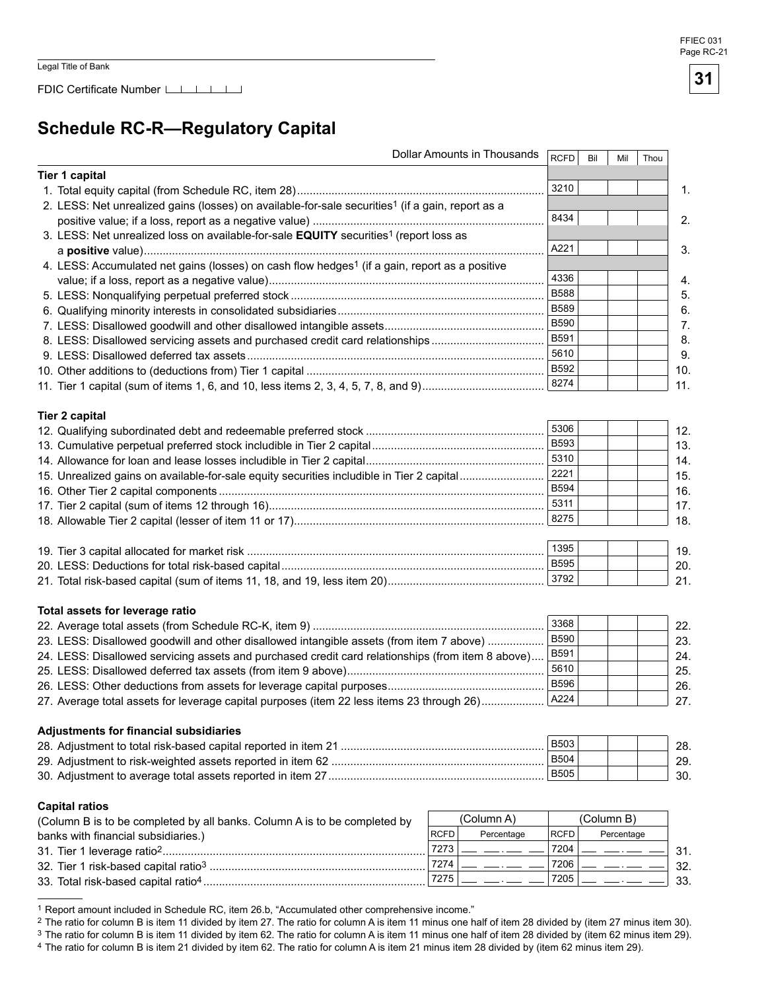## **Schedule RC-R--Regulatory Capital**

|                                                                                                                                                                                                                                                                                                                                                                                                                                                                                                                             | Dollar Amounts in Thousands | <b>RCFD</b>  | Bil | Mil        | Thou |
|-----------------------------------------------------------------------------------------------------------------------------------------------------------------------------------------------------------------------------------------------------------------------------------------------------------------------------------------------------------------------------------------------------------------------------------------------------------------------------------------------------------------------------|-----------------------------|--------------|-----|------------|------|
| <b>Tier 1 capital</b>                                                                                                                                                                                                                                                                                                                                                                                                                                                                                                       |                             |              |     |            |      |
|                                                                                                                                                                                                                                                                                                                                                                                                                                                                                                                             |                             | 3210         |     |            |      |
| 2. LESS: Net unrealized gains (losses) on available-for-sale securities <sup>1</sup> (if a gain, report as a                                                                                                                                                                                                                                                                                                                                                                                                                |                             |              |     |            |      |
|                                                                                                                                                                                                                                                                                                                                                                                                                                                                                                                             |                             | 8434         |     |            |      |
| 3. LESS: Net unrealized loss on available-for-sale EQUITY securities <sup>1</sup> (report loss as                                                                                                                                                                                                                                                                                                                                                                                                                           |                             |              |     |            |      |
|                                                                                                                                                                                                                                                                                                                                                                                                                                                                                                                             |                             | A221         |     |            |      |
| 4. LESS: Accumulated net gains (losses) on cash flow hedges <sup>1</sup> (if a gain, report as a positive                                                                                                                                                                                                                                                                                                                                                                                                                   |                             |              |     |            |      |
|                                                                                                                                                                                                                                                                                                                                                                                                                                                                                                                             |                             | 4336         |     |            |      |
|                                                                                                                                                                                                                                                                                                                                                                                                                                                                                                                             |                             | <b>B588</b>  |     |            |      |
|                                                                                                                                                                                                                                                                                                                                                                                                                                                                                                                             |                             | <b>B589</b>  |     |            |      |
|                                                                                                                                                                                                                                                                                                                                                                                                                                                                                                                             |                             | <b>B590</b>  |     |            |      |
|                                                                                                                                                                                                                                                                                                                                                                                                                                                                                                                             |                             | B591         |     |            |      |
| 8. LESS: Disallowed servicing assets and purchased credit card relationships                                                                                                                                                                                                                                                                                                                                                                                                                                                |                             | 5610         |     |            |      |
|                                                                                                                                                                                                                                                                                                                                                                                                                                                                                                                             |                             |              |     |            |      |
|                                                                                                                                                                                                                                                                                                                                                                                                                                                                                                                             |                             | B592         |     |            |      |
|                                                                                                                                                                                                                                                                                                                                                                                                                                                                                                                             |                             | 8274         |     |            |      |
| <b>Tier 2 capital</b>                                                                                                                                                                                                                                                                                                                                                                                                                                                                                                       |                             |              |     |            |      |
|                                                                                                                                                                                                                                                                                                                                                                                                                                                                                                                             |                             | 5306         |     |            |      |
|                                                                                                                                                                                                                                                                                                                                                                                                                                                                                                                             |                             | B593         |     |            |      |
|                                                                                                                                                                                                                                                                                                                                                                                                                                                                                                                             |                             | 5310         |     |            |      |
| 15. Unrealized gains on available-for-sale equity securities includible in Tier 2 capital                                                                                                                                                                                                                                                                                                                                                                                                                                   |                             | 2221         |     |            |      |
|                                                                                                                                                                                                                                                                                                                                                                                                                                                                                                                             |                             | <b>B594</b>  |     |            |      |
|                                                                                                                                                                                                                                                                                                                                                                                                                                                                                                                             |                             | 5311         |     |            |      |
|                                                                                                                                                                                                                                                                                                                                                                                                                                                                                                                             |                             | 8275         |     |            |      |
|                                                                                                                                                                                                                                                                                                                                                                                                                                                                                                                             |                             |              |     |            |      |
|                                                                                                                                                                                                                                                                                                                                                                                                                                                                                                                             |                             | 1395         |     |            |      |
|                                                                                                                                                                                                                                                                                                                                                                                                                                                                                                                             |                             |              |     |            |      |
|                                                                                                                                                                                                                                                                                                                                                                                                                                                                                                                             |                             | <b>B595</b>  |     |            |      |
|                                                                                                                                                                                                                                                                                                                                                                                                                                                                                                                             |                             | 3792         |     |            |      |
|                                                                                                                                                                                                                                                                                                                                                                                                                                                                                                                             |                             |              |     |            |      |
|                                                                                                                                                                                                                                                                                                                                                                                                                                                                                                                             |                             | 3368         |     |            |      |
|                                                                                                                                                                                                                                                                                                                                                                                                                                                                                                                             |                             | <b>B590</b>  |     |            |      |
|                                                                                                                                                                                                                                                                                                                                                                                                                                                                                                                             |                             |              |     |            |      |
|                                                                                                                                                                                                                                                                                                                                                                                                                                                                                                                             |                             | B591         |     |            |      |
|                                                                                                                                                                                                                                                                                                                                                                                                                                                                                                                             |                             | 5610         |     |            |      |
|                                                                                                                                                                                                                                                                                                                                                                                                                                                                                                                             |                             | <b>B596</b>  |     |            |      |
|                                                                                                                                                                                                                                                                                                                                                                                                                                                                                                                             |                             | A224         |     |            |      |
|                                                                                                                                                                                                                                                                                                                                                                                                                                                                                                                             |                             |              |     |            |      |
|                                                                                                                                                                                                                                                                                                                                                                                                                                                                                                                             |                             | <b>B503</b>  |     |            |      |
|                                                                                                                                                                                                                                                                                                                                                                                                                                                                                                                             |                             | <b>B504</b>  |     |            |      |
|                                                                                                                                                                                                                                                                                                                                                                                                                                                                                                                             |                             | <b>B505</b>  |     |            |      |
|                                                                                                                                                                                                                                                                                                                                                                                                                                                                                                                             |                             |              |     |            |      |
|                                                                                                                                                                                                                                                                                                                                                                                                                                                                                                                             |                             |              |     |            |      |
|                                                                                                                                                                                                                                                                                                                                                                                                                                                                                                                             | (Column A)                  |              |     | (Column B) |      |
|                                                                                                                                                                                                                                                                                                                                                                                                                                                                                                                             | <b>RCFD</b><br>Percentage   | <b>RCFD</b>  |     | Percentage |      |
| Total assets for leverage ratio<br>23. LESS: Disallowed goodwill and other disallowed intangible assets (from item 7 above)<br>24. LESS: Disallowed servicing assets and purchased credit card relationships (from item 8 above)<br>27. Average total assets for leverage capital purposes (item 22 less items 23 through 26)<br><b>Adjustments for financial subsidiaries</b><br><b>Capital ratios</b><br>(Column B is to be completed by all banks. Column A is to be completed by<br>banks with financial subsidiaries.) | 7273<br>7274                | 7204<br>7206 |     |            |      |

<sup>1</sup> Report amount included in Schedule RC, item 26.b, "Accumulated other comprehensive income."

<sup>2</sup> The ratio for column B is item 11 divided by item 27. The ratio for column A is item 11 minus one half of item 28 divided by (item 27 minus item 30).

3 The ratio for column B is item 11 divided by item 62. The ratio for column A is item 11 minus one half of item 28 divided by (item 62 minus item 29).

4 The ratio for column B is item 21 divided by item 62. The ratio for column A is item 21 minus item 28 divided by (item 62 minus item 29).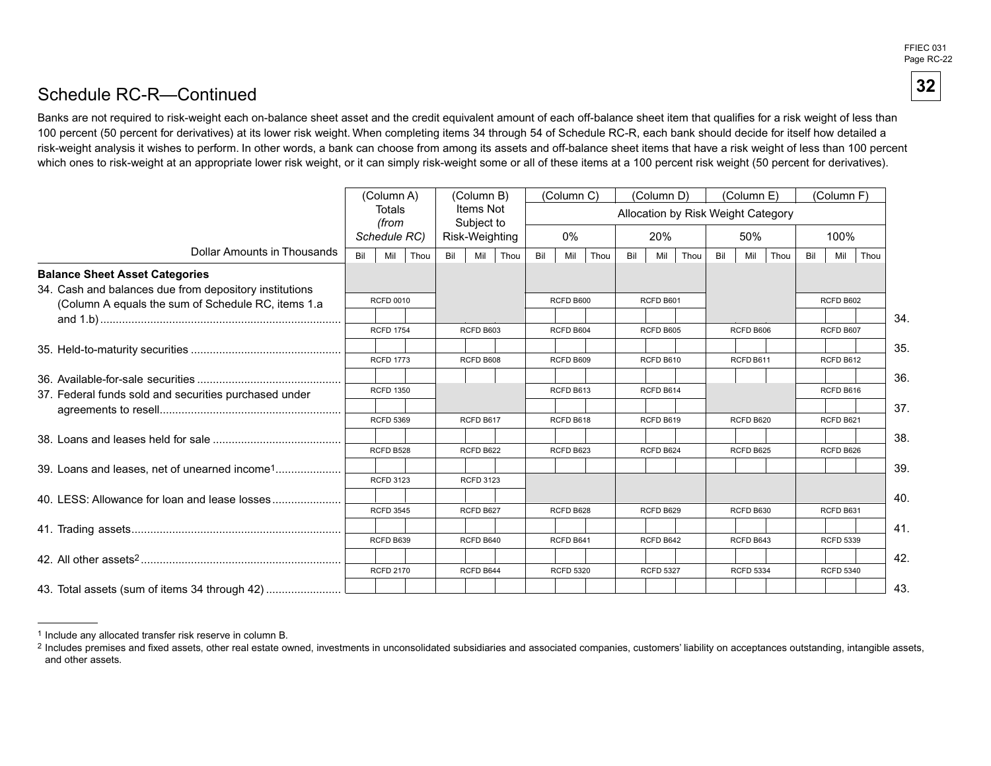FFIEC 031 Page RC-22

**32** 

### Schedule RC-R—Continued

Banks are not required to risk-weight each on-balance sheet asset and the credit equivalent amount of each off-balance sheet item that qualifies for a risk weight of less than 100 percent (50 percent for derivatives) at its lower risk weight. When completing items 34 through 54 of Schedule RC-R, each bank should decide for itself how detailed a risk-weight analysis it wishes to perform. In other words, a bank can choose from among its assets and off-balance sheet items that have a risk weight of less than 100 percent which ones to risk-weight at an appropriate lower risk weight, or it can simply risk-weight some or all of these items at a 100 percent risk weight (50 percent for derivatives).

|                                                           |     | (Column A)       |     | (Column B)              |      |     | (Column C)       |      |     | (Column D)       |                                    |     | (Column E)       |      |     | (Column F)       |      |
|-----------------------------------------------------------|-----|------------------|-----|-------------------------|------|-----|------------------|------|-----|------------------|------------------------------------|-----|------------------|------|-----|------------------|------|
|                                                           |     | Totals<br>(from  |     | Items Not<br>Subject to |      |     |                  |      |     |                  | Allocation by Risk Weight Category |     |                  |      |     |                  |      |
|                                                           |     | Schedule RC)     |     | Risk-Weighting          |      |     | 0%               |      |     | 20%              |                                    |     | 50%              |      |     | 100%             |      |
| Dollar Amounts in Thousands                               | Bil | Thou<br>Mil      | Bil | Mil                     | Thou | Bil | Mil              | Thou | Bil | Mil              | Thou                               | Bil | Mil              | Thou | Bil | Mil              | Thou |
| <b>Balance Sheet Asset Categories</b>                     |     |                  |     |                         |      |     |                  |      |     |                  |                                    |     |                  |      |     |                  |      |
| 34. Cash and balances due from depository institutions    |     |                  |     |                         |      |     |                  |      |     |                  |                                    |     |                  |      |     |                  |      |
| (Column A equals the sum of Schedule RC, items 1.a        |     | <b>RCFD 0010</b> |     |                         |      |     | RCFD B600        |      |     | RCFD B601        |                                    |     |                  |      |     | RCFD B602        |      |
|                                                           |     |                  |     |                         |      |     |                  |      |     |                  |                                    |     |                  |      |     |                  |      |
|                                                           |     | <b>RCFD 1754</b> |     | RCFD B603               |      |     | RCFD B604        |      |     | RCFD B605        |                                    |     | RCFD B606        |      |     | RCFD B607        |      |
|                                                           |     |                  |     |                         |      |     |                  |      |     |                  |                                    |     |                  |      |     |                  |      |
|                                                           |     | <b>RCFD 1773</b> |     | RCFD B608               |      |     | RCFD B609        |      |     | RCFD B610        |                                    |     | RCFD B611        |      |     | RCFD B612        |      |
|                                                           |     |                  |     |                         |      |     |                  |      |     |                  |                                    |     |                  |      |     |                  |      |
| 37. Federal funds sold and securities purchased under     |     | <b>RCFD 1350</b> |     |                         |      |     | RCFD B613        |      |     | RCFD B614        |                                    |     |                  |      |     | RCFD B616        |      |
|                                                           |     |                  |     |                         |      |     |                  |      |     |                  |                                    |     |                  |      |     |                  |      |
|                                                           |     | <b>RCFD 5369</b> |     | RCFD B617               |      |     | RCFD B618        |      |     | RCFD B619        |                                    |     | RCFD B620        |      |     | RCFD B621        |      |
|                                                           |     |                  |     |                         |      |     |                  |      |     |                  |                                    |     |                  |      |     |                  |      |
|                                                           |     | RCFD B528        |     | RCFD B622               |      |     | RCFD B623        |      |     | RCFD B624        |                                    |     | RCFD B625        |      |     | RCFD B626        |      |
| 39. Loans and leases, net of unearned income <sup>1</sup> |     |                  |     |                         |      |     |                  |      |     |                  |                                    |     |                  |      |     |                  |      |
|                                                           |     | <b>RCFD 3123</b> |     | <b>RCFD 3123</b>        |      |     |                  |      |     |                  |                                    |     |                  |      |     |                  |      |
|                                                           |     |                  |     |                         |      |     |                  |      |     |                  |                                    |     |                  |      |     |                  |      |
|                                                           |     | <b>RCFD 3545</b> |     | RCFD B627               |      |     | RCFD B628        |      |     | RCFD B629        |                                    |     | RCFD B630        |      |     | RCFD B631        |      |
|                                                           |     |                  |     |                         |      |     |                  |      |     |                  |                                    |     |                  |      |     |                  |      |
|                                                           |     | RCFD B639        |     | RCFD B640               |      |     | RCFD B641        |      |     | RCFD B642        |                                    |     | RCFD B643        |      |     | <b>RCFD 5339</b> |      |
|                                                           |     |                  |     |                         |      |     |                  |      |     |                  |                                    |     |                  |      |     |                  |      |
|                                                           |     | <b>RCFD 2170</b> |     | RCFD B644               |      |     | <b>RCFD 5320</b> |      |     | <b>RCFD 5327</b> |                                    |     | <b>RCFD 5334</b> |      |     | <b>RCFD 5340</b> |      |
| 43. Total assets (sum of items 34 through 42)             |     |                  |     |                         |      |     |                  |      |     |                  |                                    |     |                  |      |     |                  |      |

<sup>1</sup> Include any allocated transfer risk reserve in column B.

<sup>&</sup>lt;sup>2</sup> Includes premises and fixed assets, other real estate owned, investments in unconsolidated subsidiaries and associated companies, customers' liability on acceptances outstanding, intangible assets, and other assets.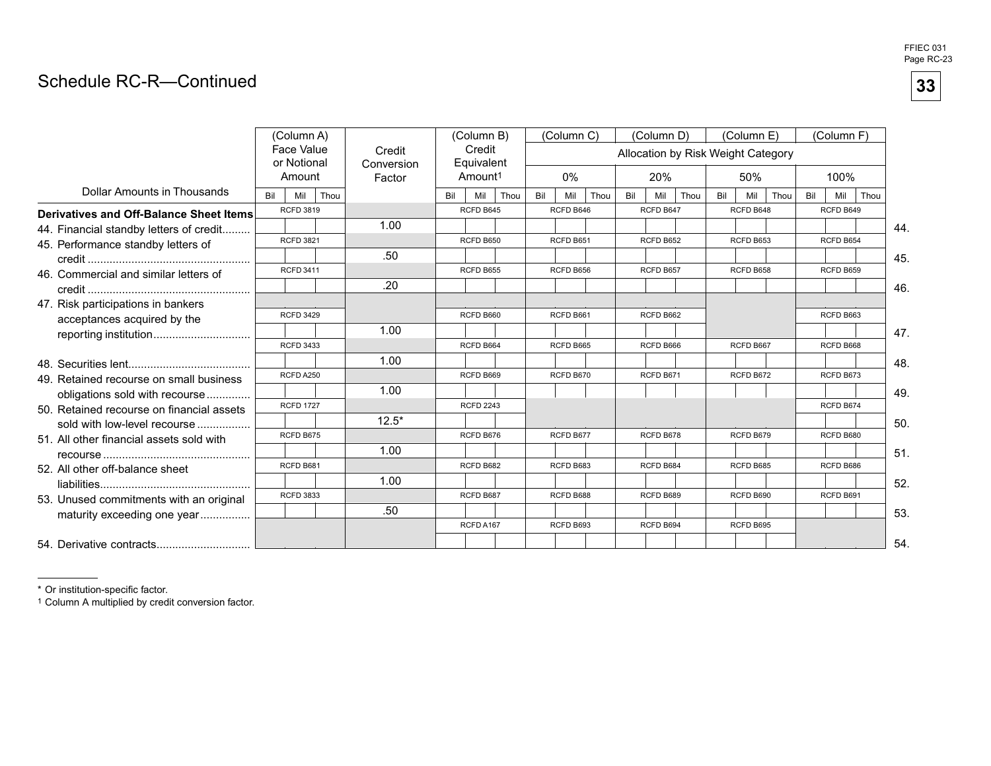### Schedule RC-R—Continued

|                                           | (Column A)       |                                     |      |                                |           | (Column B)                                  |      |           | (Column C) |      |           | (Column D) |      |           | (Column E)                                |      |           | (Column F) |      |
|-------------------------------------------|------------------|-------------------------------------|------|--------------------------------|-----------|---------------------------------------------|------|-----------|------------|------|-----------|------------|------|-----------|-------------------------------------------|------|-----------|------------|------|
|                                           |                  | Face Value<br>or Notional<br>Amount |      | Credit<br>Conversion<br>Factor |           | Credit<br>Equivalent<br>Amount <sup>1</sup> |      |           | $0\%$      |      |           | 20%        |      |           | Allocation by Risk Weight Category<br>50% |      |           | 100%       |      |
| Dollar Amounts in Thousands               | Bil              | Mil                                 | Thou |                                | Bil       | Mil                                         | Thou | Bil       | Mil        | Thou | Bil       | Mil        | Thou | Bil       | Mil                                       | Thou | Bil       | Mil        | Thou |
| Derivatives and Off-Balance Sheet Items   |                  | <b>RCFD 3819</b>                    |      |                                |           | RCFD B645                                   |      |           | RCFD B646  |      |           | RCFD B647  |      |           | RCFD B648                                 |      |           | RCFD B649  |      |
| 44. Financial standby letters of credit   |                  |                                     |      | 1.00                           |           |                                             |      |           |            |      |           |            |      |           |                                           |      |           |            | 44.  |
| 45. Performance standby letters of        |                  | <b>RCFD 3821</b>                    |      |                                |           | RCFD B650                                   |      |           | RCFD B651  |      |           | RCFD B652  |      |           | RCFD B653                                 |      |           | RCFD B654  |      |
|                                           |                  |                                     |      | .50                            |           |                                             |      |           |            |      |           |            |      |           |                                           |      |           |            | 45.  |
| 46. Commercial and similar letters of     |                  | <b>RCFD 3411</b>                    |      |                                |           | RCFD B655                                   |      |           | RCFD B656  |      |           | RCFD B657  |      |           | RCFD B658                                 |      |           | RCFD B659  |      |
|                                           |                  |                                     |      | .20                            |           |                                             |      |           |            |      |           |            |      |           |                                           |      |           |            | 46.  |
| 47. Risk participations in bankers        |                  |                                     |      |                                |           |                                             |      |           |            |      |           |            |      |           |                                           |      |           |            |      |
| acceptances acquired by the               |                  | <b>RCFD 3429</b>                    |      |                                |           | RCFD B660                                   |      |           | RCFD B661  |      |           | RCFD B662  |      |           |                                           |      |           | RCFD B663  |      |
| reporting institution                     |                  |                                     |      | 1.00                           |           |                                             |      |           |            |      |           |            |      |           |                                           |      |           |            | 47.  |
|                                           |                  | <b>RCFD 3433</b>                    |      |                                |           | RCFD B664                                   |      |           | RCFD B665  |      |           | RCFD B666  |      |           | RCFD B667                                 |      |           | RCFD B668  |      |
|                                           |                  |                                     |      | 1.00                           |           |                                             |      |           |            |      |           |            |      |           |                                           |      |           |            | 48.  |
| 49. Retained recourse on small business   |                  | RCFD A250                           |      |                                |           | RCFD B669                                   |      |           | RCFD B670  |      |           | RCFD B671  |      |           | RCFD B672                                 |      |           | RCFD B673  |      |
| obligations sold with recourse            |                  |                                     |      | 1.00                           |           |                                             |      |           |            |      |           |            |      |           |                                           |      |           |            | 49.  |
| 50. Retained recourse on financial assets |                  | <b>RCFD 1727</b>                    |      |                                |           | <b>RCFD 2243</b>                            |      |           |            |      |           |            |      |           |                                           |      |           | RCFD B674  |      |
| sold with low-level recourse              |                  |                                     |      | $12.5*$                        |           |                                             |      |           |            |      |           |            |      |           |                                           |      |           |            | 50.  |
| 51. All other financial assets sold with  |                  | RCFD B675                           |      |                                |           | RCFD B676                                   |      |           | RCFD B677  |      |           | RCFD B678  |      |           | RCFD B679                                 |      |           | RCFD B680  |      |
|                                           |                  |                                     |      | 1.00                           |           |                                             |      |           |            |      |           |            |      |           |                                           |      |           |            | 51.  |
| 52. All other off-balance sheet           | RCFD B681        |                                     |      |                                | RCFD B682 |                                             |      | RCFD B683 |            |      | RCFD B684 |            |      | RCFD B685 |                                           |      | RCFD B686 |            |      |
|                                           | <b>RCFD 3833</b> |                                     | 1.00 |                                |           |                                             |      |           |            |      |           |            |      |           |                                           |      |           | 52.        |      |
| 53. Unused commitments with an original   |                  |                                     |      |                                |           | RCFD B687                                   |      |           | RCFD B688  |      |           | RCFD B689  |      |           | RCFD B690                                 |      |           | RCFD B691  |      |
| maturity exceeding one year               |                  |                                     |      | .50                            |           |                                             |      |           |            |      |           |            |      |           |                                           |      |           |            | 53.  |
|                                           |                  |                                     |      |                                |           | RCFD A167                                   |      |           | RCFD B693  |      |           | RCFD B694  |      |           | RCFD B695                                 |      |           |            |      |
| 54. Derivative contracts                  |                  |                                     |      |                                |           |                                             |      |           |            |      |           |            |      |           |                                           |      |           |            | 54.  |

\* Or institution-specific factor.

1 Column A multiplied by credit conversion factor.

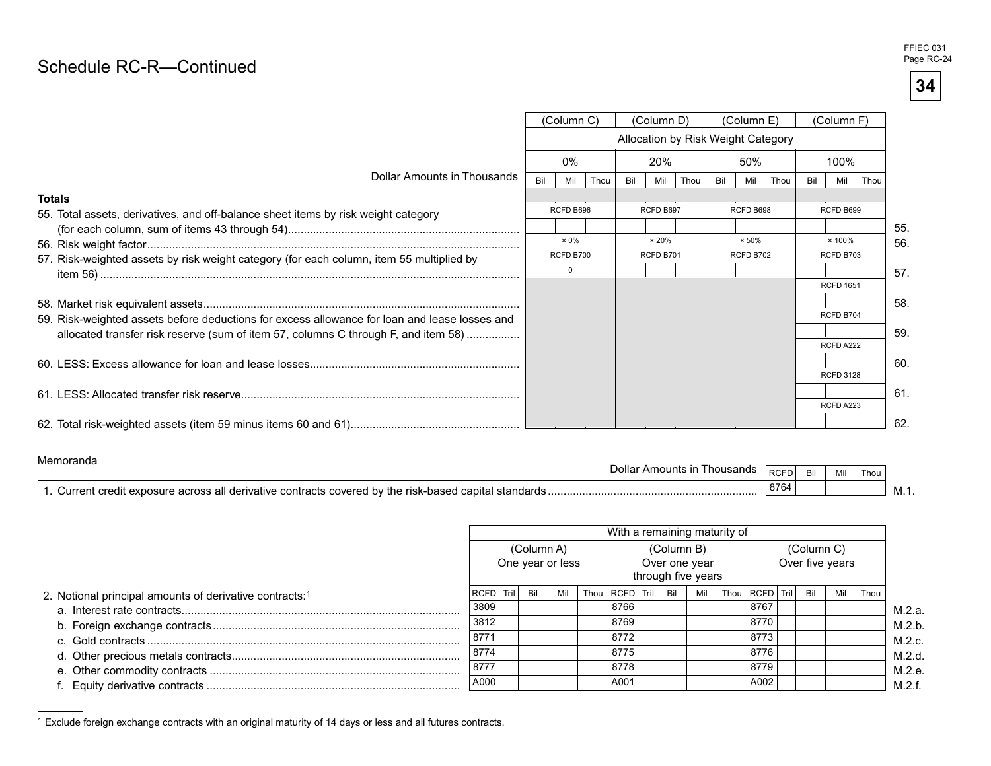# Page RC-R—Continued Property and the Continued Page RC-24

**34** 

|                                                                                               |                                    | (Column C)   |      |     | (Column D)    |      |     | (Column E)    |      |     | (Column F)       |      |
|-----------------------------------------------------------------------------------------------|------------------------------------|--------------|------|-----|---------------|------|-----|---------------|------|-----|------------------|------|
|                                                                                               | Allocation by Risk Weight Category |              |      |     |               |      |     |               |      |     |                  |      |
|                                                                                               |                                    | $0\%$        |      |     | 20%           |      |     | 50%           |      |     | 100%             |      |
| Dollar Amounts in Thousands                                                                   | Bil                                | Mil          | Thou | Bil | Mil           | Thou | Bil | Mil           | Thou | Bil | Mil              | Thou |
| <b>Totals</b>                                                                                 |                                    |              |      |     |               |      |     |               |      |     |                  |      |
| 55. Total assets, derivatives, and off-balance sheet items by risk weight category            |                                    | RCFD B696    |      |     | RCFD B697     |      |     | RCFD B698     |      |     | RCFD B699        |      |
|                                                                                               |                                    |              |      |     |               |      |     |               |      |     |                  | 55.  |
|                                                                                               |                                    | $\times 0\%$ |      |     | $\times 20\%$ |      |     | $\times 50\%$ |      |     | $\times$ 100%    | 56.  |
| 57. Risk-weighted assets by risk weight category (for each column, item 55 multiplied by      |                                    | RCFD B700    |      |     | RCFD B701     |      |     | RCFD B702     |      |     | RCFD B703        |      |
|                                                                                               |                                    | $\mathbf 0$  |      |     |               |      |     |               |      |     |                  | 57.  |
|                                                                                               |                                    |              |      |     |               |      |     |               |      |     | <b>RCFD 1651</b> |      |
|                                                                                               |                                    |              |      |     |               |      |     |               |      |     |                  | 58.  |
| 59. Risk-weighted assets before deductions for excess allowance for loan and lease losses and |                                    |              |      |     |               |      |     |               |      |     | RCFD B704        |      |
| allocated transfer risk reserve (sum of item 57, columns C through F, and item 58)            |                                    |              |      |     |               |      |     |               |      |     |                  | 59.  |
|                                                                                               |                                    |              |      |     |               |      |     |               |      |     | RCFD A222        |      |
|                                                                                               |                                    |              |      |     |               |      |     |               |      |     |                  | 60.  |
|                                                                                               |                                    |              |      |     |               |      |     |               |      |     | <b>RCFD 3128</b> |      |
|                                                                                               |                                    |              |      |     |               |      |     |               |      |     |                  | -61. |
|                                                                                               |                                    |              |      |     |               |      |     |               |      |     | RCFD A223        |      |
|                                                                                               |                                    |              |      |     |               |      |     |               |      |     |                  | 62   |

#### Memoranda

| <u>ivielijuid lud</u><br>Dollar<br>housands<br><sup>.</sup> Amounts ır                                                           | $R^{\sim}$<br>ו חטר | $\mathbf{r}$ | Mil | Thou |         |
|----------------------------------------------------------------------------------------------------------------------------------|---------------------|--------------|-----|------|---------|
| l standards<br>Jurren<br>`capita.<br>∣ b∨ the risk<br>derivative<br><b>AVDOCI</b><br>a-basec<br>C<br>COVATAC<br>ົ∩ntracts ∈<br>. | 8764                |              |     |      | IVI. I. |

|                                                                     |               |            |                  | With a remaining maturity of |            |                                     |                    |            |                 |      |
|---------------------------------------------------------------------|---------------|------------|------------------|------------------------------|------------|-------------------------------------|--------------------|------------|-----------------|------|
|                                                                     |               | (Column A) | One year or less |                              | (Column B) | Over one year<br>through five years |                    | (Column C) | Over five years |      |
| 2. Notional principal amounts of derivative contracts: <sup>1</sup> | RCFD Tril Bil |            | Mil              | Thou RCFD Tril               | Bil        | Mil                                 | Thou RCFD Tril Bil |            | Mil             | Thou |
|                                                                     | 3809          |            |                  | 8766                         |            |                                     | 8767               |            |                 |      |
|                                                                     | 3812          |            |                  | 8769                         |            |                                     | 8770               |            |                 |      |
|                                                                     | 8771          |            |                  | 8772                         |            |                                     | 8773               |            |                 |      |
|                                                                     | 8774          |            |                  | 8775                         |            |                                     | 8776               |            |                 |      |
|                                                                     | 8777          |            |                  | 8778                         |            |                                     | 8779               |            |                 |      |
|                                                                     | A000          |            |                  | A001                         |            |                                     | A002               |            |                 |      |

<sup>1</sup> Exclude foreign exchange contracts with an original maturity of 14 days or less and all futures contracts.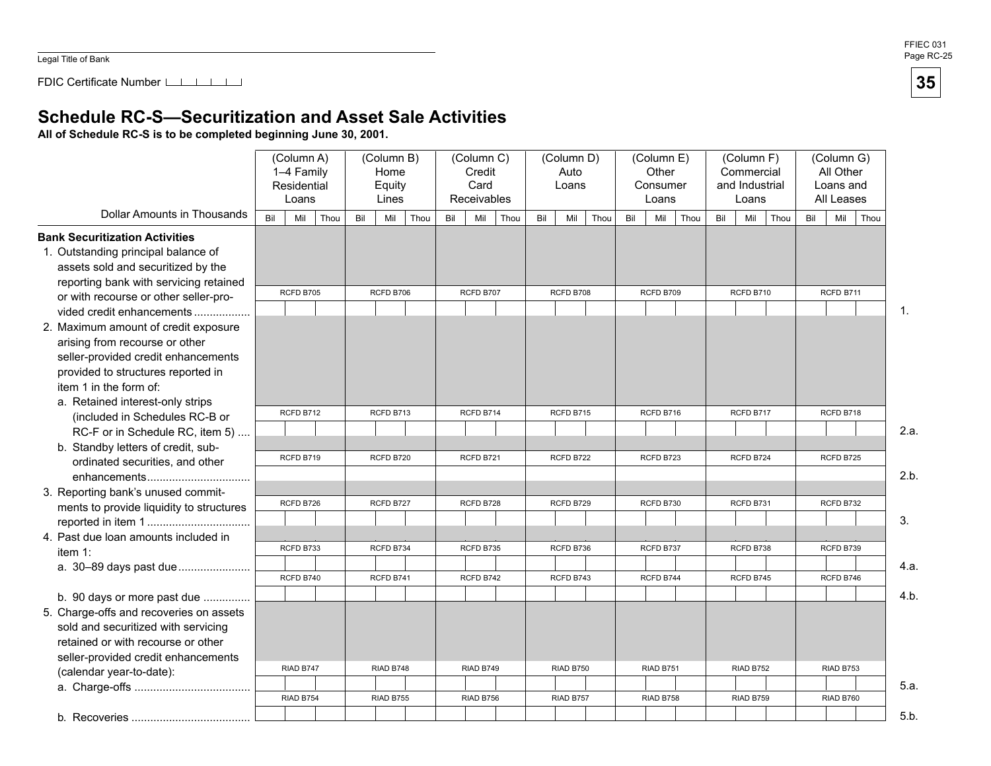FDIC Certificate Number **1 1 1 1 1** 

### **Schedule RC-S—Securitization and Asset Sale Activities**

**All of Schedule RC-S is to be completed beginning June 30, 2001.** 

|                                          |                        | (Column A)<br>1-4 Family<br>Residential<br>Loans |           |     | (Column B)<br>Home<br>Equity<br>Lines |           | (Column C)<br>Credit<br>Card<br>Receivables |      |           | (Column D)<br>Auto<br>Loans |      |           | (Column E)<br>Other<br>Consumer<br>Loans |      |           | (Column F)<br>Commercial<br>and Industrial<br>Loans |      |     | (Column G)<br>All Other<br>Loans and<br>All Leases |                |
|------------------------------------------|------------------------|--------------------------------------------------|-----------|-----|---------------------------------------|-----------|---------------------------------------------|------|-----------|-----------------------------|------|-----------|------------------------------------------|------|-----------|-----------------------------------------------------|------|-----|----------------------------------------------------|----------------|
| <b>Dollar Amounts in Thousands</b>       | Bil                    | Mil                                              | Thou      | Bil | Mil<br>Thou                           | Bil       | Mil                                         | Thou | Bil       | Mil                         | Thou | Bil       | Mil                                      | Thou | Bil       | Mil                                                 | Thou | Bil | Mil                                                | Thou           |
| <b>Bank Securitization Activities</b>    |                        |                                                  |           |     |                                       |           |                                             |      |           |                             |      |           |                                          |      |           |                                                     |      |     |                                                    |                |
| 1. Outstanding principal balance of      |                        |                                                  |           |     |                                       |           |                                             |      |           |                             |      |           |                                          |      |           |                                                     |      |     |                                                    |                |
| assets sold and securitized by the       |                        |                                                  |           |     |                                       |           |                                             |      |           |                             |      |           |                                          |      |           |                                                     |      |     |                                                    |                |
| reporting bank with servicing retained   |                        |                                                  |           |     |                                       |           |                                             |      |           |                             |      |           |                                          |      |           |                                                     |      |     |                                                    |                |
| or with recourse or other seller-pro-    |                        | RCFD B705                                        |           |     | RCFD B706                             |           | RCFD B707                                   |      |           | RCFD B708                   |      |           | RCFD B709                                |      |           | RCFD B710                                           |      |     | RCFD B711                                          |                |
| vided credit enhancements                |                        |                                                  |           |     |                                       |           |                                             |      |           |                             |      |           |                                          |      |           |                                                     |      |     |                                                    | $\mathbf{1}$ . |
| 2. Maximum amount of credit exposure     |                        |                                                  |           |     |                                       |           |                                             |      |           |                             |      |           |                                          |      |           |                                                     |      |     |                                                    |                |
| arising from recourse or other           |                        |                                                  |           |     |                                       |           |                                             |      |           |                             |      |           |                                          |      |           |                                                     |      |     |                                                    |                |
| seller-provided credit enhancements      |                        |                                                  |           |     |                                       |           |                                             |      |           |                             |      |           |                                          |      |           |                                                     |      |     |                                                    |                |
| provided to structures reported in       |                        |                                                  |           |     |                                       |           |                                             |      |           |                             |      |           |                                          |      |           |                                                     |      |     |                                                    |                |
| item 1 in the form of:                   |                        |                                                  |           |     |                                       |           |                                             |      |           |                             |      |           |                                          |      |           |                                                     |      |     |                                                    |                |
| a. Retained interest-only strips         |                        | RCFD B712                                        |           |     | RCFD B713                             |           | RCFD B714                                   |      |           | RCFD B715                   |      |           | RCFD B716                                |      |           | RCFD B717                                           |      |     | RCFD B718                                          |                |
| (included in Schedules RC-B or           |                        |                                                  |           |     |                                       |           |                                             |      |           |                             |      |           |                                          |      |           |                                                     |      |     |                                                    | 2.a.           |
| RC-F or in Schedule RC, item 5)          |                        |                                                  |           |     |                                       |           |                                             |      |           |                             |      |           |                                          |      |           |                                                     |      |     |                                                    |                |
| b. Standby letters of credit, sub-       |                        | RCFD B719                                        |           |     | RCFD B720                             |           | RCFD B721                                   |      |           | RCFD B722                   |      |           | RCFD B723                                |      |           | RCFD B724                                           |      |     | RCFD B725                                          |                |
| ordinated securities, and other          |                        |                                                  |           |     |                                       |           |                                             |      |           |                             |      |           |                                          |      |           |                                                     |      |     |                                                    | 2.b.           |
| enhancements                             |                        |                                                  |           |     |                                       |           |                                             |      |           |                             |      |           |                                          |      |           |                                                     |      |     |                                                    |                |
| 3. Reporting bank's unused commit-       |                        | RCFD B726                                        |           |     | RCFD B727                             |           | RCFD B728                                   |      |           | RCFD B729                   |      |           | RCFD B730                                |      |           | RCFD B731                                           |      |     | RCFD B732                                          |                |
| ments to provide liquidity to structures |                        |                                                  |           |     |                                       |           |                                             |      |           |                             |      |           |                                          |      |           |                                                     |      |     |                                                    | 3.             |
| 4. Past due loan amounts included in     |                        |                                                  |           |     |                                       |           |                                             |      |           |                             |      |           |                                          |      |           |                                                     |      |     |                                                    |                |
| item $1$ :                               |                        | RCFD B733                                        |           |     | RCFD B734                             |           | RCFD B735                                   |      |           | RCFD B736                   |      |           | RCFD B737                                |      |           | RCFD B738                                           |      |     | RCFD B739                                          |                |
| a. 30-89 days past due                   |                        |                                                  |           |     |                                       |           |                                             |      |           |                             |      |           |                                          |      |           |                                                     |      |     |                                                    | 4.a.           |
|                                          |                        | RCFD B740                                        |           |     | RCFD B741                             |           | RCFD B742                                   |      |           | RCFD B743                   |      |           | RCFD B744                                |      |           | RCFD B745                                           |      |     | RCFD B746                                          |                |
| b. 90 days or more past due              |                        |                                                  |           |     |                                       |           |                                             |      |           |                             |      |           |                                          |      |           |                                                     |      |     |                                                    | 4.b.           |
| 5. Charge-offs and recoveries on assets  |                        |                                                  |           |     |                                       |           |                                             |      |           |                             |      |           |                                          |      |           |                                                     |      |     |                                                    |                |
| sold and securitized with servicing      |                        |                                                  |           |     |                                       |           |                                             |      |           |                             |      |           |                                          |      |           |                                                     |      |     |                                                    |                |
| retained or with recourse or other       |                        |                                                  |           |     |                                       |           |                                             |      |           |                             |      |           |                                          |      |           |                                                     |      |     |                                                    |                |
| seller-provided credit enhancements      |                        |                                                  |           |     |                                       |           |                                             |      |           |                             |      |           |                                          |      |           |                                                     |      |     |                                                    |                |
| (calendar year-to-date):                 |                        | RIAD B747                                        |           |     | RIAD B748                             |           | RIAD B749                                   |      |           | <b>RIAD B750</b>            |      |           | RIAD B751                                |      |           | RIAD B752                                           |      |     | RIAD B753                                          |                |
|                                          |                        |                                                  |           |     |                                       |           |                                             |      |           |                             |      |           |                                          |      |           |                                                     |      |     |                                                    | 5.a.           |
|                                          | RIAD B754<br>RIAD B755 |                                                  | RIAD B756 |     |                                       | RIAD B757 |                                             |      | RIAD B758 |                             |      | RIAD B759 |                                          |      | RIAD B760 |                                                     |      |     |                                                    |                |
|                                          |                        |                                                  |           |     |                                       |           |                                             |      |           |                             |      |           |                                          |      |           |                                                     |      |     |                                                    | 5.b.           |

35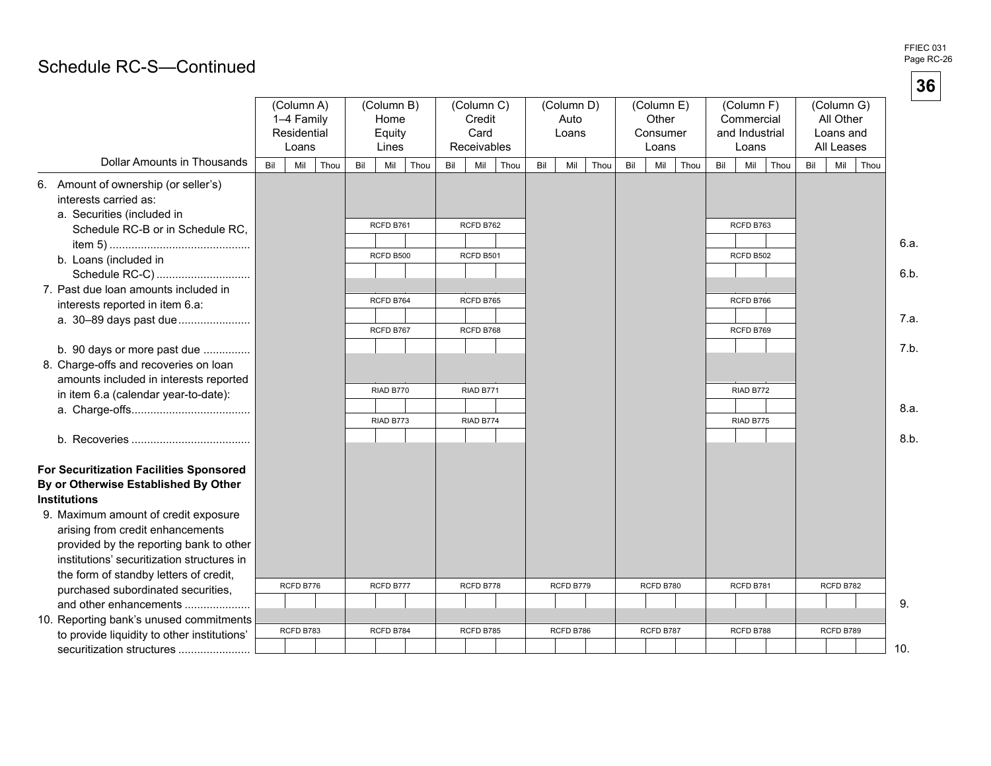**36** 

## Page RC-S-Continued and the continued and the continued of the continued of the continued of the continued of the continued of the continued of the continued of the continued of the continued of the continued of the contin

|                                                                                                                                 |     | (Column A)<br>1-4 Family<br>Residential<br>Loans |      |     | (Column B)<br>Home<br>Equity<br>Lines |           |           | (Column C)<br>Credit<br>Card<br>Receivables |           |     | (Column D)<br>Auto<br>Loans |           |     | (Column E)<br>Other<br>Consumer<br>Loans |           | (Column F)<br>Commercial<br>and Industrial | Loans     |           |     | (Column G)<br>All Other<br>Loans and<br>All Leases |      |                 |
|---------------------------------------------------------------------------------------------------------------------------------|-----|--------------------------------------------------|------|-----|---------------------------------------|-----------|-----------|---------------------------------------------|-----------|-----|-----------------------------|-----------|-----|------------------------------------------|-----------|--------------------------------------------|-----------|-----------|-----|----------------------------------------------------|------|-----------------|
| <b>Dollar Amounts in Thousands</b>                                                                                              | Bil | Mil                                              | Thou | Bil | Mil                                   | Thou      | Bil       | Mil                                         | Thou      | Bil | Mil                         | Thou      | Bil | Mil                                      | Thou      | Bil                                        | Mil       | Thou      | Bil | Mil                                                | Thou |                 |
| 6. Amount of ownership (or seller's)<br>interests carried as:<br>a. Securities (included in<br>Schedule RC-B or in Schedule RC, |     |                                                  |      |     | RCFD B761                             |           |           | RCFD B762                                   |           |     |                             |           |     |                                          |           |                                            | RCFD B763 |           |     |                                                    |      |                 |
|                                                                                                                                 |     |                                                  |      |     |                                       |           |           |                                             |           |     |                             |           |     |                                          |           |                                            |           |           |     |                                                    |      | 6.a.            |
| b. Loans (included in                                                                                                           |     |                                                  |      |     | RCFD B500                             |           |           | RCFD B501                                   |           |     |                             |           |     |                                          |           |                                            | RCFD B502 |           |     |                                                    |      |                 |
| Schedule RC-C)                                                                                                                  |     |                                                  |      |     |                                       |           |           |                                             |           |     |                             |           |     |                                          |           |                                            |           |           |     |                                                    |      | 6.b.            |
| 7. Past due loan amounts included in                                                                                            |     |                                                  |      |     | RCFD B764                             |           | RCFD B765 |                                             |           |     |                             |           |     |                                          |           | RCFD B766                                  |           |           |     |                                                    |      |                 |
| interests reported in item 6.a:                                                                                                 |     |                                                  |      |     |                                       |           |           |                                             |           |     |                             |           |     |                                          |           |                                            |           |           |     |                                                    |      |                 |
| a. 30-89 days past due                                                                                                          |     |                                                  |      |     | RCFD B767                             |           | RCFD B768 |                                             |           |     |                             |           |     |                                          |           | RCFD B769                                  |           |           |     |                                                    | 7.a. |                 |
|                                                                                                                                 |     |                                                  |      |     |                                       |           |           |                                             |           |     |                             |           |     |                                          |           |                                            |           |           |     |                                                    |      | 7.b.            |
| b. 90 days or more past due<br>8. Charge-offs and recoveries on loan                                                            |     |                                                  |      |     |                                       |           |           |                                             |           |     |                             |           |     |                                          |           |                                            |           |           |     |                                                    |      |                 |
| amounts included in interests reported                                                                                          |     |                                                  |      |     |                                       |           |           |                                             |           |     |                             |           |     |                                          |           |                                            |           |           |     |                                                    |      |                 |
| in item 6.a (calendar year-to-date):                                                                                            |     |                                                  |      |     | RIAD B770                             |           |           | RIAD B771                                   |           |     |                             |           |     |                                          |           |                                            | RIAD B772 |           |     |                                                    |      |                 |
|                                                                                                                                 |     |                                                  |      |     |                                       |           |           |                                             |           |     |                             |           |     |                                          |           |                                            |           |           |     |                                                    |      | 8.a.            |
|                                                                                                                                 |     |                                                  |      |     | RIAD B773                             |           |           | RIAD B774                                   |           |     |                             |           |     |                                          |           |                                            | RIAD B775 |           |     |                                                    |      |                 |
|                                                                                                                                 |     |                                                  |      |     |                                       |           |           |                                             |           |     |                             |           |     |                                          |           |                                            |           |           |     |                                                    |      | 8.b.            |
| For Securitization Facilities Sponsored<br>By or Otherwise Established By Other<br><b>Institutions</b>                          |     |                                                  |      |     |                                       |           |           |                                             |           |     |                             |           |     |                                          |           |                                            |           |           |     |                                                    |      |                 |
| 9. Maximum amount of credit exposure<br>arising from credit enhancements<br>provided by the reporting bank to other             |     |                                                  |      |     |                                       |           |           |                                             |           |     |                             |           |     |                                          |           |                                            |           |           |     |                                                    |      |                 |
| institutions' securitization structures in                                                                                      |     |                                                  |      |     |                                       |           |           |                                             |           |     |                             |           |     |                                          |           |                                            |           |           |     |                                                    |      |                 |
| the form of standby letters of credit,                                                                                          |     |                                                  |      |     |                                       |           |           |                                             |           |     |                             |           |     |                                          |           |                                            |           |           |     |                                                    |      |                 |
| purchased subordinated securities,                                                                                              |     | RCFD B776                                        |      |     | RCFD B777                             |           |           | RCFD B778                                   |           |     | RCFD B779                   |           |     | RCFD B780                                |           |                                            | RCFD B781 |           |     | RCFD B782                                          |      |                 |
| and other enhancements                                                                                                          |     |                                                  |      |     |                                       |           |           |                                             |           |     |                             |           |     |                                          |           |                                            |           |           |     |                                                    |      | 9.              |
| 10. Reporting bank's unused commitments                                                                                         |     |                                                  |      |     |                                       |           |           |                                             |           |     |                             |           |     |                                          |           |                                            |           |           |     |                                                    |      |                 |
| to provide liquidity to other institutions'                                                                                     |     | RCFD B783<br>RCFD B784                           |      |     |                                       | RCFD B785 |           |                                             | RCFD B786 |     |                             | RCFD B787 |     |                                          | RCFD B788 |                                            |           | RCFD B789 |     |                                                    |      |                 |
| securitization structures                                                                                                       |     |                                                  |      |     |                                       |           |           |                                             |           |     |                             |           |     |                                          |           |                                            |           |           |     |                                                    |      | 10 <sub>1</sub> |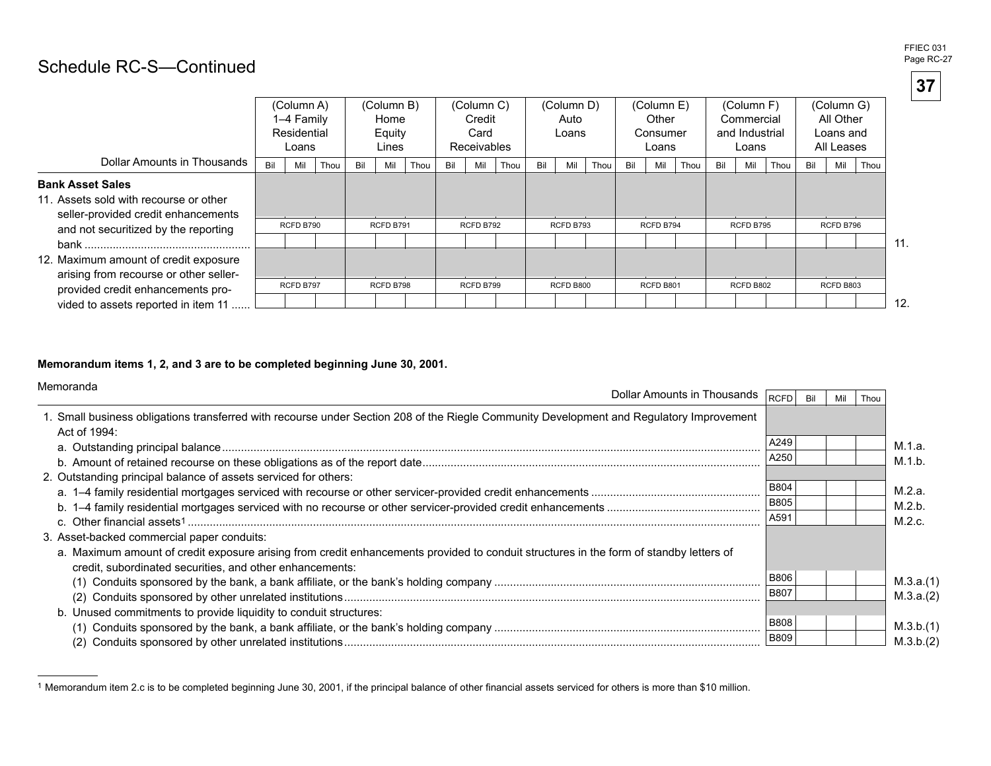## Page RC-27  $\blacksquare$

|                                                                                                                                                  |     | (Column A)<br>1-4 Family<br>Residential<br>Loans |      |     | (Column B)<br>Home<br>Equity<br>Lines |      |     | (Column C)<br>Credit<br>Card<br><b>Receivables</b> |      |     | (Column D)<br>Auto<br>Loans |      |     | (Column E)<br>Other<br>Consumer<br>Loans |      |     | (Column F)<br>Commercial<br>and Industrial<br>Loans |      |     | (Column G)<br>All Other<br>Loans and<br>All Leases |      |
|--------------------------------------------------------------------------------------------------------------------------------------------------|-----|--------------------------------------------------|------|-----|---------------------------------------|------|-----|----------------------------------------------------|------|-----|-----------------------------|------|-----|------------------------------------------|------|-----|-----------------------------------------------------|------|-----|----------------------------------------------------|------|
| Dollar Amounts in Thousands                                                                                                                      | Bil | Mil                                              | Thou | Bil | Mil                                   | Thou | Bil | Mil                                                | Thou | Bil | Mil                         | Thou | Bil | Mil                                      | Thou | Bil | Mil                                                 | Thou | Bil | Mil                                                | Thou |
| <b>Bank Asset Sales</b><br>11. Assets sold with recourse or other<br>seller-provided credit enhancements<br>and not securitized by the reporting |     | RCFD B790                                        |      |     | RCFD B791                             |      |     | RCFD B792                                          |      |     | RCFD B793                   |      |     | RCFD B794                                |      |     | RCFD B795                                           |      |     | RCFD B796                                          |      |
| 12. Maximum amount of credit exposure<br>arising from recourse or other seller-                                                                  |     |                                                  |      |     |                                       |      |     |                                                    |      |     |                             |      |     |                                          |      |     |                                                     |      |     |                                                    | .11  |
| provided credit enhancements pro-<br>vided to assets reported in item 11                                                                         |     | RCFD B797                                        |      |     | RCFD B798                             |      |     | RCFD B799                                          |      |     | RCFD B800                   |      |     | RCFD B801                                |      |     | RCFD B802                                           |      |     | RCFD B803                                          | 12.  |

**Memorandum items 1, 2, and 3 are to be completed beginning June 30, 2001.** 

| Memoranda<br>Dollar Amounts in Thousands                                                                                                                                                           | RCFD        | Mil | Thou |           |
|----------------------------------------------------------------------------------------------------------------------------------------------------------------------------------------------------|-------------|-----|------|-----------|
| 1. Small business obligations transferred with recourse under Section 208 of the Riegle Community Development and Regulatory Improvement<br>Act of 1994:                                           |             |     |      |           |
|                                                                                                                                                                                                    | A249        |     |      | M.1.a.    |
|                                                                                                                                                                                                    | A250        |     |      | M.1.b.    |
| 2. Outstanding principal balance of assets serviced for others:                                                                                                                                    |             |     |      |           |
|                                                                                                                                                                                                    | <b>B804</b> |     |      | M.2.a.    |
|                                                                                                                                                                                                    | B805        |     |      | M.2.b.    |
|                                                                                                                                                                                                    | A591        |     |      | M.2.c.    |
| 3. Asset-backed commercial paper conduits:                                                                                                                                                         |             |     |      |           |
| a. Maximum amount of credit exposure arising from credit enhancements provided to conduit structures in the form of standby letters of<br>credit, subordinated securities, and other enhancements: |             |     |      |           |
|                                                                                                                                                                                                    | <b>B806</b> |     |      | M.3.a.(1) |
|                                                                                                                                                                                                    | <b>B807</b> |     |      | M.3.a.(2) |
| b. Unused commitments to provide liquidity to conduit structures:                                                                                                                                  |             |     |      |           |
|                                                                                                                                                                                                    | <b>B808</b> |     |      | M.3.b.(1) |
|                                                                                                                                                                                                    | <b>B809</b> |     |      | M.3.b.(2) |

<sup>1</sup> Memorandum item 2.c is to be completed beginning June 30, 2001, if the principal balance of other financial assets serviced for others is more than \$10 million.

**37**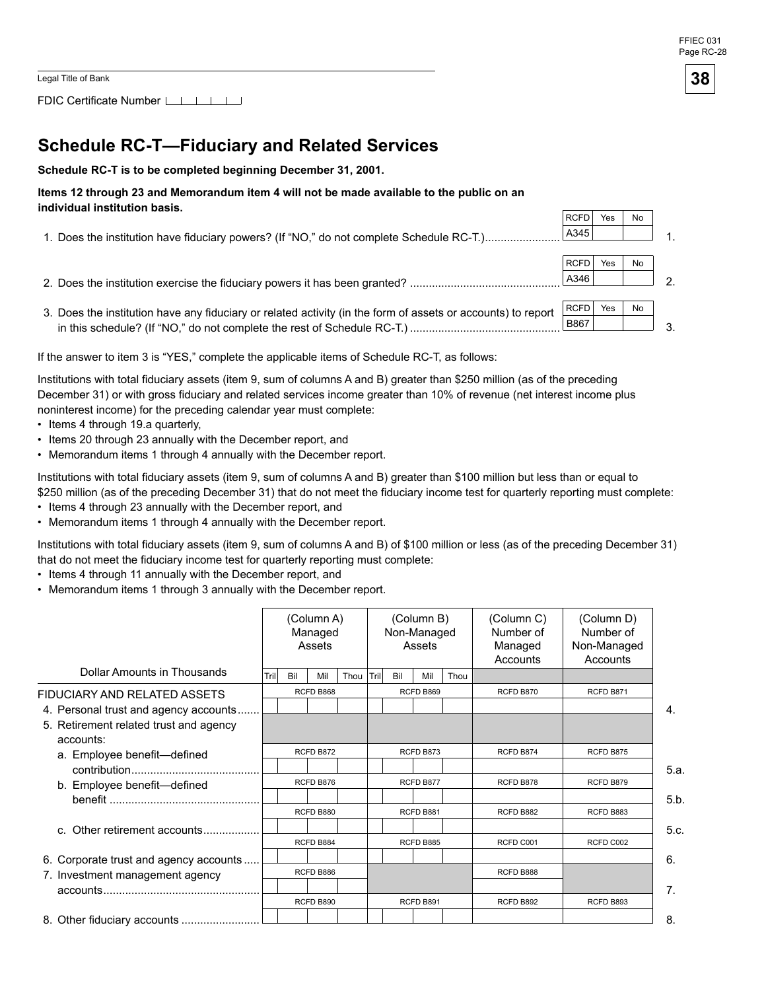FDIC Certificate Number

## **Schedule RC-T-Fiduciary and Related Services**

**Schedule RC-T is to be completed beginning December 31, 2001.** 

#### **Items 12 through 23 and Memorandum item 4 will not be made available to the public on an individual institution basis.**

| MUNIVIUUAI MISULUUUNI DASIS.                                                                                 |             |     |    |               |
|--------------------------------------------------------------------------------------------------------------|-------------|-----|----|---------------|
|                                                                                                              | RCFD        | Yes | No |               |
| 1. Does the institution have fiduciary powers? (If "NO," do not complete Schedule RC-T.)                     | A345        |     |    |               |
|                                                                                                              |             |     |    |               |
|                                                                                                              | RCFD I      | Yes | No |               |
| 2. Does the institution exercise the fiduciary powers it has been granted?                                   | A346        |     |    | $\mathcal{D}$ |
|                                                                                                              |             |     |    |               |
| 3. Does the institution have any fiduciary or related activity (in the form of assets or accounts) to report | <b>RCFD</b> | Yes | No |               |
|                                                                                                              | B867        |     |    |               |
|                                                                                                              |             |     |    |               |

If the answer to item 3 is "YES," complete the applicable items of Schedule RC-T, as follows:

Institutions with total fiduciary assets (item 9, sum of columns A and B) greater than \$250 million (as of the preceding December 31) or with gross fiduciary and related services income greater than 10% of revenue (net interest income plus noninterest income) for the preceding calendar year must complete:

- Items 4 through 19.a quarterly,
- Items 20 through 23 annually with the December report, and
- Memorandum items 1 through 4 annually with the December report.

Institutions with total fiduciary assets (item 9, sum of columns A and B) greater than \$100 million but less than or equal to \$250 million (as of the preceding December 31) that do not meet the fiduciary income test for quarterly reporting must complete:

- Items 4 through 23 annually with the December report, and
- Memorandum items 1 through 4 annually with the December report.

Institutions with total fiduciary assets (item 9, sum of columns A and B) of \$100 million or less (as of the preceding December 31) that do not meet the fiduciary income test for quarterly reporting must complete:

- Items 4 through 11 annually with the December report, and
- Memorandum items 1 through 3 annually with the December report.

|                                                                                                                                                                                                                                                                                                                                                |       |     | (Column A)<br>Managed<br>Assets |      | (Column B)<br>Non-Managed<br>Assets |     |           |      |           |           |                | (Column C)<br>Number of<br>Managed<br>Accounts | (Column D)<br>Number of<br>Non-Managed<br>Accounts |  |
|------------------------------------------------------------------------------------------------------------------------------------------------------------------------------------------------------------------------------------------------------------------------------------------------------------------------------------------------|-------|-----|---------------------------------|------|-------------------------------------|-----|-----------|------|-----------|-----------|----------------|------------------------------------------------|----------------------------------------------------|--|
| Dollar Amounts in Thousands                                                                                                                                                                                                                                                                                                                    | Trill | Bil | Mil                             | Thou | Tril                                | Bil | Mil       | Thou |           |           |                |                                                |                                                    |  |
| FIDUCIARY AND RELATED ASSETS                                                                                                                                                                                                                                                                                                                   |       |     | RCFD B868                       |      |                                     |     | RCFD B869 |      | RCFD B870 | RCFD B871 |                |                                                |                                                    |  |
| 4. Personal trust and agency accounts                                                                                                                                                                                                                                                                                                          |       |     |                                 |      |                                     |     |           |      |           |           | 4.             |                                                |                                                    |  |
| 5. Retirement related trust and agency<br>accounts:                                                                                                                                                                                                                                                                                            |       |     |                                 |      |                                     |     |           |      |           |           |                |                                                |                                                    |  |
| a. Employee benefit-defined                                                                                                                                                                                                                                                                                                                    |       |     | RCFD B872                       |      | RCFD B873                           |     |           |      | RCFD B874 | RCFD B875 |                |                                                |                                                    |  |
|                                                                                                                                                                                                                                                                                                                                                |       |     |                                 |      |                                     |     |           |      |           |           | 5.a.           |                                                |                                                    |  |
| b. Employee benefit-defined                                                                                                                                                                                                                                                                                                                    |       |     | RCFD B876                       |      |                                     |     | RCFD B877 |      | RCFD B878 | RCFD B879 |                |                                                |                                                    |  |
|                                                                                                                                                                                                                                                                                                                                                |       |     |                                 |      |                                     |     |           |      |           |           | 5.b.           |                                                |                                                    |  |
|                                                                                                                                                                                                                                                                                                                                                |       |     | RCFD B880                       |      |                                     |     | RCFD B881 |      | RCFD B882 | RCFD B883 |                |                                                |                                                    |  |
| c. Other retirement accounts                                                                                                                                                                                                                                                                                                                   |       |     |                                 |      |                                     |     |           |      |           |           | 5.c.           |                                                |                                                    |  |
|                                                                                                                                                                                                                                                                                                                                                |       |     | RCFD B884                       |      |                                     |     | RCFD B885 |      | RCFD C001 | RCFD C002 |                |                                                |                                                    |  |
| 6. Corporate trust and agency accounts                                                                                                                                                                                                                                                                                                         |       |     |                                 |      |                                     |     |           |      |           |           | 6.             |                                                |                                                    |  |
| 7. Investment management agency                                                                                                                                                                                                                                                                                                                |       |     | RCFD B886                       |      |                                     |     |           |      | RCFD B888 |           |                |                                                |                                                    |  |
| $accounds$ $\ldots$ $\ldots$ $\ldots$ $\ldots$ $\ldots$ $\ldots$ $\ldots$ $\ldots$ $\ldots$ $\ldots$ $\ldots$ $\ldots$ $\ldots$ $\ldots$ $\ldots$ $\ldots$ $\ldots$ $\ldots$ $\ldots$ $\ldots$ $\ldots$ $\ldots$ $\ldots$ $\ldots$ $\ldots$ $\ldots$ $\ldots$ $\ldots$ $\ldots$ $\ldots$ $\ldots$ $\ldots$ $\ldots$ $\ldots$ $\ldots$ $\ldots$ |       |     |                                 |      |                                     |     |           |      |           |           | 7 <sub>1</sub> |                                                |                                                    |  |
|                                                                                                                                                                                                                                                                                                                                                |       |     | RCFD B890                       |      |                                     |     | RCFD B891 |      | RCFD B892 | RCFD B893 |                |                                                |                                                    |  |
|                                                                                                                                                                                                                                                                                                                                                |       |     |                                 |      |                                     |     |           |      |           |           | 8.             |                                                |                                                    |  |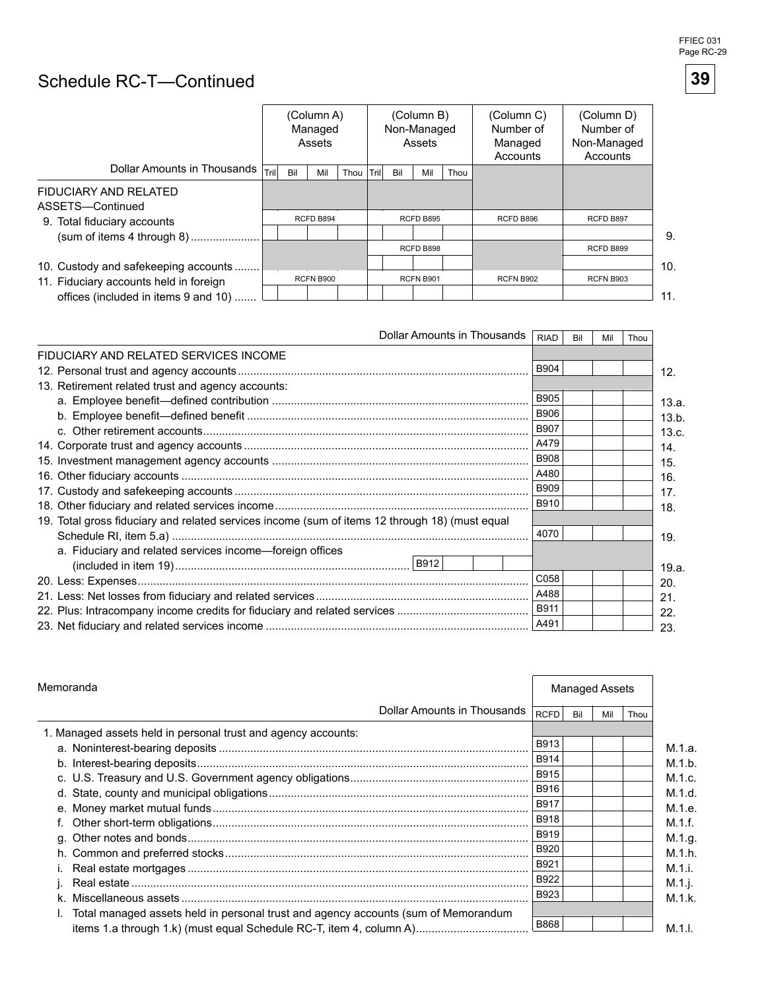

# Schedule RC-T-Continued

|                                           |       |     | (Column A)<br>Managed<br>Assets |      | (Column B)<br>Non-Managed<br>Assets |     |                  |      |           |           |     |  |  |  |  | (Column C)<br>Number of<br>Managed<br>Accounts | (Column D)<br>Number of<br>Non-Managed<br>Accounts |  |
|-------------------------------------------|-------|-----|---------------------------------|------|-------------------------------------|-----|------------------|------|-----------|-----------|-----|--|--|--|--|------------------------------------------------|----------------------------------------------------|--|
| Dollar Amounts in Thousands               | 'Tril | Bil | Mil                             | Thou | Trill                               | Bil | Mil              | Thou |           |           |     |  |  |  |  |                                                |                                                    |  |
| FIDUCIARY AND RELATED<br>ASSETS-Continued |       |     |                                 |      |                                     |     |                  |      |           |           |     |  |  |  |  |                                                |                                                    |  |
| 9. Total fiduciary accounts               |       |     | RCFD B894                       |      |                                     |     | RCFD B895        |      | RCFD B896 | RCFD B897 |     |  |  |  |  |                                                |                                                    |  |
| (sum of items 4 through 8)                |       |     |                                 |      |                                     |     |                  |      |           |           | 9.  |  |  |  |  |                                                |                                                    |  |
|                                           |       |     |                                 |      |                                     |     | RCFD B898        |      |           | RCFD B899 |     |  |  |  |  |                                                |                                                    |  |
| 10. Custody and safekeeping accounts      |       |     |                                 |      |                                     |     |                  |      |           |           | 10. |  |  |  |  |                                                |                                                    |  |
| 11. Fiduciary accounts held in foreign    |       |     | <b>RCFN B900</b>                |      |                                     |     | <b>RCFN B901</b> |      | RCFN B902 | RCFN B903 |     |  |  |  |  |                                                |                                                    |  |
| offices (included in items 9 and 10)      |       |     |                                 |      |                                     |     |                  |      |           |           | 11. |  |  |  |  |                                                |                                                    |  |

| Dollar Amounts in Thousands                                                                    | <b>RIAD</b> | Bil | Mil | Thou |
|------------------------------------------------------------------------------------------------|-------------|-----|-----|------|
| FIDUCIARY AND RELATED SERVICES INCOME                                                          |             |     |     |      |
|                                                                                                | <b>B904</b> |     |     |      |
| 13. Retirement related trust and agency accounts:                                              |             |     |     |      |
|                                                                                                | <b>B905</b> |     |     |      |
|                                                                                                | <b>B906</b> |     |     |      |
|                                                                                                | <b>B907</b> |     |     |      |
|                                                                                                | A479        |     |     |      |
|                                                                                                | <b>B908</b> |     |     |      |
|                                                                                                | A480        |     |     |      |
|                                                                                                | <b>B909</b> |     |     |      |
|                                                                                                | B910        |     |     |      |
| 19. Total gross fiduciary and related services income (sum of items 12 through 18) (must equal |             |     |     |      |
|                                                                                                | 4070        |     |     |      |
| a. Fiduciary and related services income—foreign offices                                       |             |     |     |      |
|                                                                                                | C058        |     |     |      |
|                                                                                                | A488        |     |     |      |
|                                                                                                | <b>B911</b> |     |     |      |
|                                                                                                | A491        |     |     |      |

| Memoranda                                                                          |             |     |     | <b>Managed Assets</b> |  |  |  |  |  |
|------------------------------------------------------------------------------------|-------------|-----|-----|-----------------------|--|--|--|--|--|
| Dollar Amounts in Thousands                                                        | <b>RCFD</b> | Bil | Mil | Thou                  |  |  |  |  |  |
| 1. Managed assets held in personal trust and agency accounts:                      |             |     |     |                       |  |  |  |  |  |
|                                                                                    | B913        |     |     |                       |  |  |  |  |  |
|                                                                                    | <b>B914</b> |     |     |                       |  |  |  |  |  |
|                                                                                    | B915        |     |     |                       |  |  |  |  |  |
|                                                                                    | B916        |     |     |                       |  |  |  |  |  |
|                                                                                    | <b>B917</b> |     |     |                       |  |  |  |  |  |
|                                                                                    | <b>B918</b> |     |     |                       |  |  |  |  |  |
|                                                                                    | <b>B919</b> |     |     |                       |  |  |  |  |  |
|                                                                                    | <b>B920</b> |     |     |                       |  |  |  |  |  |
|                                                                                    | B921        |     |     |                       |  |  |  |  |  |
|                                                                                    | B922        |     |     |                       |  |  |  |  |  |
|                                                                                    | B923        |     |     |                       |  |  |  |  |  |
| Total managed assets held in personal trust and agency accounts (sum of Memorandum |             |     |     |                       |  |  |  |  |  |
|                                                                                    | B868        |     |     |                       |  |  |  |  |  |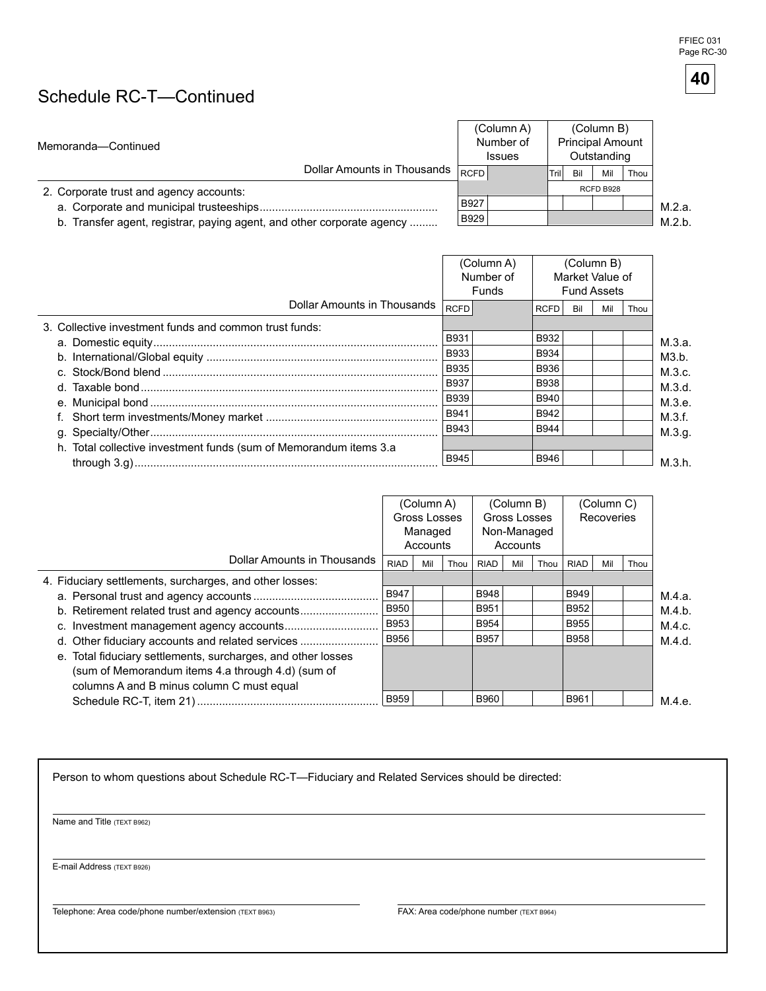FFIEC 031 Page RC-30

**40** 

## Schedule RC-T-Continued

| Memoranda-Continued                                                    |      | (Column A)<br>Number of<br><b>Issues</b> |      |     | (Column B)<br><b>Principal Amount</b><br>Outstanding |      |        |
|------------------------------------------------------------------------|------|------------------------------------------|------|-----|------------------------------------------------------|------|--------|
| Dollar Amounts in Thousands RCFD                                       |      |                                          | Tril | Bil | Mil                                                  | Thou |        |
| 2. Corporate trust and agency accounts:                                |      |                                          |      |     | RCFD B928                                            |      |        |
| a. Corporate and municipal trusteeships                                | B927 |                                          |      |     |                                                      |      | M.2.a. |
| b. Transfer agent, registrar, paying agent, and other corporate agency | B929 |                                          |      |     |                                                      |      | M.2.b. |

M.2.a.

|                                                                    |             | (Column A)<br>Number of<br>Funds |             |     | (Column B)<br>Market Value of<br><b>Fund Assets</b> |      |        |
|--------------------------------------------------------------------|-------------|----------------------------------|-------------|-----|-----------------------------------------------------|------|--------|
| Dollar Amounts in Thousands                                        | <b>RCFD</b> |                                  | <b>RCFD</b> | Bil | Mil                                                 | Thou |        |
| 3. Collective investment funds and common trust funds:             |             |                                  |             |     |                                                     |      |        |
|                                                                    | <b>B931</b> |                                  | B932        |     |                                                     |      | M.3.a. |
|                                                                    | <b>B933</b> |                                  | B934        |     |                                                     |      | M3.b.  |
|                                                                    | <b>B935</b> |                                  | B936        |     |                                                     |      | M.3.c. |
|                                                                    | <b>B937</b> |                                  | <b>B938</b> |     |                                                     |      | M.3.d. |
|                                                                    | <b>B939</b> |                                  | B940        |     |                                                     |      | M.3.e. |
|                                                                    | <b>B941</b> |                                  | B942        |     |                                                     |      | M.3.f. |
|                                                                    | B943        |                                  | B944        |     |                                                     |      | M.3.g. |
| h. Total collective investment funds (sum of Memorandum items 3.a. |             |                                  |             |     |                                                     |      |        |
|                                                                    | B945        |                                  | B946        |     |                                                     |      | M.3.h. |

|                                                              | (Column A)<br>Gross Losses<br>Managed<br>Accounts |     |      | (Column B)<br>Gross Losses<br>Non-Managed<br>Accounts |     |      | (Column C)<br>Recoveries |     |      |        |
|--------------------------------------------------------------|---------------------------------------------------|-----|------|-------------------------------------------------------|-----|------|--------------------------|-----|------|--------|
| Dollar Amounts in Thousands                                  | <b>RIAD</b>                                       | Mil | Thou | <b>RIAD</b>                                           | Mil | Thou | <b>RIAD</b>              | Mil | Thou |        |
| 4. Fiduciary settlements, surcharges, and other losses:      |                                                   |     |      |                                                       |     |      |                          |     |      |        |
|                                                              | <b>B947</b>                                       |     |      | <b>B948</b>                                           |     |      | <b>B949</b>              |     |      | M.4.a. |
| b. Retirement related trust and agency accounts              | B950                                              |     |      | B951                                                  |     |      | B952                     |     |      | M.4.b. |
|                                                              | B953                                              |     |      | B954                                                  |     |      | <b>B955</b>              |     |      | M.4.c. |
| d. Other fiduciary accounts and related services             | B956                                              |     |      | B957                                                  |     |      | <b>B958</b>              |     |      | M.4.d. |
| e. Total fiduciary settlements, surcharges, and other losses |                                                   |     |      |                                                       |     |      |                          |     |      |        |
| (sum of Memorandum items 4.a through 4.d) (sum of            |                                                   |     |      |                                                       |     |      |                          |     |      |        |
| columns A and B minus column C must equal                    |                                                   |     |      |                                                       |     |      |                          |     |      |        |
|                                                              | <b>B959</b>                                       |     |      | B960                                                  |     |      | B961                     |     |      | M.4.e. |

Person to whom questions about Schedule RC-T-Fiduciary and Related Services should be directed:

Name and Title (TEXT B962)

E-mail Address (TEXT B926)

Telephone: Area code/phone number/extension (TEXT B963) FAX: Area code/phone number (TEXT B964)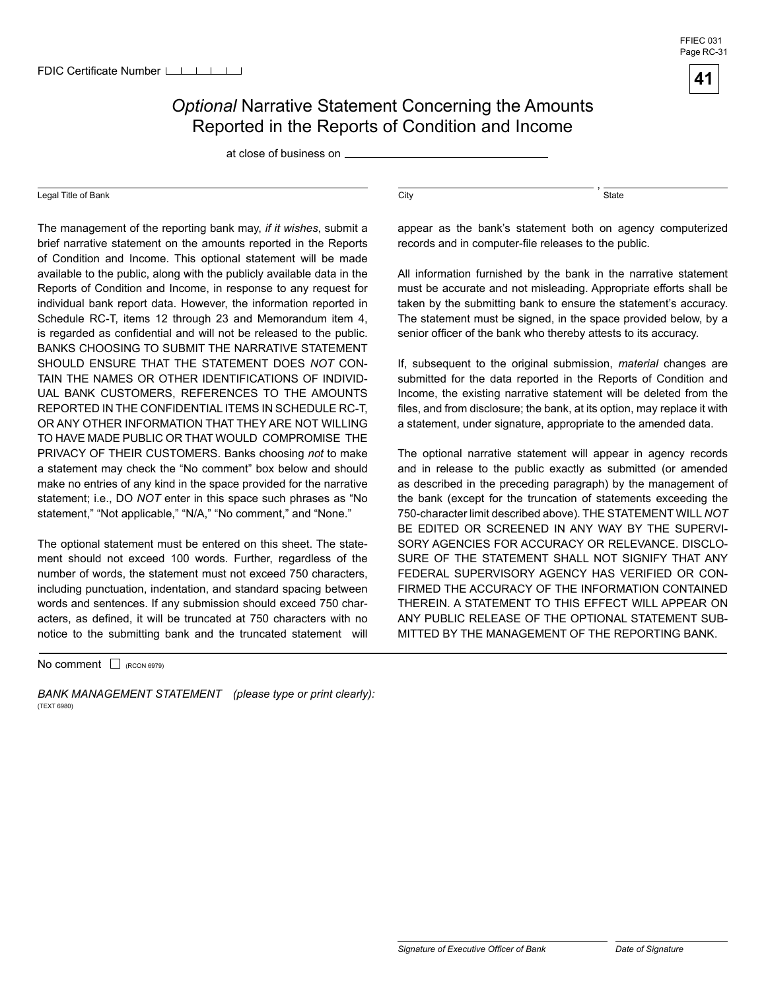### *Optional* Narrative Statement Concerning the Amounts Reported in the Reports of Condition and Income

at close of business on

#### Legal Title of Bank

The management of the reporting bank may, *if it wishes*, submit a brief narrative statement on the amounts reported in the Reports of Condition and Income. This optional statement will be made available to the public, along with the publicly available data in the Reports of Condition and Income, in response to any request for individual bank report data. However, the information reported in Schedule RC-T, items 12 through 23 and Memorandum item 4, is regarded as confidential and will not be released to the public. BANKS CHOOSING TO SUBMIT THE NARRATIVE STATEMENT SHOULD ENSURE THAT THE STATEMENT DOES *NOT* CON-TAIN THE NAMES OR OTHER IDENTIFICATIONS OF INDIVID-UAL BANK CUSTOMERS, REFERENCES TO THE AMOUNTS REPORTED IN THE CONFIDENTIAL ITEMS IN SCHEDULE RC-T, OR ANY OTHER INFORMATION THAT THEY ARE NOT WILLING TO HAVE MADE PUBLIC OR THAT WOULD COMPROMISE THE PRIVACY OF THEIR CUSTOMERS. Banks choosing *not* to make a statement may check the "No comment" box below and should make no entries of any kind in the space provided for the narrative statement; i.e., DO *NOT* enter in this space such phrases as "No statement," "Not applicable," "N/A," "No comment," and "None."

The optional statement must be entered on this sheet. The statement should not exceed 100 words. Further, regardless of the number of words, the statement must not exceed 750 characters, including punctuation, indentation, and standard spacing between words and sentences. If any submission should exceed 750 characters, as defined, it will be truncated at 750 characters with no notice to the submitting bank and the truncated statement will

No comment  $\Box$  (RCON 6979)

*BANK MANAGEMENT STATEMENT (please type or print clearly):*  (TEXT 6980)

, which is a state of the state of the state of the state of the state of the state of the state of the state of the state of the state of the state of the state of the state of the state of the state of the state of the s

appear as the bank's statement both on agency computerized records and in computer-file releases to the public.

All information furnished by the bank in the narrative statement must be accurate and not misleading. Appropriate efforts shall be taken by the submitting bank to ensure the statement's accuracy. The statement must be signed, in the space provided below, by a senior officer of the bank who thereby attests to its accuracy.

If, subsequent to the original submission, *material* changes are submitted for the data reported in the Reports of Condition and Income, the existing narrative statement will be deleted from the files, and from disclosure; the bank, at its option, may replace it with a statement, under signature, appropriate to the amended data.

The optional narrative statement will appear in agency records and in release to the public exactly as submitted (or amended as described in the preceding paragraph) by the management of the bank (except for the truncation of statements exceeding the 750-character limit described above). THE STATEMENT WILL *NOT*  BE EDITED OR SCREENED IN ANY WAY BY THE SUPERVI-SORY AGENCIES FOR ACCURACY OR RELEVANCE. DISCLO-SURE OF THE STATEMENT SHALL NOT SIGNIFY THAT ANY FEDERAL SUPERVISORY AGENCY HAS VERIFIED OR CON-FIRMED THE ACCURACY OF THE INFORMATION CONTAINED THEREIN. A STATEMENT TO THIS EFFECT WILL APPEAR ON ANY PUBLIC RELEASE OF THE OPTIONAL STATEMENT SUB-MITTED BY THE MANAGEMENT OF THE REPORTING BANK.